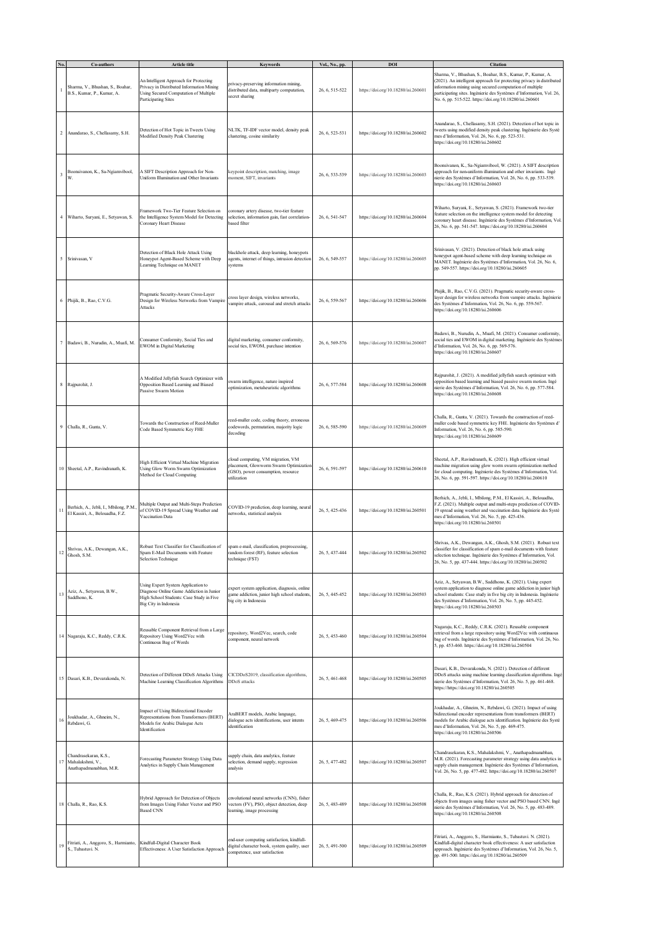|         | Co-authors                                                                | Article title                                                                                                                                       | Keywords                                                                                                                         | Vol., No., pp. | DOI                                 | <b>Citation</b>                                                                                                                                                                                                                                                                                                                     |
|---------|---------------------------------------------------------------------------|-----------------------------------------------------------------------------------------------------------------------------------------------------|----------------------------------------------------------------------------------------------------------------------------------|----------------|-------------------------------------|-------------------------------------------------------------------------------------------------------------------------------------------------------------------------------------------------------------------------------------------------------------------------------------------------------------------------------------|
|         | Sharma, V., Bhushan, S., Boahar,<br>B.S., Kumar, P., Kumar, A.            | An Intelligent Approach for Protecting<br>Privacy in Distributed Information Mining<br>Using Secured Computation of Multiple<br>Participating Sites | privacy-preserving information mining,<br>distributed data, multiparty computation,<br>secret sharing                            | 26, 6, 515-522 | https://doi.org/10.18280/isi.260601 | Sharma, V., Bhushan, S., Boahar, B.S., Kumar, P., Kumar, A.<br>(2021). An intelligent approach for protecting privacy in distributed<br>information mining using secured computation of multiple<br>participating sites. Ingénierie des Systèmes d'Information, Vol. 26,<br>No. 6, pp. 515-522. https://doi.org/10.18280/isi.260601 |
|         | 2 Anandarao, S., Chellasamy, S.H.                                         | Detection of Hot Topic in Tweets Using<br>Modified Density Peak Clustering                                                                          | NLTK, TF-IDF vector model, density peak<br>clustering, cosine similarity                                                         | 26, 6, 523-531 | https://doi.org/10.18280/isi.260602 | Anandarao, S., Chellasamy, S.H. (2021). Detection of hot topic in<br>tweets using modified density peak clustering. Ingénierie des Systè<br>mes d'Information, Vol. 26, No. 6, pp. 523-531.<br>https://doi.org/10.18280/isi.260602                                                                                                  |
| 3       | Boonsivanon, K., Sa-Ngiamvibool,<br>W.                                    | A SIFT Description Approach for Non-<br>Uniform Illumination and Other Invariants                                                                   | keypoint description, matching, image<br>moment, SIFT, invariants                                                                | 26, 6, 533-539 | https://doi.org/10.18280/isi.260603 | Boonsivanon, K., Sa-Ngiamvibool, W. (2021). A SIFT description<br>approach for non-uniform illumination and other invariants. Ingé<br>nierie des Systèmes d'Information, Vol. 26, No. 6, pp. 533-539.<br>https://doi.org/10.18280/isi.260603                                                                                        |
|         | 4 Wiharto, Suryani, E., Setyawan, S.                                      | Framework Two-Tier Feature Selection on<br>the Intelligence System Model for Detecting<br>Coronary Heart Disease                                    | coronary artery disease, two-tier feature<br>selection, information gain, fast correlation-<br>based filter                      | 26, 6, 541-547 | https://doi.org/10.18280/isi.260604 | Wiharto, Suryani, E., Setyawan, S. (2021). Framework two-tier<br>feature selection on the intelligence system model for detecting<br>coronary heart disease. Ingénierie des Systèmes d'Information, Vol.<br>26, No. 6, pp. 541-547. https://doi.org/10.18280/isi.260604                                                             |
|         | 5 Srinivasan, V                                                           | Detection of Black Hole Attack Using<br>Honeypot Agent-Based Scheme with Deep<br>Learning Technique on MANET                                        | blackhole attack, deep learning, honeypots<br>agents, internet of things, intrusion detection<br>systems                         | 26, 6, 549-557 | https://doi.org/10.18280/isi.260605 | Srinivasan, V. (2021). Detection of black hole attack using<br>honeypot agent-based scheme with deep learning technique on<br>MANET. Ingénierie des Systèmes d'Information, Vol. 26, No. 6,<br>pp. 549-557. https://doi.org/10.18280/isi.260605                                                                                     |
|         | 6 Phijik, B., Rao, C.V.G.                                                 | Pragmatic Security-Aware Cross-Layer<br>Design for Wireless Networks from Vampire<br>Attacks                                                        | cross layer design, wireless networks,<br>vampire attack, carousal and stretch attacks                                           | 26, 6, 559-567 | https://doi.org/10.18280/isi.260606 | Phijik, B., Rao, C.V.G. (2021). Pragmatic security-aware cross-<br>layer design for wireless networks from vampire attacks. Ingénierie<br>des Systèmes d'Information, Vol. 26, No. 6, pp. 559-567.<br>https://doi.org/10.18280/isi.260606                                                                                           |
|         | 7 Badawi, B., Nurudin, A., Muafi, M.                                      | Consumer Conformity, Social Ties and<br>EWOM in Digital Marketing                                                                                   | digital marketing, consumer conformity,<br>social ties, EWOM, purchase intention                                                 | 26, 6, 569-576 | https://doi.org/10.18280/isi.260607 | Badawi, B., Nurudin, A., Muafi, M. (2021). Consumer conformity,<br>social ties and EWOM in digital marketing. Ingénierie des Systèmes<br>d'Information, Vol. 26, No. 6, pp. 569-576.<br>https://doi.org/10.18280/isi.260607                                                                                                         |
|         | 8 Rajpurohit, J.                                                          | A Modified Jellyfish Search Optimizer with<br>Opposition Based Learning and Biased<br>Passive Swarm Motion                                          | warm intelligence, nature inspired<br>optimization, metaheuristic algorithms                                                     | 26, 6, 577-584 | https://doi.org/10.18280/isi.260608 | Rajpurohit, J. (2021). A modified jellyfish search optimizer with<br>opposition based learning and biased passive swarm motion. Ingé<br>nierie des Systèmes d'Information, Vol. 26, No. 6, pp. 577-584.<br>https://doi.org/10.18280/isi.260608                                                                                      |
|         | 9 Challa, R., Gunta, V.                                                   | Towards the Construction of Reed-Muller<br>Code Based Symmetric Key FHE                                                                             | reed-muller code, coding theory, erroneous<br>codewords, permutation, majority logic<br>decoding                                 | 26, 6, 585-590 | https://doi.org/10.18280/isi.260609 | Challa, R., Gunta, V. (2021). Towards the construction of reed-<br>nuller code based symmetric key FHE. Ingénierie des Systèmes d'<br>Information, Vol. 26, No. 6, pp. 585-590.<br>https://doi.org/10.18280/isi.260609                                                                                                              |
|         | 10 Sheetal, A.P., Ravindranath, K.                                        | High Efficient Virtual Machine Migration<br>Using Glow Worm Swarm Optimization<br>Method for Cloud Computing                                        | cloud computing, VM migration, VM<br>placement, Glowworm Swarm Optimization<br>(GSO), power consumption, resource<br>utilization | 26, 6, 591-597 | https://doi.org/10.18280/isi.260610 | Sheetal, A.P., Ravindranath, K. (2021). High efficient virtual<br>machine migration using glow worm swarm optimization method<br>for cloud computing. Ingénierie des Systèmes d'Information, Vol.<br>26, No. 6, pp. 591-597. https://doi.org/10.18280/isi.260610                                                                    |
| $11\,$  | Berhich, A., Jebli, I., Mbilong, P.M.,<br>El Kassiri, A., Belouadha, F.Z. | Multiple Output and Multi-Steps Prediction<br>of COVID-19 Spread Using Weather and<br>Vaccination Data                                              | COVID-19 prediction, deep learning, neural<br>networks, statistical analysis                                                     | 26, 5, 425-436 | https://doi.org/10.18280/isi.260501 | Berhich, A., Jebli, I., Mbilong, P.M., El Kassiri, A., Belouadha,<br>F.Z. (2021). Multiple output and multi-steps prediction of COVID-<br>19 spread using weather and vaccination data. Ingénierie des Systè<br>mes d'Information, Vol. 26, No. 5, pp. 425-436.<br>https://doi.org/10.18280/isi.260501                              |
| $12 \,$ | Shrivas, A.K., Dewangan, A.K.,<br>Ghosh, S.M.                             | Robust Text Classifier for Classification of<br>Spam E-Mail Documents with Feature<br>Selection Technique                                           | spam e-mail, classification, preprocessing,<br>random forest (RF), feature selection<br>technique (FST)                          | 26, 5, 437-444 | https://doi.org/10.18280/isi.260502 | Shrivas, A.K., Dewangan, A.K., Ghosh, S.M. (2021). Robust text<br>classifier for classification of spam e-mail documents with feature<br>selection technique. Ingénierie des Systèmes d'Information, Vol.<br>26, No. 5, pp. 437-444. https://doi.org/10.18280/isi.260502                                                            |
| 13      | Aziz, A., Setyawan, B.W.,<br>Saddhono, K.                                 | Using Expert System Application to<br>Diagnose Online Game Addiction in Junior<br>High School Students: Case Study in Five<br>Big City in Indonesia | expert system application, diagnosis, online<br>game addiction, junior high school students,<br>big city in Indonesia            | 26, 5, 445-452 | https://doi.org/10.18280/isi.260503 | Aziz, A., Setyawan, B.W., Saddhono, K. (2021). Using expert<br>system application to diagnose online game addiction in junior high<br>school students: Case study in five big city in Indonesia. Ingénierie<br>des Systèmes d'Information, Vol. 26, No. 5, pp. 445-452.<br>https://doi.org/10.18280/isi.260503                      |
|         | 14 Nagaraju, K.C., Reddy, C.R.K.                                          | Reusable Component Retrieval from a Large<br>Repository Using Word2Vec with<br>Continuous Bag of Words                                              | repository, Word2Vec, search, code<br>component, neural network                                                                  | 26, 5, 453-460 | https://doi.org/10.18280/isi.260504 | Nagaraju, K.C., Reddy, C.R.K. (2021). Reusable component<br>retrieval from a large repository using Word2Vec with continuous<br>bag of words. Ingénierie des Systèmes d'Information, Vol. 26, No.<br>5, pp. 453-460. https://doi.org/10.18280/isi.260504                                                                            |
|         | 15 Dasari, K.B., Devarakonda, N.                                          | Detection of Different DDoS Attacks Using<br>Machine Learning Classification Algorithms                                                             | CICDDoS2019, classification algorithms,<br>DDoS attacks                                                                          | 26, 5, 461-468 | https://doi.org/10.18280/isi.260505 | Dasari, K.B., Devarakonda, N. (2021). Detection of different<br>DDoS attacks using machine learning classification algorithms. Ingé<br>nierie des Systèmes d'Information, Vol. 26, No. 5, pp. 461-468.<br>https://https://doi.org/10.18280/isi.260505                                                                               |
| 16      | Joukhadar, A., Ghneim, N.,<br>Rebdawi, G.                                 | mpact of Using Bidirectional Encoder<br>Representations from Transformers (BERT)<br>Models for Arabic Dialogue Acts<br>Identification               | AraBERT models, Arabic language,<br>dialogue acts identifications, user intents<br>identification                                | 26, 5, 469-475 | https://doi.org/10.18280/isi.260506 | Joukhadar, A., Ghneim, N., Rebdawi, G. (2021). Impact of using<br>bidirectional encoder representations from transformers (BERT)<br>nodels for Arabic dialogue acts identification. Ingénierie des Systè<br>mes d'Information, Vol. 26, No. 5, pp. 469-475.<br>https://doi.org/10.18280/isi.260506                                  |
|         | Chandrasekaran, K.S.,<br>17 Mahalakshmi, V.,<br>Anathapadmanabhan, M.R.   | Forecasting Parameter Strategy Using Data<br>Analytics in Supply Chain Management                                                                   | supply chain, data analytics, feature<br>selection, demand supply, regression<br>analysis                                        | 26, 5, 477-482 | https://doi.org/10.18280/isi.260507 | Chandrasekaran, K.S., Mahalakshmi, V., Anathapadmanabhan,<br>M.R. (2021). Forecasting parameter strategy using data analytics in<br>supply chain management. Ingénierie des Systèmes d'Information,<br>Vol. 26, No. 5, pp. 477-482. https://doi.org/10.18280/isi.260507                                                             |
|         | 18 Challa, R., Rao, K.S.                                                  | Hybrid Approach for Detection of Objects<br>from Images Using Fisher Vector and PSO<br><b>Based CNN</b>                                             | envolutional neural networks (CNN), fisher<br>vectors (FV), PSO, object detection, deep<br>learning, image processing            | 26, 5, 483-489 | https://doi.org/10.18280/isi.260508 | Challa, R., Rao, K.S. (2021). Hybrid approach for detection of<br>objects from images using fisher vector and PSO based CNN. Ingé<br>nierie des Systèmes d'Information, Vol. 26, No. 5, pp. 483-489.<br>https://doi.org/10.18280/isi.260508                                                                                         |
|         | 19 Fitriati, A., Anggoro, S., Harmianto, S., Tubastuvi. N.                | Kindfull-Digital Character Book<br>Effectiveness: A User Satisfaction Approach                                                                      | end-user computing satisfaction, kindfull-<br>digital character book, system quality, user<br>competence, user satisfaction      | 26, 5, 491-500 | https://doi.org/10.18280/isi.260509 | Fitriati, A., Anggoro, S., Harmianto, S., Tubastuvi. N. (2021).<br>Kindfull-digital character book effectiveness: A user satisfaction<br>approach. Ingénierie des Systèmes d'Information, Vol. 26, No. 5,<br>pp. 491-500. https://doi.org/10.18280/isi.260509                                                                       |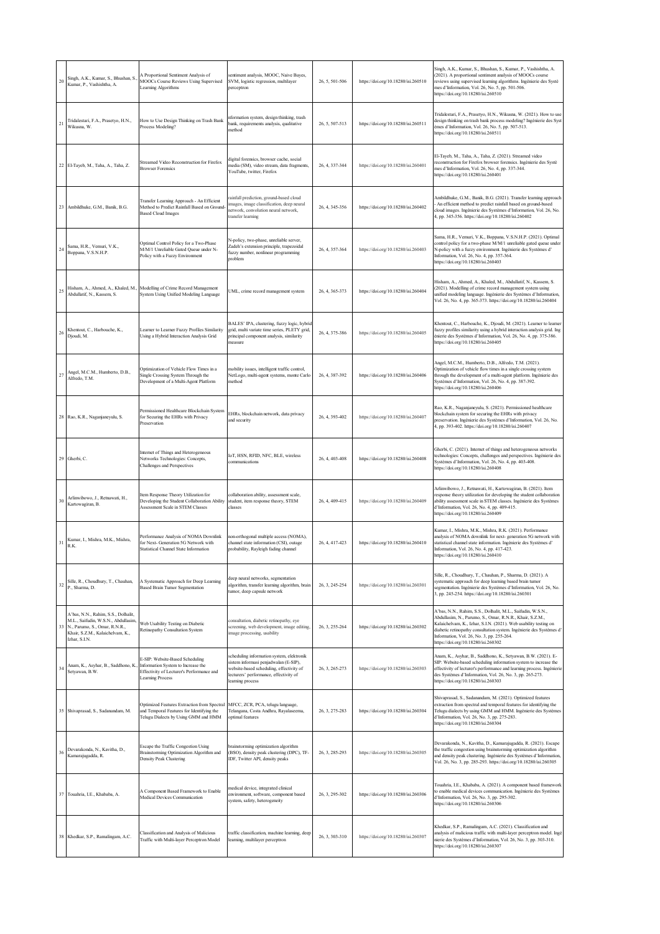| 20 | Singh, A.K., Kumar, S., Bhushan, S.<br>Kumar, P., Vashishtha, A.                                                                                                    | A Proportional Sentiment Analysis of<br>MOOCs Course Reviews Using Supervised<br>Learning Algorithms                                          | sentiment analysis, MOOC, Naive Bayes,<br>SVM, logistic regression, multilayer<br>perceptron                                                                                                 | 26, 5, 501-506 | https://doi.org/10.18280/isi.260510 | Singh, A.K., Kumar, S., Bhushan, S., Kumar, P., Vashishtha, A.<br>(2021). A proportional sentiment analysis of MOOCs course<br>reviews using supervised learning algorithms. Ingénierie des Systè<br>mes d'Information, Vol. 26, No. 5, pp. 501-506.<br>https://doi.org/10.18280/isi.260510                                                             |
|----|---------------------------------------------------------------------------------------------------------------------------------------------------------------------|-----------------------------------------------------------------------------------------------------------------------------------------------|----------------------------------------------------------------------------------------------------------------------------------------------------------------------------------------------|----------------|-------------------------------------|---------------------------------------------------------------------------------------------------------------------------------------------------------------------------------------------------------------------------------------------------------------------------------------------------------------------------------------------------------|
| 21 | Tridalestari, F.A., Prasetyo, H.N.,<br>Wikusna, W.                                                                                                                  | How to Use Design Thinking on Trash Bank<br>Process Modeling?                                                                                 | nformation system, design thinking, trash<br>bank, requirements analysis, qualitative<br>method                                                                                              | 26, 5, 507-513 | https://doi.org/10.18280/isi.260511 | Tridalestari, F.A., Prasetyo, H.N., Wikusna, W. (2021). How to use<br>design thinking on trash bank process modeling? Ingénierie des Syst<br>èmes d'Information, Vol. 26, No. 5, pp. 507-513.<br>https://doi.org/10.18280/isi.260511                                                                                                                    |
|    | 22 El-Tayeb, M., Taha, A., Taha, Z.                                                                                                                                 | <b>Streamed Video Reconstruction for Firefox</b><br><b>Browser Forensics</b>                                                                  | digital forensics, browser cache, social<br>media (SM), video stream, data fragments,<br>YouTube, twitter, Firefox                                                                           | 26, 4, 337-344 | https://doi.org/10.18280/isi.260401 | El-Tayeb, M., Taha, A., Taha, Z. (2021). Streamed video<br>reconstruction for Firefox browser forensics. Ingénierie des Systè<br>mes d'Information, Vol. 26, No. 4, pp. 337-344.<br>https://doi.org/10.18280/isi.260401                                                                                                                                 |
| 23 | Ambildhuke, G.M., Banik, B.G.                                                                                                                                       | Transfer Learning Approach - An Efficient<br>Method to Predict Rainfall Based on Ground-<br><b>Based Cloud Images</b>                         | ainfall prediction, ground-based cloud<br>images, image classification, deep neural<br>network, convolution neural network,<br>transfer learning                                             | 26, 4, 345-356 | https://doi.org/10.18280/isi.260402 | Ambildhuke, G.M., Banik, B.G. (2021). Transfer learning approach<br>An efficient method to predict rainfall based on ground-based<br>cloud images. Ingénierie des Systèmes d'Information, Vol. 26, No.<br>4, pp. 345-356. https://doi.org/10.18280/isi.260402                                                                                           |
| 24 | Sama, H.R., Vemuri, V.K.,<br>Boppana, V.S.N.H.P.                                                                                                                    | Optimal Control Policy for a Two-Phase<br>M/M/1 Unreliable Gated Queue under N-<br>Policy with a Fuzzy Environment                            | N-policy, two-phase, unreliable server,<br>Zadeh's extension principle, trapezoidal<br>fuzzy number, nonlinear programming<br>problem                                                        | 26, 4, 357-364 | https://doi.org/10.18280/isi.260403 | Sama, H.R., Vemuri, V.K., Boppana, V.S.N.H.P. (2021). Optimal<br>control policy for a two-phase M/M/1 unreliable gated queue under<br>N-policy with a fuzzy environment. Ingénierie des Systèmes d'<br>Information, Vol. 26, No. 4, pp. 357-364.<br>https://doi.org/10.18280/isi.260403                                                                 |
| 25 | Hisham, A., Ahmed, A., Khaled, M.,<br>Abdullatif, N., Kassem, S.                                                                                                    | Modelling of Crime Record Management<br>System Using Unified Modeling Language                                                                | UML, crime record management system                                                                                                                                                          | 26, 4, 365-373 | https://doi.org/10.18280/isi.260404 | Hisham, A., Ahmed, A., Khaled, M., Abdullatif, N., Kassem, S.<br>(2021). Modelling of crime record management system using<br>unified modeling language. Ingénierie des Systèmes d'Information,<br>Vol. 26, No. 4, pp. 365-373. https://doi.org/10.18280/isi.260404                                                                                     |
| 26 | Khentout, C., Harbouche, K.,<br>Djoudi, M.                                                                                                                          | Learner to Learner Fuzzy Profiles Similarity<br>Using a Hybrid Interaction Analysis Grid                                                      | BALES' IPA, clustering, fuzzy logic, hybrid<br>grid, multi variate time series, PLETY grid,<br>principal component analysis, similarity<br>measure                                           | 26, 4, 375-386 | https://doi.org/10.18280/isi.260405 | Khentout, C., Harbouche, K., Djoudi, M. (2021). Learner to learner<br>fuzzy profiles similarity using a hybrid interaction analysis grid. Ing<br>énierie des Systèmes d'Information, Vol. 26, No. 4, pp. 375-386.<br>https://doi.org/10.18280/isi.260405                                                                                                |
| 27 | Angel, M.C.M., Humberto, D.B.,<br>Alfredo, T.M.                                                                                                                     | Optimization of Vehicle Flow Times in a<br>Single Crossing System Through the<br>Development of a Multi-Agent Platform                        | nobility issues, intelligent traffic control,<br>NetLogo, multi-agent systems, monte Carlo<br>method                                                                                         | 26, 4, 387-392 | https://doi.org/10.18280/isi.260406 | Angel, M.C.M., Humberto, D.B., Alfredo, T.M. (2021).<br>Optimization of vehicle flow times in a single crossing system<br>through the development of a multi-agent platform. Ingénierie des<br>Systèmes d'Information, Vol. 26, No. 4, pp. 387-392.<br>https://doi.org/10.18280/isi.260406                                                              |
|    | 28 Rao, K.R., Naganjaneyulu, S.                                                                                                                                     | Permissioned Healthcare Blockchain System<br>for Securing the EHRs with Privacy<br>Preservation                                               | EHRs, blockchain network, data privacy<br>and security                                                                                                                                       | 26, 4, 393-402 | https://doi.org/10.18280/isi.260407 | Rao, K.R., Naganjaneyulu, S. (2021). Permissioned healthcare<br>blockchain system for securing the EHRs with privacy<br>preservation. Ingénierie des Systèmes d'Information, Vol. 26, No.<br>4, pp. 393-402. https://doi.org/10.18280/isi.260407                                                                                                        |
|    | 29 Gherbi, C.                                                                                                                                                       | Internet of Things and Heterogeneous<br>Networks Technologies: Concepts,<br>Challenges and Perspectives                                       | IoT, HSN, RFID, NFC, BLE, wireless<br>communications                                                                                                                                         | 26, 4, 403-408 | https://doi.org/10.18280/isi.260408 | Gherbi, C. (2021). Internet of things and heterogeneous networks<br>technologies: Concepts, challenges and perspectives. Ingénierie des<br>Systèmes d'Information, Vol. 26, No. 4, pp. 403-408.<br>https://doi.org/10.18280/isi.260408                                                                                                                  |
| 30 | Arlinwibowo, J., Retnawati, H.,<br>Kartowagiran, B.                                                                                                                 | Item Response Theory Utilization for<br>Developing the Student Collaboration Ability<br>Assessment Scale in STEM Classes                      | collaboration ability, assessment scale,<br>student, item response theory, STEM<br>classes                                                                                                   | 26, 4, 409-415 | https://doi.org/10.18280/isi.260409 | Arlinwibowo, J., Retnawati, H., Kartowagiran, B. (2021). Item<br>response theory utilization for developing the student collaboration<br>ability assessment scale in STEM classes. Ingénierie des Systèmes<br>d'Information, Vol. 26, No. 4, pp. 409-415.<br>https://doi.org/10.18280/isi.260409                                                        |
| 31 | Kumar, I., Mishra, M.K., Mishra,<br>R.K.                                                                                                                            | Performance Analysis of NOMA Downlink<br>for Next- Generation 5G Network with<br>Statistical Channel State Information                        | non-orthogonal multiple access (NOMA),<br>channel state information (CSI), outage<br>probability, Rayleigh fading channel                                                                    | 26, 4, 417-423 | https://doi.org/10.18280/isi.260410 | Kumar, I., Mishra, M.K., Mishra, R.K. (2021). Performance<br>analysis of NOMA downlink for next-generation 5G network with<br>statistical channel state information. Ingénierie des Systèmes d'<br>Information, Vol. 26, No. 4, pp. 417-423.<br>https://doi.org/10.18280/isi.260410                                                                     |
| 32 | Sille, R., Choudhury, T., Chauhan,<br>P., Sharma, D.                                                                                                                | A Systematic Approach for Deep Learning<br><b>Based Brain Tumor Segmentation</b>                                                              | deep neural networks, segmentation<br>algorithm, transfer learning algorithm, brain<br>tumor, deep capsule network                                                                           | 26.3.245-254   | https://doi.org/10.18280/isi.260301 | Sille, R., Choudhury, T., Chauhan, P., Sharma, D. (2021). A<br>systematic approach for deep learning based brain tumor<br>segmentation. Ingénierie des Systèmes d'Information, Vol. 26, No.<br>3, pp. 245-254. https://doi.org/10.18280/isi.260301                                                                                                      |
|    | A'bas, N.N., Rahim, S.S., Dolhalit,<br>M.L., Saifudin, W.S.N., Abdullasim,<br>33 N., Parumo, S., Omar, R.N.R.,<br>Khair, S.Z.M., Kalaichelvam, K.,<br>Izhar, S.I.N. | Web Usability Testing on Diabetic<br>Retinopathy Consultation System                                                                          | consultation, diabetic retinopathy, eye<br>screening, web development, image editing,<br>image processing, usability                                                                         | 26, 3, 255-264 | https://doi.org/10.18280/isi.260302 | A'bas, N.N., Rahim, S.S., Dolhalit, M.L., Saifudin, W.S.N.,<br>Abdullasim, N., Parumo, S., Omar, R.N.R., Khair, S.Z.M.,<br>Kalaichelvam, K., Izhar, S.I.N. (2021). Web usability testing on<br>diabetic retinopathy consultation system. Ingénierie des Systèmes d'<br>Information, Vol. 26, No. 3, pp. 255-264.<br>https://doi.org/10.18280/isi.260302 |
| 34 | Anam, K., Asyhar, B., Saddhono, K.<br>Setyawan, B.W.                                                                                                                | E-SIP: Website-Based Scheduling<br>Information System to Increase the<br>Effectivity of Lecturer's Performance and<br><b>Learning Process</b> | scheduling information system, elektronik<br>sistem informasi penjadwalan (E-SIP),<br>website-based scheduling, effectivity of<br>lecturers' performance, effectivity of<br>learning process | 26, 3, 265-273 | https://doi.org/10.18280/isi.260303 | Anam, K., Asyhar, B., Saddhono, K., Setyawan, B.W. (2021). E-<br>SIP: Website-based scheduling information system to increase the<br>effectivity of lecturer's performance and learning process. Ingénierie<br>des Systèmes d'Information, Vol. 26, No. 3, pp. 265-273.<br>https://doi.org/10.18280/isi.260303                                          |
| 35 | Shivaprasad, S., Sadanandam, M.                                                                                                                                     | Optimized Features Extraction from Spectral<br>and Temporal Features for Identifying the<br>Telugu Dialects by Using GMM and HMM              | MFCC, ZCR, PCA, telugu language,<br>Telangana, Costa Andhra, Rayalaseema,<br>optimal features                                                                                                | 26, 3, 275-283 | https://doi.org/10.18280/isi.260304 | Shivaprasad, S., Sadanandam, M. (2021). Optimized features<br>extraction from spectral and temporal features for identifying the<br>Telugu dialects by using GMM and HMM. Ingénierie des Systèmes<br>d'Information, Vol. 26, No. 3, pp. 275-283.<br>https://doi.org/10.18280/isi.260304                                                                 |
| 36 | Devarakonda, N., Kavitha, D.,<br>Kamarajugadda, R.                                                                                                                  | Escape the Traffic Congestion Using<br>Brainstorming Optimization Algorithm and<br>Density Peak Clustering                                    | brainstorming optimization algorithm<br>(BSO), density peak clustering (DPC), TF-<br>IDF, Twitter API, density peaks                                                                         | 26, 3, 285-293 | https://doi.org/10.18280/isi.260305 | Devarakonda, N., Kavitha, D., Kamarajugadda, R. (2021). Escape<br>the traffic congestion using brainstorming optimization algorithm<br>and density peak clustering. Ingénierie des Systèmes d'Information,<br>Vol. 26, No. 3, pp. 285-293. https://doi.org/10.18280/isi.260305                                                                          |
|    | 37 Touahria, I.E., Khababa, A.                                                                                                                                      | A Component Based Framework to Enable<br>Medical Devices Communication                                                                        | nedical device, integrated clinical<br>environment, software, component based<br>system, safety, heterogeneity                                                                               | 26, 3, 295-302 | https://doi.org/10.18280/isi.260306 | Touahria, I.E., Khababa, A. (2021). A component based framework<br>to enable medical devices communication. Ingénierie des Systèmes<br>d'Information, Vol. 26, No. 3, pp. 295-302.<br>https://doi.org/10.18280/isi.260306                                                                                                                               |
|    | 38 Khedkar, S.P., Ramalingam, A.C.                                                                                                                                  | Classification and Analysis of Malicious<br>Traffic with Multi-layer Perceptron Model                                                         | traffic classification, machine learning, deep<br>learning, multilayer perceptron                                                                                                            | 26, 3, 303-310 | https://doi.org/10.18280/isi.260307 | Khedkar, S.P., Ramalingam, A.C. (2021). Classification and<br>analysis of malicious traffic with multi-layer perceptron model. Ingé<br>nierie des Systèmes d'Information, Vol. 26, No. 3, pp. 303-310.<br>https://doi.org/10.18280/isi.260307                                                                                                           |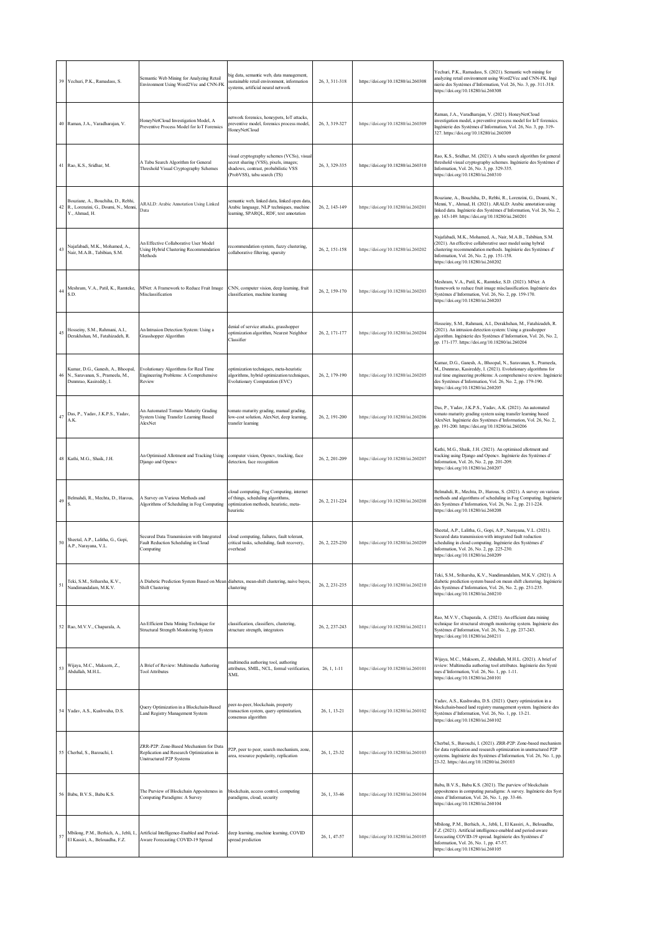|    | 39 Yechuri, P.K., Ramadass, S.                                                                     | Semantic Web Mining for Analyzing Retail<br>Environment Using Word2Vec and CNN-FK                                   | big data, semantic web, data management,<br>sustainable retail environment, information<br>systems, artificial neural network                              | 26, 3, 311-318 | https://doi.org/10.18280/isi.260308 | Yechuri, P.K., Ramadass, S. (2021). Semantic web mining for<br>analyzing retail environment using Word2Vec and CNN-FK. Ingé<br>nierie des Systèmes d'Information, Vol. 26, No. 3, pp. 311-318.<br>https://doi.org/10.18280/isi.260308                                                                     |
|----|----------------------------------------------------------------------------------------------------|---------------------------------------------------------------------------------------------------------------------|------------------------------------------------------------------------------------------------------------------------------------------------------------|----------------|-------------------------------------|-----------------------------------------------------------------------------------------------------------------------------------------------------------------------------------------------------------------------------------------------------------------------------------------------------------|
|    | 40 Raman, J.A., Varadharajan, V.                                                                   | HoneyNetCloud Investigation Model, A<br>Preventive Process Model for IoT Forensics                                  | network forensics, honeypots, IoT attacks,<br>preventive model, forensics process model,<br>HoneyNetCloud                                                  | 26, 3, 319-327 | https://doi.org/10.18280/isi.260309 | Raman, J.A., Varadharajan, V. (2021). HoneyNetCloud<br>investigation model, a preventive process model for IoT forensics.<br>Ingénierie des Systèmes d'Information, Vol. 26, No. 3, pp. 319-<br>327. https://doi.org/10.18280/isi.260309                                                                  |
|    | 41 Rao, K.S., Sridhar, M.                                                                          | A Tabu Search Algorithm for General<br>Threshold Visual Cryptography Schemes                                        | visual cryptography schemes (VCSs), visual<br>secret sharing (VSS), pixels, images;<br>shadows, contrast, probabilistic VSS<br>(ProbVSS), tabu search (TS) | 26, 3, 329-335 | https://doi.org/10.18280/isi.260310 | Rao, K.S., Sridhar, M. (2021). A tabu search algorithm for general<br>threshold visual cryptography schemes. Ingénierie des Systèmes d'<br>Information, Vol. 26, No. 3, pp. 329-335.<br>https://doi.org/10.18280/isi.260310                                                                               |
|    | Bouziane, A., Bouchiha, D., Rebhi,<br>42 R., Lorenzini, G., Doumi, N., Menni,<br>Y., Ahmad, H.     | ARALD: Arabic Annotation Using Linked<br>Data                                                                       | semantic web, linked data, linked open data,<br>Arabic language, NLP techniques, machine<br>learning, SPARQL, RDF, text annotation                         | 26, 2, 143-149 | https://doi.org/10.18280/isi.260201 | Bouziane, A., Bouchiha, D., Rebhi, R., Lorenzini, G., Doumi, N.,<br>Menni, Y., Ahmad, H. (2021). ARALD: Arabic annotation using<br>linked data. Ingénierie des Systèmes d'Information, Vol. 26, No. 2,<br>pp. 143-149. https://doi.org/10.18280/isi.260201                                                |
| 43 | Najafabadi, M.K., Mohamed, A.,<br>Nair, M.A.B., Tabibian, S.M.                                     | An Effective Collaborative User Model<br>Using Hybrid Clustering Recommendation<br>Methods                          | recommendation system, fuzzy clustering,<br>collaborative filtering, sparsity                                                                              | 26, 2, 151-158 | https://doi.org/10.18280/isi.260202 | Najafabadi, M.K., Mohamed, A., Nair, M.A.B., Tabibian, S.M.<br>(2021). An effective collaborative user model using hybrid<br>clustering recommendation methods. Ingénierie des Systèmes d'<br>Information, Vol. 26, No. 2, pp. 151-158.<br>https://doi.org/10.18280/isi.260202                            |
| 44 | Meshram, V.A., Patil, K., Ramteke,<br>S.D.                                                         | MNet: A Framework to Reduce Fruit Image<br>Misclassification                                                        | CNN, computer vision, deep learning, fruit<br>classification, machine learning                                                                             | 26, 2, 159-170 | https://doi.org/10.18280/isi.260203 | Meshram, V.A., Patil, K., Ramteke, S.D. (2021). MNet: A<br>framework to reduce fruit image misclassification. Ingénierie des<br>Systèmes d'Information, Vol. 26, No. 2, pp. 159-170.<br>https://doi.org/10.18280/isi.260203                                                                               |
| 45 | Hosseiny, S.M., Rahmani, A.I.,<br>Derakhshan, M., Fatahizadeh, R.                                  | An Intrusion Detection System: Using a<br>Grasshopper Algorithm                                                     | denial of service attacks, grasshopper<br>optimization algorithm, Nearest Neighbor<br>Classifier                                                           | 26, 2, 171-177 | https://doi.org/10.18280/isi.260204 | Hosseiny, S.M., Rahmani, A.I., Derakhshan, M., Fatahizadeh, R.<br>(2021). An intrusion detection system: Using a grasshopper<br>algorithm. Ingénierie des Systèmes d'Information, Vol. 26, No. 2,<br>pp. 171-177. https://doi.org/10.18280/isi.260204                                                     |
|    | Kumar, D.G., Ganesh, A., Bhoopal,<br>46 N., Saravanan, S., Prameela, M.,<br>Dsnmrao, Kasireddy, I. | Evolutionary Algorithms for Real Time<br>Engineering Problems: A Comprehensive<br>Review                            | optimization techniques, meta-heuristic<br>algorithms, hybrid optimization techniques,<br>Evolutionary Computation (EVC)                                   | 26, 2, 179-190 | https://doi.org/10.18280/isi.260205 | Kumar, D.G., Ganesh, A., Bhoopal, N., Saravanan, S., Prameela,<br>M., Dsmmrao, Kasireddy, I. (2021). Evolutionary algorithms for<br>real time engineering problems: A comprehensive review. Ingénierie<br>des Systèmes d'Information, Vol. 26, No. 2, pp. 179-190.<br>https://doi.org/10.18280/isi.260205 |
| 47 | Das, P., Yadav, J.K.P.S., Yadav,<br>A.K.                                                           | An Automated Tomato Maturity Grading<br>System Using Transfer Learning Based<br>AlexNet                             | tomato maturity grading, manual grading,<br>low-cost solution, AlexNet, deep learning,<br>transfer learning                                                | 26, 2, 191-200 | https://doi.org/10.18280/isi.260206 | Das, P., Yadav, J.K.P.S., Yadav, A.K. (2021). An automated<br>tomato maturity grading system using transfer learning based<br>AlexNet. Ingénierie des Systèmes d'Information, Vol. 26, No. 2,<br>pp. 191-200. https://doi.org/10.18280/isi.260206                                                         |
|    | 48 Kathi, M.G., Shaik, J.H.                                                                        | An Optimised Allotment and Tracking Using<br>Django and Opencv                                                      | computer vision, Opencv, tracking, face<br>detection, face recognition                                                                                     | 26, 2, 201-209 | https://doi.org/10.18280/isi.260207 | Kathi, M.G., Shaik, J.H. (2021). An optimised allotment and<br>tracking using Django and Opencv. Ingénierie des Systèmes d'<br>Information, Vol. 26, No. 2, pp. 201-209.<br>https://doi.org/10.18280/isi.260207                                                                                           |
| 49 | Belmahdi, R., Mechta, D., Harous,                                                                  | A Survey on Various Methods and<br>Algorithms of Scheduling in Fog Computing                                        | cloud computing, Fog Computing, internet<br>of things, scheduling algorithms,<br>optimization methods, heuristic, meta-<br>heuristic                       | 26, 2, 211-224 | https://doi.org/10.18280/isi.260208 | Belmahdi, R., Mechta, D., Harous, S. (2021). A survey on various<br>methods and algorithms of scheduling in Fog Computing. Ingénierie<br>des Systèmes d'Information, Vol. 26, No. 2, pp. 211-224.<br>https://doi.org/10.18280/isi.260208                                                                  |
| 50 | Sheetal, A.P., Lalitha, G., Gopi,<br>A.P., Narayana, V.L.                                          | Secured Data Transmission with Integrated<br>Fault Reduction Scheduling in Cloud<br>Computing                       | cloud computing, failures, fault tolerant,<br>critical tasks, scheduling, fault recovery,<br>overhead                                                      | 26, 2, 225-230 | https://doi.org/10.18280/isi.260209 | Sheetal, A.P., Lalitha, G., Gopi, A.P., Narayana, V.L. (2021).<br>Secured data transmission with integrated fault reduction<br>scheduling in cloud computing. Ingénierie des Systèmes d'<br>Information, Vol. 26, No. 2, pp. 225-230.<br>https://doi.org/10.18280/isi.260209                              |
| 51 | Teki, S.M., Sriharsha, K.V.,<br>Nandimandalam, M.K.V.                                              | A Diabetic Prediction System Based on Mean diabetes, mean-shift clustering, naive bayes,<br><b>Shift Clustering</b> | clustering                                                                                                                                                 | 26, 2, 231-235 | https://doi.org/10.18280/isi.260210 | Teki, S.M., Sriharsha, K.V., Nandimandalam, M.K.V. (2021). A<br>diabetic prediction system based on mean shift clustering. Ingénierie<br>des Systèmes d'Information, Vol. 26, No. 2, pp. 231-235.<br>https://doi.org/10.18280/isi.260210                                                                  |
|    | 52 Rao, M.V.V., Chaparala, A.                                                                      | An Efficient Data Mining Technique for<br>Structural Strength Monitoring System                                     | classification, classifiers, clustering,<br>structure strength, integrators                                                                                | 26, 2, 237-243 | https://doi.org/10.18280/isi.260211 | Rao, M.V.V., Chaparala, A. (2021). An efficient data mining<br>technique for structural strength monitoring system. Ingénierie des<br>Systèmes d'Information, Vol. 26, No. 2, pp. 237-243.<br>https://doi.org/10.18280/isi.260211                                                                         |
| 53 | Wijaya, M.C., Maksom, Z.,<br>Abdullah, M.H.L.                                                      | A Brief of Review: Multimedia Authoring<br><b>Tool Attributes</b>                                                   | multimedia authoring tool, authoring<br>attributes, SMIL, NCL, formal verification,<br><b>XML</b>                                                          | $26, 1, 1-11$  | https://doi.org/10.18280/isi.260101 | Wijaya, M.C., Maksom, Z., Abdullah, M.H.L. (2021). A brief of<br>review: Multimedia authoring tool attributes. Ingénierie des Systè<br>mes d'Information, Vol. 26, No. 1, pp. 1-11.<br>https://doi.org/10.18280/isi.260101                                                                                |
|    | 54 Yadav, A.S., Kushwaha, D.S.                                                                     | Query Optimization in a Blockchain-Based<br>Land Registry Management System                                         | peer-to-peer, blockchain, property<br>transaction system, query optimization,<br>consensus algorithm                                                       | 26, 1, 13-21   | https://doi.org/10.18280/isi.260102 | Yadav, A.S., Kushwaha, D.S. (2021). Query optimization in a<br>blockchain-based land registry management system. Ingénierie des<br>Systèmes d'Information, Vol. 26, No. 1, pp. 13-21.<br>https://doi.org/10.18280/isi.260102                                                                              |
|    | 55 Cherbal, S., Barouchi, I.                                                                       | ZRR-P2P: Zone-Based Mechanism for Data<br>Replication and Research Optimization in<br>Unstructured P2P Systems      | P2P, peer to peer, search mechanism, zone,<br>area, resource popularity, replication                                                                       | 26, 1, 23-32   | https://doi.org/10.18280/isi.260103 | Cherbal, S., Barouchi, I. (2021). ZRR-P2P: Zone-based mechanism<br>for data replication and research optimization in unstructured P2P<br>systems. Ingénierie des Systèmes d'Information, Vol. 26, No. 1, pp.<br>23-32. https://doi.org/10.18280/isi.260103                                                |
|    | 56 Babu, B.V.S., Babu K.S.                                                                         | The Purview of Blockchain Appositeness in<br>Computing Paradigms: A Survey                                          | blockchain, access control, computing<br>paradigms, cloud, security                                                                                        | 26, 1, 33-46   | https://doi.org/10.18280/isi.260104 | Babu, B.V.S., Babu K.S. (2021). The purview of blockchain<br>appositeness in computing paradigms: A survey. Ingénierie des Syst<br>èmes d'Information, Vol. 26, No. 1, pp. 33-46.<br>https://doi.org/10.18280/isi.260104                                                                                  |
| 57 | Mbilong, P.M., Berhich, A., Jebli, I.,<br>El Kassiri, A., Belouadha, F.Z.                          | Artificial Intelligence-Enabled and Period-<br>Aware Forecasting COVID-19 Spread                                    | deep learning, machine learning, COVID<br>spread prediction                                                                                                | 26, 1, 47-57   | https://doi.org/10.18280/isi.260105 | Mbilong, P.M., Berhich, A., Jebli, I., El Kassiri, A., Belouadha,<br>F.Z. (2021). Artificial intelligence-enabled and period-aware<br>forecasting COVID-19 spread. Ingénierie des Systèmes d'<br>Information, Vol. 26, No. 1, pp. 47-57.<br>https://doi.org/10.18280/isi.260105                           |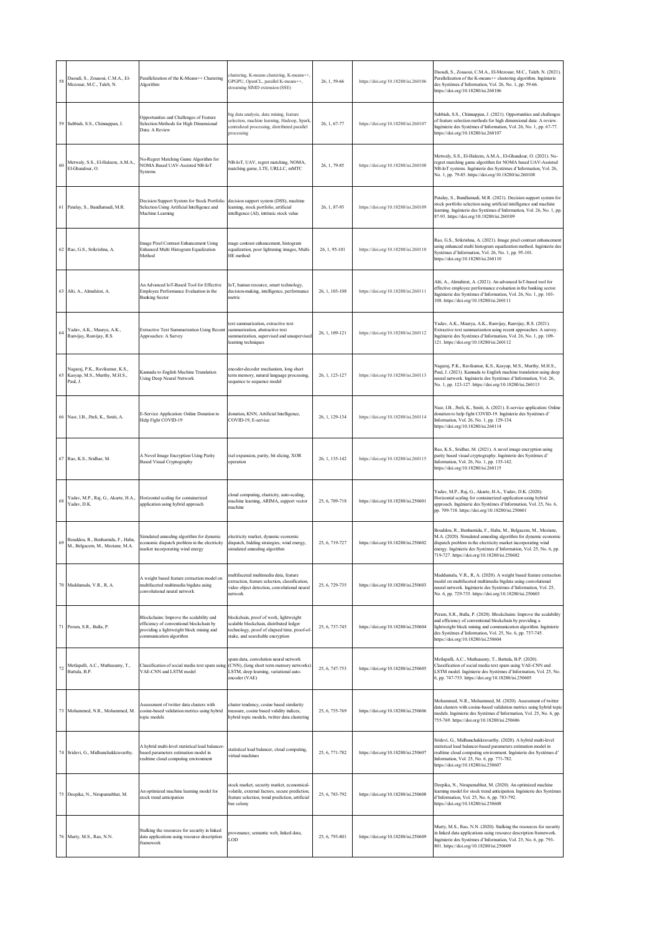|        | 58 Daoudi, S., Zouaoui, C.M.A., El-<br>Mezouar, M.C., Taleb, N.                 | Parallelization of the K-Means++ Clustering<br>Algorithm                                                                                                    | clustering, K-means clustering, K-means++<br>GPGPU, OpenCL, parallel K-means++,<br>streaming SIMD extension (SSE)                                                     | 26, 1, 59-66   | https://doi.org/10.18280/isi.260106 | Daoudi, S., Zouaoui, C.M.A., El-Mezouar, M.C., Taleb, N. (2021)<br>Parallelization of the K-means++ clustering algorithm. Ingénierie<br>des Systèmes d'Information, Vol. 26, No. 1, pp. 59-66.<br>https://doi.org/10.18280/isi.260106                                                                                  |
|--------|---------------------------------------------------------------------------------|-------------------------------------------------------------------------------------------------------------------------------------------------------------|-----------------------------------------------------------------------------------------------------------------------------------------------------------------------|----------------|-------------------------------------|------------------------------------------------------------------------------------------------------------------------------------------------------------------------------------------------------------------------------------------------------------------------------------------------------------------------|
|        | 59 Subbiah, S.S., Chinnappan, J.                                                | Opportunities and Challenges of Feature<br>Selection Methods for High Dimensional<br>Data: A Review                                                         | big data analysis, data mining, feature<br>selection, machine learning, Hadoop, Spark,<br>centralized processing, distributed parallel<br>processing                  | 26, 1, 67-77   | https://doi.org/10.18280/isi.260107 | Subbiah, S.S., Chinnappan, J. (2021). Opportunities and challenges<br>of feature selection methods for high dimensional data: A review.<br>Ingénierie des Systèmes d'Information, Vol. 26, No. 1, pp. 67-77.<br>https://doi.org/10.18280/isi.260107                                                                    |
| $60\,$ | Metwaly, S.S., El-Haleem, A.M.A.,<br>El-Ghandour, O.                            | No-Regret Matching Game Algorithm for<br>NOMA Based UAV-Assisted NB-IoT<br>Systems                                                                          | NB-IoT, UAV, regret matching, NOMA,<br>matching game, LTE, URLLC, mMTC                                                                                                | 26, 1, 79-85   | https://doi.org/10.18280/isi.260108 | Metwaly, S.S., El-Haleem, A.M.A., El-Ghandour, O. (2021). No-<br>regret matching game algorithm for NOMA based UAV-Assisted<br>NB-IoT systems. Ingénierie des Systèmes d'Information, Vol. 26,<br>No. 1, pp. 79-85. https://doi.org/10.18280/isi.260108                                                                |
|        | 61 Patalay, S., Bandlamudi, M.R.                                                | Decision Support System for Stock Portfolio<br>Selection Using Artificial Intelligence and<br>Machine Learning                                              | decision support system (DSS), machine<br>learning, stock portfolio, artificial<br>intelligence (AI), intrinsic stock value                                           | 26, 1, 87-93   | https://doi.org/10.18280/isi.260109 | Patalay, S., Bandlamudi, M.R. (2021). Decision support system for<br>stock portfolio selection using artificial intelligence and machine<br>learning. Ingénierie des Systèmes d'Information, Vol. 26, No. 1, pp.<br>87-93. https://doi.org/10.18280/isi.260109                                                         |
|        | 62 Rao, G.S., Srikrishna, A.                                                    | Image Pixel Contrast Enhancement Using<br>Enhanced Multi Histogram Equalization<br>Method                                                                   | mage contrast enhancement, histogram<br>equalization, poor lightening images, Multi-<br>HE method                                                                     | 26, 1, 95-101  | https://doi.org/10.18280/isi.260110 | Rao, G.S., Srikrishna, A. (2021). Image pixel contrast enhancement<br>using enhanced multi histogram equalization method. Ingénierie des<br>Systèmes d'Information, Vol. 26, No. 1, pp. 95-101.<br>https://doi.org/10.18280/isi.260110                                                                                 |
|        | 63 Alti, A., Almuhirat, A.                                                      | An Advanced IoT-Based Tool for Effective<br>Employee Performance Evaluation in the<br><b>Banking Sector</b>                                                 | IoT, human resource, smart technology,<br>decision-making, intelligence, performance<br>metric                                                                        | 26, 1, 103-108 | https://doi.org/10.18280/isi.260111 | Alti, A., Almuhirat, A. (2021). An advanced IoT-based tool for<br>effective employee performance evaluation in the banking sector.<br>Ingénierie des Systèmes d'Information, Vol. 26, No. 1, pp. 103-<br>108. https://doi.org/10.18280/isi.260111                                                                      |
| 64     | Yadav, A.K., Maurya, A.K.,<br>Ranvijay, Ranvijay, R.S.                          | Extractive Text Summarization Using Recent<br>Approaches: A Survey                                                                                          | text summarization, extractive text<br>summarization, abstractive text<br>summarization, supervised and unsupervised<br>learning techniques                           | 26, 1, 109-121 | https://doi.org/10.18280/isi.260112 | Yadav, A.K., Maurya, A.K., Ranvijay, Ranvijay, R.S. (2021).<br>Extractive text summarization using recent approaches: A survey.<br>Ingénierie des Systèmes d'Information, Vol. 26, No. 1, pp. 109-<br>121. https://doi.org/10.18280/isi.260112                                                                         |
|        | Nagaraj, P.K., Ravikumar, K.S.,<br>65 Kasyap, M.S., Murthy, M.H.S.,<br>Paul, J. | Kannada to English Machine Translation<br>Using Deep Neural Network                                                                                         | encoder-decoder mechanism, long short<br>erm memory, natural language processing,<br>sequence to sequence model                                                       | 26, 1, 123-127 | https://doi.org/10.18280/isi.260113 | Nagaraj, P.K., Ravikumar, K.S., Kasyap, M.S., Murthy, M.H.S.,<br>Paul, J. (2021). Kannada to English machine translation using deep<br>neural network. Ingénierie des Systèmes d'Information, Vol. 26,<br>No. 1, pp. 123-127. https://doi.org/10.18280/isi.260113                                                      |
|        | 66 Nasr, I.B., Jbeli, K., Smiti, A.                                             | E-Service Application: Online Donation to<br>Help Fight COVID-19                                                                                            | donation, KNN, Artificial Intelligence,<br>COVID-19, E-service                                                                                                        | 26, 1, 129-134 | https://doi.org/10.18280/isi.260114 | Nasr, I.B., Jbeli, K., Smiti, A. (2021). E-service application: Online<br>donation to help fight COVID-19. Ingénierie des Systèmes d'<br>Information, Vol. 26, No. 1, pp. 129-134.<br>https://doi.org/10.18280/isi.260114                                                                                              |
|        | 67 Rao, K.S., Sridhar, M.                                                       | A Novel Image Encryption Using Parity<br><b>Based Visual Cryptography</b>                                                                                   | ixel expansion, parity, bit slicing, XOR<br>operation                                                                                                                 | 26, 1, 135-142 | https://doi.org/10.18280/isi.260115 | Rao, K.S., Sridhar, M. (2021). A novel image encryption using<br>parity based visual cryptography. Ingénierie des Systèmes d'<br>Information, Vol. 26, No. 1, pp. 135-142.<br>https://doi.org/10.18280/isi.260115                                                                                                      |
|        | Yadav, M.P., Raj, G., Akarte, H.A.,<br>$^{68}$ Yadav, D.K.                      | Horizontal scaling for containerized<br>application using hybrid approach                                                                                   | cloud computing, elasticity, auto-scaling,<br>machine learning, ARIMA, support vector<br>machine                                                                      | 25, 6, 709-718 | https://doi.org/10.18280/isi.250601 | Yadav, M.P., Raj, G., Akarte, H.A., Yadav, D.K. (2020).<br>Horizontal scaling for containerized application using hybrid<br>approach. Ingénierie des Systèmes d'Information, Vol. 25, No. 6,<br>pp. 709-718. https://doi.org/10.18280/isi.250601                                                                       |
| 69     | Bouddou, R., Benhamida, F., Haba,<br>M., Belgacem, M., Meziane, M.A.            | Simulated annealing algorithm for dynamic<br>economic dispatch problem in the electricity<br>market incorporating wind energy                               | electricity market, dynamic economic<br>dispatch, bidding strategies, wind energy,<br>simulated annealing algorithm                                                   | 25, 6, 719-727 | https://doi.org/10.18280/isi.250602 | Bouddou, R., Benhamida, F., Haba, M., Belgacem, M., Meziane,<br>M.A. (2020). Simulated annealing algorithm for dynamic economic<br>dispatch problem in the electricity market incorporating wind<br>energy. Ingénierie des Systèmes d'Information, Vol. 25, No. 6, pp.<br>719-727. https://doi.org/10.18280/isi.250602 |
|        | 70 Maddumala, V.R., R, A.                                                       | A weight based feature extraction model on<br>multifaceted multimedia bigdata using<br>convolutional neural network                                         | multifaceted multimedia data, feature<br>extraction, feature selection, classification,<br>video object detection, convolutional neural<br>network                    | 25, 6, 729-735 | https://doi.org/10.18280/isi.250603 | Maddumala, V.R., R, A. (2020). A weight based feature extraction<br>model on multifaceted multimedia bigdata using convolutional<br>neural network. Ingénierie des Systèmes d'Information, Vol. 25,<br>No. 6, pp. 729-735. https://doi.org/10.18280/isi.250603                                                         |
|        | 71 Peram, S.R., Bulla, P.                                                       | Blockchains: Improve the scalability and<br>efficiency of conventional blockchain by<br>providing a lightweight block mining and<br>communication algorithm | blockchain, proof of work, lightweight<br>scalable blockchain, distributed ledger<br>technology, proof of elapsed time, proof-of-<br>stake, and searchable encryption | 25, 6, 737-745 | https://doi.org/10.18280/isi.250604 | Peram, S.R., Bulla, P. (2020). Blockchains: Improve the scalability<br>and efficiency of conventional blockchain by providing a<br>lightweight block mining and communication algorithm. Ingénierie<br>des Systèmes d'Information, Vol. 25, No. 6, pp. 737-745.<br>https://doi.org/10.18280/isi.250604                 |
| 72     | Metlapalli, A.C., Muthusamy, T.,<br>Battula, B.P.                               | Classification of social media text spam using<br>VAE-CNN and LSTM model                                                                                    | spam data, convolution neural network<br>(CNN), (long short term memory networks)<br>LSTM, deep learning, variational auto-<br>encoder (VAE)                          | 25, 6, 747-753 | https://doi.org/10.18280/isi.250605 | Metlapalli, A.C., Muthusamy, T., Battula, B.P. (2020).<br>Classification of social media text spam using VAE-CNN and<br>LSTM model. Ingénierie des Systèmes d'Information, Vol. 25, No.<br>6, pp. 747-753. https://doi.org/10.18280/isi.250605                                                                         |
|        | 73 Mohammed, N.R., Mohammed, M.                                                 | Assessment of twitter data clusters with<br>cosine-based validation metrics using hybrid<br>topic models                                                    | cluster tendency, cosine based similarity<br>measure, cosine based validity indices,<br>hybrid topic models, twitter data clustering                                  | 25, 6, 755-769 | https://doi.org/10.18280/isi.250606 | Mohammed, N.R., Mohammed, M. (2020). Assessment of twitter<br>data clusters with cosine-based validation metrics using hybrid topic<br>models. Ingénierie des Systèmes d'Information, Vol. 25, No. 6, pp.<br>755-769. https://doi.org/10.18280/isi.250606                                                              |
|        | 74 Sridevi, G., Midhunchakkravarthy.                                            | A hybrid multi-level statistical load balancer-<br>based parameters estimation model in<br>realtime cloud computing environment                             | statistical load balancer, cloud computing,<br>virtual machines                                                                                                       | 25, 6, 771-782 | https://doi.org/10.18280/isi.250607 | Sridevi, G., Midhunchakkravarthy. (2020). A hybrid multi-level<br>statistical load balancer-based parameters estimation model in<br>realtime cloud computing environment. Ingénierie des Systèmes d'<br>Information, Vol. 25, No. 6, pp. 771-782.<br>https://doi.org/10.18280/isi.250607                               |
|        | 75 Deepika, N., Nirupamabhat, M.                                                | An optimized machine learning model for<br>stock trend anticipation                                                                                         | stock market, security market, economical-<br>volatile, external factors, secure prediction,<br>feature selection, trend prediction, artificial<br>bee colony         | 25, 6, 783-792 | https://doi.org/10.18280/isi.250608 | Deepika, N., Nirupamabhat, M. (2020). An optimized machine<br>learning model for stock trend anticipation. Ingénierie des Systèmes<br>d'Information, Vol. 25, No. 6, pp. 783-792.<br>https://doi.org/10.18280/isi.250608                                                                                               |
|        | 76 Murty, M.S., Rao, N.N.                                                       | Stalking the resources for security in linked<br>data applications using resource description<br>framework                                                  | provenance, semantic web, linked data,<br>LOD                                                                                                                         | 25, 6, 793-801 | https://doi.org/10.18280/isi.250609 | Murty, M.S., Rao, N.N. (2020). Stalking the resources for security<br>in linked data applications using resource description framework.<br>Ingénierie des Systèmes d'Information, Vol. 25, No. 6, pp. 793-<br>801. https://doi.org/10.18280/isi.250609                                                                 |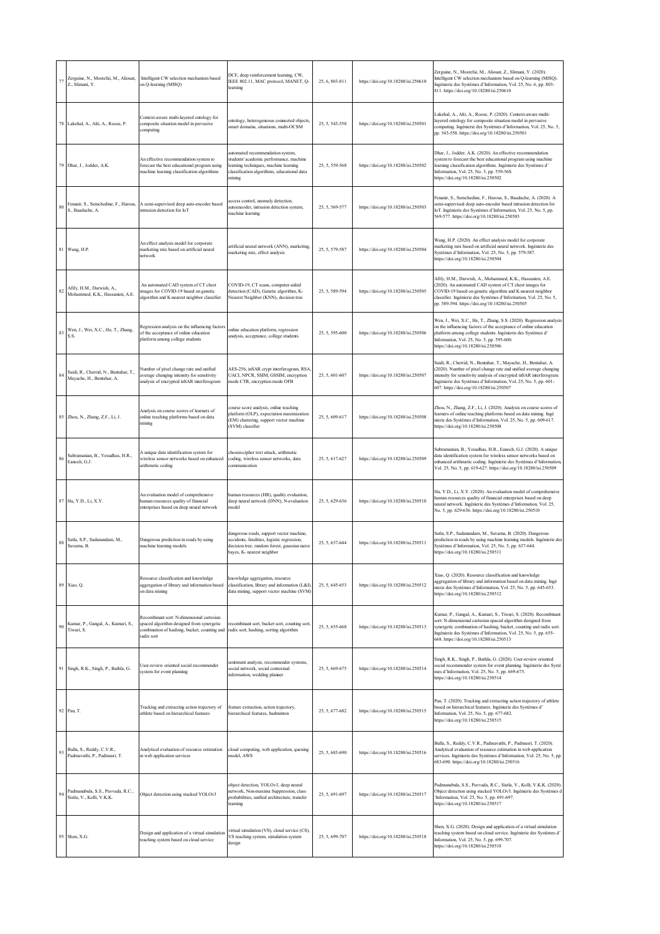| 77 | Zerguine, N., Mostefai, M., Aliouat,<br>Z., Slimani, Y.            | Intelligent CW selection mechanism based<br>on Q-learning (MISQ)                                                                                                                            | DCF, deep reinforcement learning, CW,<br>IEEE 802.11, MAC protocol, MANET, Q-<br>learning                                                                                     | 25, 6, 803-811 | https://doi.org/10.18280/isi.250610 | Zerguine, N., Mostefai, M., Aliouat, Z., Slimani, Y. (2020).<br>Intelligent CW selection mechanism based on Q-learning (MISQ).<br>Ingénierie des Systèmes d'Information, Vol. 25, No. 6, pp. 803-<br>811. https://doi.org/10.18280/isi.250610                                                                              |
|----|--------------------------------------------------------------------|---------------------------------------------------------------------------------------------------------------------------------------------------------------------------------------------|-------------------------------------------------------------------------------------------------------------------------------------------------------------------------------|----------------|-------------------------------------|----------------------------------------------------------------------------------------------------------------------------------------------------------------------------------------------------------------------------------------------------------------------------------------------------------------------------|
|    | 78 Lakehal, A., Alti, A., Roose, P.                                | Context-aware multi-layered ontology for<br>composite situation model in pervasive<br>computing                                                                                             | ontology, heterogeneous connected objects,<br>smart domains, situations, multi-OCSM                                                                                           | 25, 5, 543-558 | https://doi.org/10.18280/isi.250501 | Lakehal, A., Alti, A., Roose, P. (2020). Context-aware multi-<br>layered ontology for composite situation model in pervasive<br>computing. Ingénierie des Systèmes d'Information, Vol. 25, No. 5,<br>pp. 543-558. https://doi.org/10.18280/isi.250501                                                                      |
|    | 79 Dhar, J., Jodder, A.K.                                          | An effective recommendation system to<br>forecast the best educational program using<br>machine learning classification algorithms                                                          | automated recommendation system,<br>students' academic performance, machine<br>learning techniques, machine learning<br>classification algorithms, educational data<br>mining | 25, 5, 559-568 | https://doi.org/10.18280/isi.250502 | Dhar, J., Jodder, A.K. (2020). An effective recommendation<br>system to forecast the best educational program using machine<br>learning classification algorithms. Ingénierie des Systèmes d'<br>Information, Vol. 25, No. 5, pp. 559-568.<br>https://doi.org/10.18280/isi.250502                                          |
| 80 | Fenanir, S., Semchedine, F., Harous,<br>S., Baadache, A.           | A semi-supervised deep auto-encoder based<br>intrusion detection for IoT                                                                                                                    | access control, anomaly detection,<br>autoencoder, intrusion detection system,<br>machine learning                                                                            | 25, 5, 569-577 | https://doi.org/10.18280/isi.250503 | Fenanir, S., Semchedine, F., Harous, S., Baadache, A. (2020). A<br>semi-supervised deep auto-encoder based intrusion detection for<br>IoT. Ingénierie des Systèmes d'Information, Vol. 25, No. 5, pp.<br>569-577. https://doi.org/10.18280/isi.250503                                                                      |
|    | 81 Wang, H.P.                                                      | An effect analysis model for corporate<br>marketing mix based on artificial neural<br>network                                                                                               | artificial neural network (ANN), marketing,<br>marketing mix, effect analysis                                                                                                 | 25, 5, 579-587 | https://doi.org/10.18280/isi.250504 | Wang, H.P. (2020). An effect analysis model for corporate<br>marketing mix based on artificial neural network. Ingénierie des<br>Systèmes d'Information, Vol. 25, No. 5, pp. 579-587.<br>https://doi.org/10.18280/isi.250504                                                                                               |
| 82 | Afify, H.M., Darwish, A.,<br>Mohammed, K.K., Hassanien, A.E.       | An automated CAD system of CT chest<br>images for COVID-19 based on genetic<br>algorithm and K-nearest neighbor classifier                                                                  | COVID-19, CT scans, computer-aided<br>detection (CAD), Genetic algorithm, K-<br>Nearest Neighbor (KNN), decision tree                                                         | 25, 5, 589-594 | https://doi.org/10.18280/isi.250505 | Afify, H.M., Darwish, A., Mohammed, K.K., Hassanien, A.E.<br>(2020). An automated CAD system of CT chest images for<br>COVID-19 based on genetic algorithm and K-nearest neighbor<br>classifier. Ingénierie des Systèmes d'Information, Vol. 25, No. 5,<br>pp. 589-594. https://doi.org/10.18280/isi.250505                |
| 83 | Wen, J., Wei, X.C., He, T., Zhang,<br>S.S.                         | Regression analysis on the influencing factors<br>of the acceptance of online education<br>platform among college students                                                                  | online education platform, regression<br>analysis, acceptance, college students                                                                                               | 25, 5, 595-600 | https://doi.org/10.18280/isi.250506 | Wen, J., Wei, X.C., He, T., Zhang, S.S. (2020). Regression analysis<br>on the influencing factors of the acceptance of online education<br>platform among college students. Ingénierie des Systèmes d'<br>Information, Vol. 25, No. 5, pp. 595-600.<br>https://doi.org/10.18280/isi.250506                                 |
| 84 | Saidi, R., Cherrid, N., Bentahar, T.,<br>Mayache, H., Bentahar, A. | Number of pixel change rate and unified<br>average changing intensity for sensitivity<br>analysis of encrypted inSAR interferogram                                                          | AES-256, inSAR crypt interferogram, RSA,<br>UACI, NPCR, SSIM, GSSIM, encryption<br>mode CTR, encryption mode OFB                                                              | 25, 5, 601-607 | https://doi.org/10.18280/isi.250507 | Saidi, R., Cherrid, N., Bentahar, T., Mayache, H., Bentahar, A.<br>(2020). Number of pixel change rate and unified average changing<br>intensity for sensitivity analysis of encrypted inSAR interferogram.<br>Ingénierie des Systèmes d'Information, Vol. 25, No. 5, pp. 601-<br>607. https://doi.org/10.18280/isi.250507 |
|    | 85 Zhou, N., Zhang, Z.F., Li, J.                                   | Analysis on course scores of learners of<br>online teaching platforms based on data<br>mining                                                                                               | course score analysis, online teaching<br>platform (OLP), expectation maximization<br>(EM) clustering, support vector machine<br>(SVM) classifier                             | 25, 5, 609-617 | https://doi.org/10.18280/isi.250508 | Zhou, N., Zhang, Z.F., Li, J. (2020). Analysis on course scores of<br>learners of online teaching platforms based on data mining. Ingé<br>nierie des Systèmes d'Information, Vol. 25, No. 5, pp. 609-617.<br>https://doi.org/10.18280/isi.250508                                                                           |
| 86 | Subramanian, B., Yesudhas, H.R.,<br>Eanoch, G.J.                   | A unique data identification system for<br>wireless sensor networks based on enhanced<br>arithmetic coding                                                                                  | chosen-cipher text attack, arithmetic<br>coding, wireless sensor networks, data<br>communication                                                                              | 25, 5, 617-627 | https://doi.org/10.18280/isi.250509 | Subramanian, B., Yesudhas, H.R., Eanoch, G.J. (2020). A unique<br>data identification system for wireless sensor networks based on<br>enhanced arithmetic coding. Ingénierie des Systèmes d'Information,<br>Vol. 25, No. 5, pp. 619-627. https://doi.org/10.18280/isi.250509                                               |
|    | 87 Hu, Y.D., Li, X.Y.                                              | An evaluation model of comprehensive<br>human resources quality of financial<br>enterprises based on deep neural network                                                                    | human resources (HR), quality evaluation,<br>deep neural network (DNN), N-evaluation<br>model                                                                                 | 25, 5, 629-636 | https://doi.org/10.18280/isi.250510 | Hu, Y.D., Li, X.Y. (2020). An evaluation model of comprehensive<br>human resources quality of financial enterprises based on deep<br>neural network. Ingénierie des Systèmes d'Information, Vol. 25,<br>No. 5, pp. 629-636. https://doi.org/10.18280/isi.250510                                                            |
| 88 | Satla, S.P., Sadanandam, M.,<br>Suvarna, B.                        | Dangerous prediction in roads by using<br>machine learning models                                                                                                                           | dangerous roads, support vector machine,<br>accidents, fatalities, logistic regression,<br>decision tree, random forest, gaussian naive<br>bayes, K- nearest neighbor         | 25, 5, 637-644 | https://doi.org/10.18280/isi.250511 | Satla, S.P., Sadanandam, M., Suvarna, B. (2020). Dangerous<br>prediction in roads by using machine learning models. Ingénierie des<br>Systèmes d'Information, Vol. 25, No. 5, pp. 637-644.<br>https://doi.org/10.18280/isi.250511                                                                                          |
|    | 89 Xiao, Q.                                                        | Resource classification and knowledge<br>aggregation of library and information based<br>on data mining                                                                                     | knowledge aggregation, resource<br>classification, library and information (L&I),<br>data mining, support vector machine (SVM)                                                | 25, 5, 645-653 | https://doi.org/10.18280/isi.250512 | Xiao, Q. (2020). Resource classification and knowledge<br>aggregation of library and information based on data mining. Ingé<br>nierie des Systèmes d'Information, Vol. 25, No. 5, pp. 645-653.<br>https://doi.org/10.18280/isi.250512                                                                                      |
| 90 | Kumar, P., Gangal, A., Kumari, S.,<br>Tiwari, S.                   | Recombinant sort: N-dimensional cartesian<br>spaced algorithm designed from synergetic<br>combination of hashing, bucket, counting and radix sort, hashing, sorting algorithm<br>radix sort | recombinant sort, bucket sort, counting sort                                                                                                                                  | 25, 5, 655-668 | https://doi.org/10.18280/isi.250513 | Kumar, P., Gangal, A., Kumari, S., Tiwari, S. (2020). Recombinant<br>sort: N-dimensional cartesian spaced algorithm designed from<br>synergetic combination of hashing, bucket, counting and radix sort.<br>Ingénierie des Systèmes d'Information, Vol. 25, No. 5, pp. 655-<br>668. https://doi.org/10.18280/isi.250513    |
|    | 91 Singh, R.K., Singh, P., Bathla, G.                              | User-review oriented social recommender<br>system for event planning                                                                                                                        | sentiment analysis, recommender systems,<br>ocial network, social contextual<br>information, wedding planner                                                                  | 25, 5, 669-675 | https://doi.org/10.18280/isi.250514 | Singh, R.K., Singh, P., Bathla, G. (2020). User-review oriented<br>social recommender system for event planning. Ingénierie des Systè<br>mes d'Information, Vol. 25, No. 5, pp. 669-675.<br>https://doi.org/10.18280/isi.250514                                                                                            |
|    | 92 Pan, T.                                                         | Tracking and extracting action trajectory of<br>athlete based on hierarchical features                                                                                                      | feature extraction, action trajectory,<br>hierarchical features, badminton                                                                                                    | 25, 5, 677-682 | https://doi.org/10.18280/isi.250515 | Pan, T. (2020). Tracking and extracting action trajectory of athlete<br>based on hierarchical features. Ingénierie des Systèmes d'<br>Information, Vol. 25, No. 5, pp. 677-682.<br>https://doi.org/10.18280/isi.250515                                                                                                     |
| 93 | Bulla, S., Reddy, C.V.R.,<br>Padmavathi, P., Padmasri, T.          | Analytical evaluation of resource estimation<br>in web application services                                                                                                                 | cloud computing, web application, queuing<br>model, AWS                                                                                                                       | 25, 5, 683-690 | https://doi.org/10.18280/isi.250516 | Bulla, S., Reddy, C.V.R., Padmavathi, P., Padmasri, T. (2020).<br>Analytical evaluation of resource estimation in web application<br>services. Ingénierie des Systèmes d'Information, Vol. 25, No. 5, pp.<br>683-690. https://doi.org/10.18280/isi.250516                                                                  |
| 94 | Padmanabula, S.S., Puvvada, R.C.,<br>Sistla, V., Kolli, V.K.K.     | Object detection using stacked YOLOv3                                                                                                                                                       | object detection, YOLOv3, deep neural<br>network, Non-maxima Suppression, class<br>probabilities, unified architecture, transfer<br>learning                                  | 25, 5, 691-697 | https://doi.org/10.18280/isi.250517 | Padmanabula, S.S., Puvvada, R.C., Sistla, V., Kolli, V.K.K. (2020).<br>Object detection using stacked YOLOv3. Ingénierie des Systèmes d<br>'Information, Vol. 25, No. 5, pp. 691-697.<br>https://doi.org/10.18280/isi.250517                                                                                               |
|    | 95 Shen, X.G.                                                      | Design and application of a virtual simulation<br>teaching system based on cloud service                                                                                                    | virtual simulation (VS), cloud service (CS),<br>VS teaching system, simulation system<br>design                                                                               | 25, 5, 699-707 | https://doi.org/10.18280/isi.250518 | Shen, X.G. (2020). Design and application of a virtual simulation<br>teaching system based on cloud service. Ingénierie des Systèmes d'<br>Information, Vol. 25, No. 5, pp. 699-707.<br>https://doi.org/10.18280/isi.250518                                                                                                |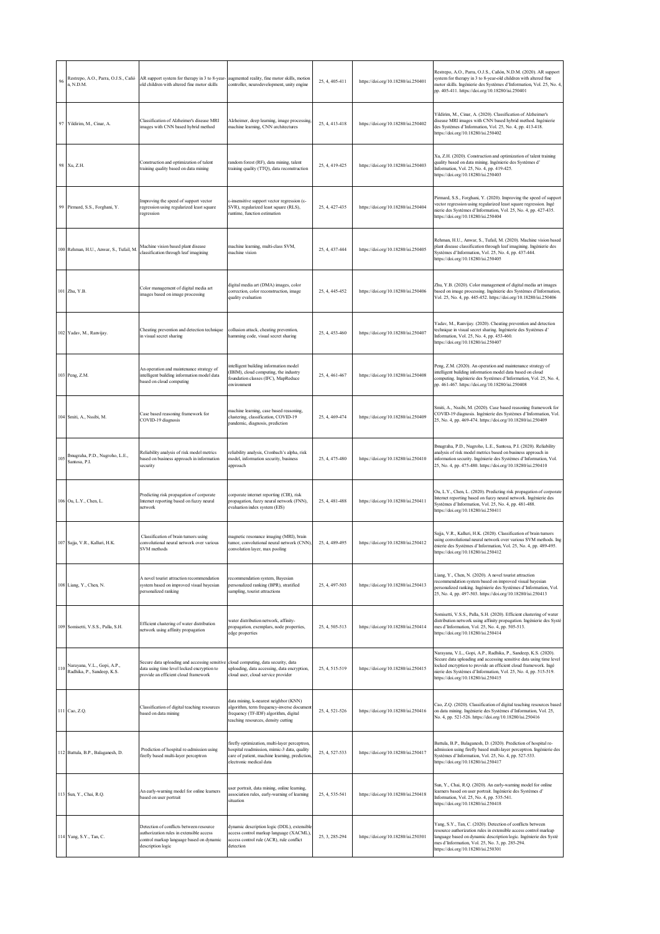| 96 | Restrepo, A.O., Parra, O.J.S., Cañó<br>n, N.D.M.              | AR support system for therapy in 3 to 8-year-<br>old children with altered fine motor skills                                                         | augmented reality, fine motor skills, motion<br>controller, neurodevelopment, unity engine                                                                               | 25, 4, 405-411 | https://doi.org/10.18280/isi.250401 | Restrepo, A.O., Parra, O.J.S., Cañón, N.D.M. (2020). AR support<br>system for therapy in 3 to 8-year-old children with altered fine<br>motor skills. Ingénierie des Systèmes d'Information, Vol. 25, No. 4,<br>pp. 405-411. https://doi.org/10.18280/isi.250401                                                    |
|----|---------------------------------------------------------------|------------------------------------------------------------------------------------------------------------------------------------------------------|--------------------------------------------------------------------------------------------------------------------------------------------------------------------------|----------------|-------------------------------------|--------------------------------------------------------------------------------------------------------------------------------------------------------------------------------------------------------------------------------------------------------------------------------------------------------------------|
|    | 97 Yildirim, M., Cinar, A.                                    | Classification of Alzheimer's disease MRI<br>images with CNN based hybrid method                                                                     | Alzheimer, deep learning, image processing,<br>machine learning, CNN architectures                                                                                       | 25, 4, 413-418 | https://doi.org/10.18280/isi.250402 | Yildirim, M., Cinar, A. (2020). Classification of Alzheimer's<br>disease MRI images with CNN based hybrid method. Ingénierie<br>des Systèmes d'Information, Vol. 25, No. 4, pp. 413-418.<br>https://doi.org/10.18280/isi.250402                                                                                    |
|    | 98 Xu, Z.H.                                                   | Construction and optimization of talent<br>training quality based on data mining                                                                     | random forest (RF), data mining, talent<br>training quality (TTQ), data reconstruction                                                                                   | 25, 4, 419-425 | https://doi.org/10.18280/isi.250403 | Xu, Z.H. (2020). Construction and optimization of talent training<br>quality based on data mining. Ingénierie des Systèmes d'<br>Information, Vol. 25, No. 4, pp. 419-425.<br>https://doi.org/10.18280/isi.250403                                                                                                  |
|    | 99 Pirmard, S.S., Forghani, Y.                                | Improving the speed of support vector<br>regression using regularized least square<br>regression                                                     | ε-insensitive support vector regression (ε-<br>SVR), regularized least square (RLS),<br>runtime, function estimation                                                     | 25, 4, 427-435 | https://doi.org/10.18280/isi.250404 | Pirmard, S.S., Forghani, Y. (2020). Improving the speed of support<br>vector regression using regularized least square regression. Ingé<br>nierie des Systèmes d'Information, Vol. 25, No. 4, pp. 427-435.<br>https://doi.org/10.18280/isi.250404                                                                  |
|    | 100 Rehman, H.U., Anwar, S., Tufail, M.                       | Machine vision based plant disease<br>classification through leaf imagining                                                                          | machine learning, multi-class SVM,<br>machine vision                                                                                                                     | 25, 4, 437-444 | https://doi.org/10.18280/isi.250405 | Rehman, H.U., Anwar, S., Tufail, M. (2020). Machine vision based<br>plant disease classification through leaf imagining. Ingénierie des<br>Systèmes d'Information, Vol. 25, No. 4, pp. 437-444.<br>https://doi.org/10.18280/isi.250405                                                                             |
|    | 101 Zhu, Y.B.                                                 | Color management of digital media art<br>images based on image processing                                                                            | digital media art (DMA) images, color<br>correction, color reconstruction, image<br>quality evaluation                                                                   | 25, 4, 445-452 | https://doi.org/10.18280/isi.250406 | Zhu, Y.B. (2020). Color management of digital media art images<br>based on image processing. Ingénierie des Systèmes d'Information,<br>Vol. 25, No. 4, pp. 445-452. https://doi.org/10.18280/isi.250406                                                                                                            |
|    | 102 Yadav, M., Ranvijay.                                      | Cheating prevention and detection technique<br>in visual secret sharing                                                                              | collusion attack, cheating prevention,<br>hamming code, visual secret sharing                                                                                            | 25, 4, 453-460 | https://doi.org/10.18280/isi.250407 | Yadav, M., Ranvijay. (2020). Cheating prevention and detection<br>technique in visual secret sharing. Ingénierie des Systèmes d'<br>Information, Vol. 25, No. 4, pp. 453-460.<br>https://doi.org/10.18280/isi.250407                                                                                               |
|    | 103 Peng, Z.M.                                                | An operation and maintenance strategy of<br>intelligent building information model data<br>based on cloud computing                                  | ntelligent building information model<br>(IBIM), cloud computing, the industry<br>foundation classes (IFC), MapReduce<br>environment                                     | 25, 4, 461-467 | https://doi.org/10.18280/isi.250408 | Peng, Z.M. (2020). An operation and maintenance strategy of<br>intelligent building information model data based on cloud<br>computing. Ingénierie des Systèmes d'Information, Vol. 25, No. 4,<br>pp. 461-467. https://doi.org/10.18280/isi.250408                                                                 |
|    | 104 Smiti, A., Nssibi, M.                                     | Case based reasoning framework for<br>COVID-19 diagnosis                                                                                             | machine learning, case based reasoning,<br>clustering, classification, COVID-19<br>pandemic, diagnosis, prediction                                                       | 25, 4, 469-474 | https://doi.org/10.18280/isi.250409 | Smiti, A., Nssibi, M. (2020). Case based reasoning framework for<br>COVID-19 diagnosis. Ingénierie des Systèmes d'Information, Vol.<br>25, No. 4, pp. 469-474. https://doi.org/10.18280/isi.250409                                                                                                                 |
|    | Ibnugraha, P.D., Nugroho, L.E.,<br>Santosa, P.I.              | Reliability analysis of risk model metrics<br>ased on business approach in information<br>ecurity                                                    | reliability analysis, Cronbach's alpha, risk<br>nodel, information security, business<br>approach                                                                        | 25, 4, 475-480 | https://doi.org/10.18280/isi.250410 | Ibnugraha, P.D., Nugroho, L.E., Santosa, P.I. (2020). Reliability<br>analysis of risk model metrics based on business approach in<br>information security. Ingénierie des Systèmes d'Information, Vol.<br>25, No. 4, pp. 475-480. https://doi.org/10.18280/isi.250410                                              |
|    | 106 Ou, L.Y., Chen, L.                                        | Predicting risk propagation of corporate<br>Internet reporting based on fuzzy neural<br>network                                                      | corporate internet reporting (CIR), risk<br>propagation, fuzzy neural network (FNN),<br>evaluation index system (EIS)                                                    | 25, 4, 481-488 | https://doi.org/10.18280/isi.250411 | Ou, L.Y., Chen, L. (2020). Predicting risk propagation of corporate<br>Internet reporting based on fuzzy neural network. Ingénierie des<br>Systèmes d'Information, Vol. 25, No. 4, pp. 481-488.<br>https://doi.org/10.18280/isi.250411                                                                             |
|    | 107 Sajja, V.R., Kalluri, H.K.                                | Classification of brain tumors using<br>convolutional neural network over various<br>SVM methods                                                     | magnetic resonance imaging (MRI), brain<br>tumor, convolutional neural network (CNN),<br>convolution layer, max pooling                                                  | 25, 4, 489-495 | https://doi.org/10.18280/isi.250412 | Sajja, V.R., Kalluri, H.K. (2020). Classification of brain tumors<br>using convolutional neural network over various SVM methods. Ing<br>énierie des Systèmes d'Information, Vol. 25, No. 4, pp. 489-495.<br>https://doi.org/10.18280/isi.250412                                                                   |
|    | 108 Liang, Y., Chen, N.                                       | A novel tourist attraction recommendation<br>system based on improved visual bayesian<br>personalized ranking                                        | ecommendation system, Bayesian<br>personalized ranking (BPR), stratified<br>ampling, tourist attractions                                                                 | 25, 4, 497-503 | https://doi.org/10.18280/isi.250413 | Liang, Y., Chen, N. (2020). A novel tourist attraction<br>recommendation system based on improved visual bayesian<br>personalized ranking. Ingénierie des Systèmes d'Information, Vol.<br>25, No. 4, pp. 497-503. https://doi.org/10.18280/isi.250413                                                              |
|    | 109 Somisetti, V.S.S., Palla, S.H.                            | Efficient clustering of water distribution<br>network using affinity propagation                                                                     | water distribution network, affinity-<br>propagation, exemplars, node properties,<br>edge properties                                                                     | 25, 4, 505-513 | https://doi.org/10.18280/isi.250414 | Somisetti, V.S.S., Palla, S.H. (2020). Efficient clustering of water<br>distribution network using affinity propagation. Ingénierie des Systè<br>mes d'Information, Vol. 25, No. 4, pp. 505-513.<br>https://doi.org/10.18280/isi.250414                                                                            |
|    | 110 Narayana, V.L., Gopi, A.P.,<br>Radhika, P., Sandeep, K.S. | Secure data uploading and accessing sensitive<br>data using time level locked encryption to<br>provide an efficient cloud framework                  | cloud computing, data security, data<br>uploading, data accessing, data encryption,<br>cloud user, cloud service provider                                                | 25, 4, 515-519 | https://doi.org/10.18280/isi.250415 | Narayana, V.L., Gopi, A.P., Radhika, P., Sandeep, K.S. (2020).<br>Secure data uploading and accessing sensitive data using time level<br>locked encryption to provide an efficient cloud framework. Ingé<br>nierie des Systèmes d'Information, Vol. 25, No. 4, pp. 515-519.<br>https://doi.org/10.18280/isi.250415 |
|    | 111 Cao, Z.Q.                                                 | Classification of digital teaching resources<br>based on data mining                                                                                 | data mining, k-nearest neighbor (KNN)<br>algorithm, term frequency-inverse document<br>frequency (TF-IDF) algorithm, digital<br>teaching resources, density cutting      | 25, 4, 521-526 | https://doi.org/10.18280/isi.250416 | Cao, Z.Q. (2020). Classification of digital teaching resources based<br>on data mining. Ingénierie des Systèmes d'Information, Vol. 25,<br>No. 4, pp. 521-526. https://doi.org/10.18280/isi.250416                                                                                                                 |
|    | 112 Battula, B.P., Balaganesh, D.                             | Prediction of hospital re-admission using<br>firefly based multi-layer perceptron                                                                    | firefly optimization, multi-layer perceptron,<br>hospital readmission, mimic-3 data, quality<br>care of patient, machine learning, prediction<br>electronic medical data | 25, 4, 527-533 | https://doi.org/10.18280/isi.250417 | Battula, B.P., Balaganesh, D. (2020). Prediction of hospital re-<br>admission using firefly based multi-layer perceptron. Ingénierie des<br>Systèmes d'Information, Vol. 25, No. 4, pp. 527-533.<br>https://doi.org/10.18280/isi.250417                                                                            |
|    | 113 Sun, Y., Chai, R.Q.                                       | An early-warning model for online learners<br>based on user portrait                                                                                 | aser portrait, data mining, online learning,<br>ssociation rules, early-warning of learning<br>situation                                                                 | 25, 4, 535-541 | https://doi.org/10.18280/isi.250418 | Sun, Y., Chai, R.Q. (2020). An early-warning model for online<br>learners based on user portrait. Ingénierie des Systèmes d'<br>Information, Vol. 25, No. 4, pp. 535-541.<br>https://doi.org/10.18280/isi.250418                                                                                                   |
|    | 114 Yang, S.Y., Tan, C.                                       | Detection of conflicts between resource<br>authorization rules in extensible access<br>control markup language based on dynamic<br>description logic | dynamic description logic (DDL), extensible<br>access control markup language (XACML),<br>access control rule (ACR), rule conflict<br>detection                          | 25, 3, 285-294 | https://doi.org/10.18280/isi.250301 | Yang, S.Y., Tan, C. (2020). Detection of conflicts between<br>resource authorization rules in extensible access control markup<br>language based on dynamic description logic. Ingénierie des Systè<br>mes d'Information, Vol. 25, No. 3, pp. 285-294.<br>https://doi.org/10.18280/isi.250301                      |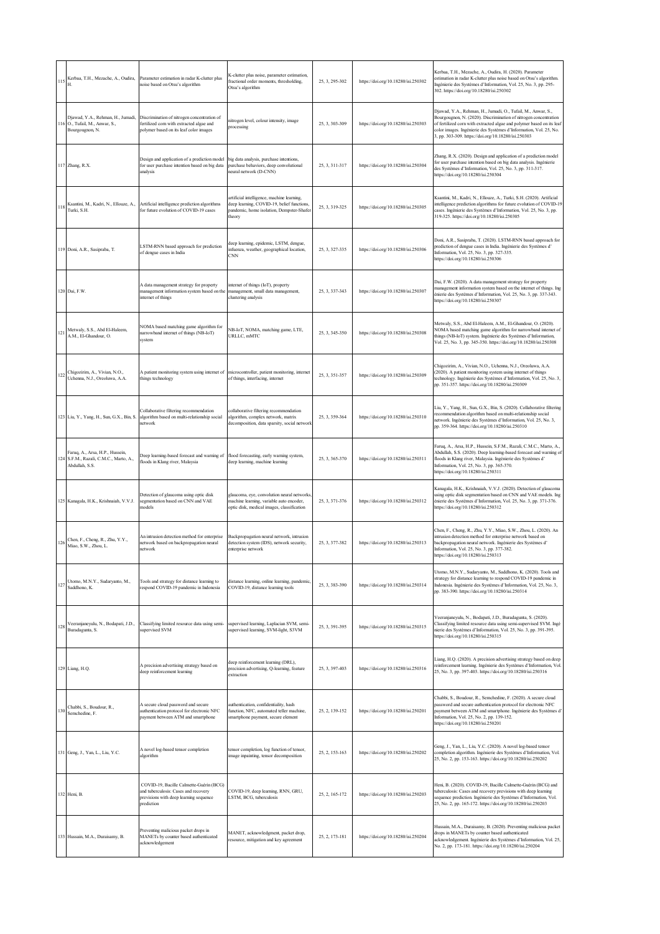| 115 |                                                                                             | Kerbaa, T.H., Mezache, A., Oudira, Parameter estimation in radar K-clutter plus<br>noise based on Otsu's algorithm                      | K-clutter plus noise, parameter estimation,<br>fractional order moments, thresholding,<br>Otsu's algorithm                                      | 25, 3, 295-302 | https://doi.org/10.18280/isi.250302 | Kerbaa, T.H., Mezache, A., Oudira, H. (2020). Parameter<br>estimation in radar K-clutter plus noise based on Otsu's algorithm.<br>Ingénierie des Systèmes d'Information, Vol. 25, No. 3, pp. 295-<br>302. https://doi.org/10.18280/isi.250302                                                                                         |
|-----|---------------------------------------------------------------------------------------------|-----------------------------------------------------------------------------------------------------------------------------------------|-------------------------------------------------------------------------------------------------------------------------------------------------|----------------|-------------------------------------|---------------------------------------------------------------------------------------------------------------------------------------------------------------------------------------------------------------------------------------------------------------------------------------------------------------------------------------|
|     | Djawad, Y.A., Rehman, H., Jumadi,<br>116 O., Tufail, M., Anwar, S.,<br>Bourgougnon, N.      | Discrimination of nitrogen concentration of<br>fertilized corn with extracted algae and<br>polymer based on its leaf color images       | nitrogen level, colour intensity, image<br>processing                                                                                           | 25, 3, 303-309 | https://doi.org/10.18280/isi.250303 | Djawad, Y.A., Rehman, H., Jumadi, O., Tufail, M., Anwar, S.,<br>Bourgougnon, N. (2020). Discrimination of nitrogen concentration<br>of fertilized corn with extracted algae and polymer based on its leaf<br>color images. Ingénierie des Systèmes d'Information, Vol. 25, No.<br>3, pp. 303-309. https://doi.org/10.18280/isi.250303 |
|     | 117 Zhang, R.X.                                                                             | Design and application of a prediction model<br>for user purchase intention based on big data<br>analysis                               | big data analysis, purchase intentions,<br>purchase behaviors, deep convolutional<br>teural network (D-CNN)                                     | 25, 3, 311-317 | https://doi.org/10.18280/isi.250304 | Zhang, R.X. (2020). Design and application of a prediction model<br>for user purchase intention based on big data analysis. Ingénierie<br>des Systèmes d'Information, Vol. 25, No. 3, pp. 311-317.<br>https://doi.org/10.18280/isi.250304                                                                                             |
| 118 | Ksantini, M., Kadri, N., Ellouze, A.,<br>Turki, S.H.                                        | Artificial intelligence prediction algorithms<br>for future evolution of COVID-19 cases                                                 | artificial intelligence, machine learning,<br>deep learning, COVID-19, belief functions,<br>pandemic, home isolation, Dempster-Shafer<br>theory | 25, 3, 319-325 | https://doi.org/10.18280/isi.250305 | Ksantini, M., Kadri, N., Ellouze, A., Turki, S.H. (2020). Artificial<br>intelligence prediction algorithms for future evolution of COVID-19<br>cases. Ingénierie des Systèmes d'Information, Vol. 25, No. 3, pp.<br>319-325. https://doi.org/10.18280/isi.250305                                                                      |
|     | 119 Doni, A.R., Sasipraba, T.                                                               | LSTM-RNN based approach for prediction<br>of dengue cases in India                                                                      | deep learning, epidemic, LSTM, dengue,<br>infuenza, weather, geographical location,<br>CNN                                                      | 25, 3, 327-335 | https://doi.org/10.18280/isi.250306 | Doni, A.R., Sasipraba, T. (2020). LSTM-RNN based approach for<br>prediction of dengue cases in India. Ingénierie des Systèmes d'<br>Information, Vol. 25, No. 3, pp. 327-335.<br>https://doi.org/10.18280/isi.250306                                                                                                                  |
|     | 120 Dai, F.W.                                                                               | A data management strategy for property<br>management information system based on the<br>internet of things                             | internet of things (IoT), property<br>management, small data management,<br>clustering analysis                                                 | 25, 3, 337-343 | https://doi.org/10.18280/isi.250307 | Dai, F.W. (2020). A data management strategy for property<br>management information system based on the internet of things. Ing<br>énierie des Systèmes d'Information, Vol. 25, No. 3, pp. 337-343.<br>https://doi.org/10.18280/isi.250307                                                                                            |
| 121 | Metwaly, S.S., Abd El-Haleem,<br>A.M., El-Ghandour, O.                                      | NOMA based matching game algorithm for<br>narrowband internet of things (NB-IoT)<br>system                                              | NB-IoT, NOMA, matching game, LTE,<br>URLLC, mMTC                                                                                                | 25, 3, 345-350 | https://doi.org/10.18280/isi.250308 | Metwaly, S.S., Abd El-Haleem, A.M., El-Ghandour, O. (2020).<br>NOMA based matching game algorithm for narrowband internet of<br>things (NB-IoT) system. Ingénierie des Systèmes d'Information,<br>Vol. 25, No. 3, pp. 345-350. https://doi.org/10.18280/isi.250308                                                                    |
| 122 | Chigozirim, A., Vivian, N.O.,<br>Uchenna, N.J., Oreoluwa, A.A.                              | A patient monitoring system using internet of<br>things technology                                                                      | microcontroller, patient monitoring, internet<br>of things, interfacing, internet                                                               | 25, 3, 351-357 | https://doi.org/10.18280/isi.250309 | Chigozirim, A., Vivian, N.O., Uchenna, N.J., Oreoluwa, A.A.<br>(2020). A patient monitoring system using internet of things<br>technology. Ingénierie des Systèmes d'Information, Vol. 25, No. 3,<br>pp. 351-357. https://doi.org/10.18280/isi.250309                                                                                 |
|     | 123 Liu, Y., Yang, H., Sun, G.X., Bin, S.                                                   | Collaborative filtering recommendation<br>algorithm based on multi-relationship social<br>network                                       | collaborative filtering recommendation<br>algorithm, complex network, matrix<br>decomposition, data sparsity, social network                    | 25, 3, 359-364 | https://doi.org/10.18280/isi.250310 | Liu, Y., Yang, H., Sun, G.X., Bin, S. (2020). Collaborative filtering<br>recommendation algorithm based on multi-relationship social<br>network. Ingénierie des Systèmes d'Information, Vol. 25, No. 3,<br>pp. 359-364. https://doi.org/10.18280/isi.250310                                                                           |
|     | Faruq, A., Arsa, H.P., Hussein,<br>124 S.F.M., Razali, C.M.C., Marto, A.,<br>Abdullah, S.S. | Deep learning-based forecast and warning of<br>floods in Klang river, Malaysia                                                          | flood forecasting, early warning system,<br>deep learning, machine learning                                                                     | 25, 3, 365-370 | https://doi.org/10.18280/isi.250311 | Faruq, A., Arsa, H.P., Hussein, S.F.M., Razali, C.M.C., Marto, A.,<br>Abdullah, S.S. (2020). Deep learning-based forecast and warning of<br>floods in Klang river, Malaysia. Ingénierie des Systèmes d'<br>Information, Vol. 25, No. 3, pp. 365-370.<br>https://doi.org/10.18280/isi.250311                                           |
|     | 125 Kanagala, H.K., Krishnaiah, V.V.J.                                                      | Detection of glaucoma using optic disk<br>segmentation based on CNN and VAE<br>models                                                   | glaucoma, eye, convolution neural networks<br>machine learning, variable auto encoder,<br>optic disk, medical images, classification            | 25, 3, 371-376 | https://doi.org/10.18280/isi.250312 | Kanagala, H.K., Krishnaiah, V.V.J. (2020). Detection of glaucoma<br>using optic disk segmentation based on CNN and VAE models. Ing<br>énierie des Systèmes d'Information, Vol. 25, No. 3, pp. 371-376.<br>https://doi.org/10.18280/isi.250312                                                                                         |
| 126 | Chen, F., Cheng, R., Zhu, Y.Y.,<br>Miao, S.W., Zhou, L.                                     | An intrusion detection method for enterprise<br>network based on backpropagation neural<br>network                                      | Backpropagation neural network, intrusion<br>detection system (IDS), network security,<br>enterprise network                                    | 25, 3, 377-382 | https://doi.org/10.18280/isi.250313 | Chen, F., Cheng, R., Zhu, Y.Y., Miao, S.W., Zhou, L. (2020). An<br>intrusion detection method for enterprise network based on<br>backpropagation neural network. Ingénierie des Systèmes d'<br>Information, Vol. 25, No. 3, pp. 377-382.<br>https://doi.org/10.18280/isi.250313                                                       |
| 127 | Utomo, M.N.Y., Sudaryanto, M.,<br>Saddhono, K.                                              | Tools and strategy for distance learning to<br>respond COVID-19 pandemic in Indonesia                                                   | distance learning, online learning, pandemic<br>COVID-19, distance learning tools                                                               | 25, 3, 383-390 | https://doi.org/10.18280/isi.250314 | Utomo, M.N.Y., Sudaryanto, M., Saddhono, K. (2020). Tools and<br>strategy for distance learning to respond COVID-19 pandemic in<br>Indonesia. Ingénierie des Systèmes d'Information, Vol. 25, No. 3,<br>pp. 383-390. https://doi.org/10.18280/isi.250314                                                                              |
| 128 | Veeranjaneyulu, N., Bodapati, J.D.,<br>Buradagunta, S.                                      | Classifying limited resource data using semi-<br>supervised SVM                                                                         | supervised learning, Laplacian SVM, semi-<br>supervised learning, SVM-light, S3VM                                                               | 25, 3, 391-395 | https://doi.org/10.18280/isi.250315 | Veeranjaneyulu, N., Bodapati, J.D., Buradagunta, S. (2020).<br>Classifying limited resource data using semi-supervised SVM. Ingé<br>nierie des Systèmes d'Information, Vol. 25, No. 3, pp. 391-395.<br>https://doi.org/10.18280/isi.250315                                                                                            |
|     | 129 Liang, H.Q.                                                                             | A precision advertising strategy based on<br>deep reinforcement learning                                                                | deep reinforcement learning (DRL),<br>precision advertising, Q-learning, feature<br>extraction                                                  | 25, 3, 397-403 | https://doi.org/10.18280/isi.250316 | Liang, H.Q. (2020). A precision advertising strategy based on deep<br>reinforcement learning. Ingénierie des Systèmes d'Information, Vol.<br>25, No. 3, pp. 397-403. https://doi.org/10.18280/isi.250316                                                                                                                              |
| 130 | Chabbi, S., Boudour, R.,<br>Semchedine, F.                                                  | A secure cloud password and secure<br>authentication protocol for electronic NFC<br>payment between ATM and smartphone                  | authentication, confidentiality, hash<br>function, NFC, automated teller machine,<br>smartphone payment, secure element                         | 25, 2, 139-152 | https://doi.org/10.18280/isi.250201 | Chabbi, S., Boudour, R., Semchedine, F. (2020). A secure cloud<br>password and secure authentication protocol for electronic NFC<br>payment between ATM and smartphone. Ingénierie des Systèmes d'<br>Information, Vol. 25, No. 2, pp. 139-152.<br>https://doi.org/10.18280/isi.250201                                                |
|     | 131 Geng, J., Yan, L., Liu, Y.C.                                                            | A novel log-based tensor completion<br>algorithm                                                                                        | tensor completion, log function of tensor,<br>image inpainting, tensor decomposition                                                            | 25, 2, 153-163 | https://doi.org/10.18280/isi.250202 | Geng, J., Yan, L., Liu, Y.C. (2020). A novel log-based tensor<br>completion algorithm. Ingénierie des Systèmes d'Information, Vol.<br>25, No. 2, pp. 153-163. https://doi.org/10.18280/isi.250202                                                                                                                                     |
|     | 132 Heni, B.                                                                                | COVID-19, Bacille Calmette-Guérin (BCG)<br>and tuberculosis: Cases and recovery<br>previsions with deep learning sequence<br>prediction | COVID-19, deep learning, RNN, GRU,<br>LSTM, BCG, tuberculosis                                                                                   | 25, 2, 165-172 | https://doi.org/10.18280/isi.250203 | Heni, B. (2020). COVID-19, Bacille Calmette-Guérin (BCG) and<br>tuberculosis: Cases and recovery previsions with deep learning<br>sequence prediction. Ingénierie des Systèmes d'Information, Vol.<br>25, No. 2, pp. 165-172. https://doi.org/10.18280/isi.250203                                                                     |
|     | 133 Hussain, M.A., Duraisamy, B.                                                            | Preventing malicious packet drops in<br>MANETs by counter based authenticated<br>acknowledgement                                        | MANET, acknowledgment, packet drop,<br>resource, mitigation and key agreement                                                                   | 25, 2, 173-181 | https://doi.org/10.18280/isi.250204 | Hussain, M.A., Duraisamy, B. (2020). Preventing malicious packet<br>drops in MANETs by counter based authenticated<br>acknowledgement. Ingénierie des Systèmes d'Information, Vol. 25,<br>No. 2, pp. 173-181. https://doi.org/10.18280/isi.250204                                                                                     |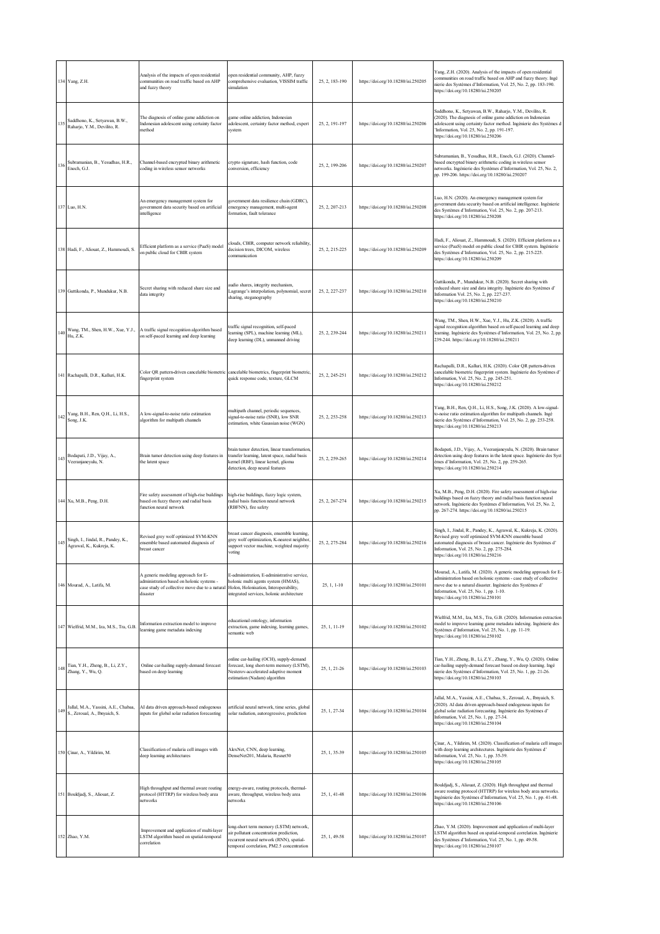|         | 134 Yang, Z.H.                                                        | Analysis of the impacts of open residential<br>communities on road traffic based on AHP<br>and fuzzy theory                                                                          | open residential community, AHP, fuzzy<br>comprehensive evaluation, VISSIM traffic<br>simulation                                                                           | 25, 2, 183-190 | https://doi.org/10.18280/isi.250205 | Yang, Z.H. (2020). Analysis of the impacts of open residential<br>communities on road traffic based on AHP and fuzzy theory. Ingé<br>nierie des Systèmes d'Information, Vol. 25, No. 2, pp. 183-190.<br>https://doi.org/10.18280/isi.250205                                            |
|---------|-----------------------------------------------------------------------|--------------------------------------------------------------------------------------------------------------------------------------------------------------------------------------|----------------------------------------------------------------------------------------------------------------------------------------------------------------------------|----------------|-------------------------------------|----------------------------------------------------------------------------------------------------------------------------------------------------------------------------------------------------------------------------------------------------------------------------------------|
| 135     | Saddhono, K., Setyawan, B.W.,<br>Raharjo, Y.M., Devilito, R.          | The diagnosis of online game addiction on<br>Indonesian adolescent using certainty factor<br>method                                                                                  | game online addiction, Indonesian<br>adolescent, certainty factor method, expert<br>system                                                                                 | 25, 2, 191-197 | https://doi.org/10.18280/isi.250206 | Saddhono, K., Setyawan, B.W., Raharjo, Y.M., Devilito, R.<br>(2020). The diagnosis of online game addiction on Indonesian<br>adolescent using certainty factor method. Ingénierie des Systèmes d<br>'Information, Vol. 25, No. 2, pp. 191-197.<br>https://doi.org/10.18280/isi.250206  |
| 136     | Subramanian, B., Yesudhas, H.R.,<br>Enoch, G.J.                       | Channel-based encrypted binary arithmetic<br>coding in wireless sensor networks                                                                                                      | crypto signature, hash function, code<br>conversion, efficiency                                                                                                            | 25, 2, 199-206 | https://doi.org/10.18280/isi.250207 | Subramanian, B., Yesudhas, H.R., Enoch, G.J. (2020). Channel-<br>based encrypted binary arithmetic coding in wireless sensor<br>networks. Ingénierie des Systèmes d'Information, Vol. 25, No. 2,<br>pp. 199-206. https://doi.org/10.18280/isi.250207                                   |
|         | 137 Luo, H.N.                                                         | An emergency management system for<br>government data security based on artificial<br>intelligence                                                                                   | government data resilience chain (GDRC),<br>emergency management, multi-agent<br>formation, fault tolerance                                                                | 25, 2, 207-213 | https://doi.org/10.18280/isi.250208 | Luo, H.N. (2020). An emergency management system for<br>government data security based on artificial intelligence. Ingénierie<br>des Systèmes d'Information, Vol. 25, No. 2, pp. 207-213.<br>https://doi.org/10.18280/isi.250208                                                       |
|         | 138 Hadi, F., Aliouat, Z., Hammoudi, S.                               | Efficient platform as a service (PaaS) model<br>on public cloud for CBIR system                                                                                                      | clouds, CBIR, computer network reliability,<br>decision trees, DICOM, wireless<br>communication                                                                            | 25, 2, 215-225 | https://doi.org/10.18280/isi.250209 | Hadi, F., Aliouat, Z., Hammoudi, S. (2020). Efficient platform as a<br>service (PaaS) model on public cloud for CBIR system. Ingénierie<br>des Systèmes d'Information, Vol. 25, No. 2, pp. 215-225.<br>https://doi.org/10.18280/isi.250209                                             |
|         | 139 Guttikonda, P., Mundukur, N.B.                                    | Secret sharing with reduced share size and<br>data integrity                                                                                                                         | audio shares, integrity mechanism,<br>Lagrange's interpolation, polynomial, secret<br>sharing, steganography                                                               | 25, 2, 227-237 | https://doi.org/10.18280/isi.250210 | Guttikonda, P., Mundukur, N.B. (2020). Secret sharing with<br>reduced share size and data integrity. Ingénierie des Systèmes d'<br>Information Vol. 25, No. 2, pp. 227-237.<br>https://doi.org/10.18280/isi.250210                                                                     |
| 140     | Wang, TM., Shen, H.W., Xue, Y.J.,<br>Hu, Z.K.                         | A traffic signal recognition algorithm based<br>on self-paced learning and deep learning                                                                                             | traffic signal recognition, self-paced<br>learning (SPL), machine learning (ML),<br>deep learning (DL), unmanned driving                                                   | 25, 2, 239-244 | https://doi.org/10.18280/isi.250211 | Wang, TM., Shen, H.W., Xue, Y.J., Hu, Z.K. (2020). A traffic<br>signal recognition algorithm based on self-paced learning and deep<br>learning. Ingénierie des Systèmes d'Information, Vol. 25, No. 2, pp.<br>239-244. https://doi.org/10.18280/isi.250211                             |
|         | 141 Rachapalli, D.R., Kalluri, H.K.                                   | Color QR pattern-driven cancelable biometric cancelable biometrics, fingerprint biometric,<br>fingerprint system                                                                     | quick response code, texture, GLCM                                                                                                                                         | 25, 2, 245-251 | https://doi.org/10.18280/isi.250212 | Rachapalli, D.R., Kalluri, H.K. (2020). Color QR pattern-driven<br>cancelable biometric fingerprint system. Ingénierie des Systèmes d'<br>Information, Vol. 25, No. 2, pp. 245-251.<br>https://doi.org/10.18280/isi.250212                                                             |
| $142\,$ | Yang, B.H., Ren, Q.H., Li, H.S.,<br>Song, J.K.                        | A low-signal-to-noise ratio estimation<br>algorithm for multipath channels                                                                                                           | multipath channel, periodic sequences,<br>signal-to-noise ratio (SNR), low SNR<br>estimation, white Gaussian noise (WGN)                                                   | 25, 2, 253-258 | https://doi.org/10.18280/isi.250213 | Yang, B.H., Ren, Q.H., Li, H.S., Song, J.K. (2020). A low-signal-<br>to-noise ratio estimation algorithm for multipath channels. Ingé<br>nierie des Systèmes d'Information, Vol. 25, No. 2, pp. 253-258.<br>https://doi.org/10.18280/isi.250213                                        |
| 143     | Bodapati, J.D., Vijay, A.,<br>Veeranjaneyulu, N.                      | Brain tumor detection using deep features in<br>the latent space                                                                                                                     | brain tumor detection, linear transformation,<br>transfer learning, latent space, radial basis<br>kernel (RBF), linear kernel, glioma<br>detection, deep neural features   | 25, 2, 259-265 | https://doi.org/10.18280/isi.250214 | Bodapati, J.D., Vijay, A., Veeranjaneyulu, N. (2020). Brain tumor<br>detection using deep features in the latent space. Ingénierie des Syst<br>èmes d'Information, Vol. 25, No. 2, pp. 259-265.<br>https://doi.org/10.18280/isi.250214                                                 |
|         | 144 Xu, M.B., Peng, D.H.                                              | Fire safety assessment of high-rise buildings<br>based on fuzzy theory and radial basis<br>function neural network                                                                   | high-rise buildings, fuzzy logic system,<br>radial basis function neural network<br>(RBFNN), fire safety                                                                   | 25, 2, 267-274 | https://doi.org/10.18280/isi.250215 | Xu, M.B., Peng, D.H. (2020). Fire safety assessment of high-rise<br>buildings based on fuzzy theory and radial basis function neural<br>network. Ingénierie des Systèmes d'Information, Vol. 25, No. 2,<br>pp. 267-274. https://doi.org/10.18280/isi.250215                            |
| 145     | Singh, I., Jindal, R., Pandey, K.,<br>Agrawal, K., Kukreja, K.        | Revised grey wolf optimized SVM-KNN<br>ensemble based automated diagnosis of<br>breast cancer                                                                                        | breast cancer diagnosis, ensemble learning,<br>grey wolf optimization, K-nearest neighbor,<br>support vector machine, weighted majority<br>voting                          | 25, 2, 275-284 | https://doi.org/10.18280/isi.250216 | Singh, I., Jindal, R., Pandey, K., Agrawal, K., Kukreja, K. (2020).<br>Revised grey wolf optimized SVM-KNN ensemble based<br>automated diagnosis of breast cancer. Ingénierie des Systèmes d'<br>Information, Vol. 25, No. 2, pp. 275-284.<br>https://doi.org/10.18280/isi.250216      |
|         | 146 Mourad, A., Latifa, M.                                            | A generic modeling approach for E-<br>administration based on holonic systems -<br>case study of collective move due to a natural Holon, Holonisation, Interoperability,<br>disaster | E-administration, E-administrative service,<br>holonic multi agents system (HMAS),<br>integrated services, holonic architecture                                            | $25, 1, 1-10$  | https://doi.org/10.18280/isi.250101 | Mourad, A., Latifa, M. (2020). A generic modeling approach for E-<br>administration based on holonic systems - case study of collective<br>move due to a natural disaster. Ingénierie des Systèmes d'<br>Information, Vol. 25, No. 1, pp. 1-10.<br>https://doi.org/10.18280/isi.250101 |
|         | 147 Wielfrid, M.M., Iza, M.S., Tra, G.B.                              | Information extraction model to improve<br>learning game metadata indexing                                                                                                           | educational ontology, information<br>extraction, game indexing, learning games,<br>semantic web                                                                            | 25, 1, 11-19   | https://doi.org/10.18280/isi.250102 | Wielfrid, M.M., Iza, M.S., Tra, G.B. (2020). Information extraction<br>model to improve learning game metadata indexing. Ingénierie des<br>Systèmes d'Information, Vol. 25, No. 1, pp. 11-19.<br>https://doi.org/10.18280/isi.250102                                                   |
| 148     | Tian, Y.H., Zheng, B., Li, Z.Y.,<br>Zhang, Y., Wu, Q.                 | Online car-hailing supply-demand forecast<br>based on deep learning                                                                                                                  | online car-hailing (OCH), supply-demand<br>forecast, long short-term memory (LSTM),<br>Nesterov-accelerated adaptive moment<br>estimation (Nadam) algorithm                | 25, 1, 21-26   | https://doi.org/10.18280/isi.250103 | Tian, Y.H., Zheng, B., Li, Z.Y., Zhang, Y., Wu, Q. (2020). Online<br>car-hailing supply-demand forecast based on deep learning. Ingé<br>nierie des Systèmes d'Information, Vol. 25, No. 1, pp. 21-26.<br>https://doi.org/10.18280/isi.250103                                           |
| 149     | Jallal, M.A., Yassini, A.E., Chabaa,<br>S., Zeroual, A., Ibnyaich, S. | AI data driven approach-based endogenous<br>inputs for global solar radiation forecasting                                                                                            | artificial neural network, time series, global<br>solar radiation, autoregressive, prediction                                                                              | 25, 1, 27-34   | https://doi.org/10.18280/isi.250104 | Jallal, M.A., Yassini, A.E., Chabaa, S., Zeroual, A., Ibnyaich, S.<br>(2020). AI data driven approach-based endogenous inputs for<br>global solar radiation forecasting. Ingénierie des Systèmes d'<br>Information, Vol. 25, No. 1, pp. 27-34.<br>https://doi.org/10.18280/isi.250104  |
|         | 150 Çinar, A., Yildirim, M.                                           | Classification of malaria cell images with<br>deep learning architectures                                                                                                            | AlexNet, CNN, deep learning,<br>DenseNet201, Malaria, Resnet50                                                                                                             | 25, 1, 35-39   | https://doi.org/10.18280/isi.250105 | Çinar, A., Yildirim, M. (2020). Classification of malaria cell images<br>with deep learning architectures. Ingénierie des Systèmes d'<br>Information, Vol. 25, No. 1, pp. 35-39.<br>https://doi.org/10.18280/isi.250105                                                                |
|         | 151 Bouldjadj, S., Aliouat, Z.                                        | High throughput and thermal aware routing<br>protocol (HTTRP) for wireless body area<br>networks                                                                                     | energy-aware, routing protocols, thermal-<br>aware, throughput, wireless body area<br>networks                                                                             | 25, 1, 41-48   | https://doi.org/10.18280/isi.250106 | Bouldjadj, S., Aliouat, Z. (2020). High throughput and thermal<br>aware routing protocol (HTTRP) for wireless body area networks.<br>Ingénierie des Systèmes d'Information, Vol. 25, No. 1, pp. 41-48.<br>https://doi.org/10.18280/isi.250106                                          |
|         | 152 Zhao, Y.M.                                                        | Improvement and application of multi-layer<br>LSTM algorithm based on spatial-temporal<br>correlation                                                                                | long-short term memory (LSTM) network,<br>air pollutant concentration prediction,<br>recurrent neural network (RNN), spatial-<br>temporal correlation, PM2.5 concentration | 25, 1, 49-58   | https://doi.org/10.18280/isi.250107 | Zhao, Y.M. (2020). Improvement and application of multi-layer<br>LSTM algorithm based on spatial-temporal correlation. Ingénierie<br>des Systèmes d'Information, Vol. 25, No. 1, pp. 49-58.<br>https://doi.org/10.18280/isi.250107                                                     |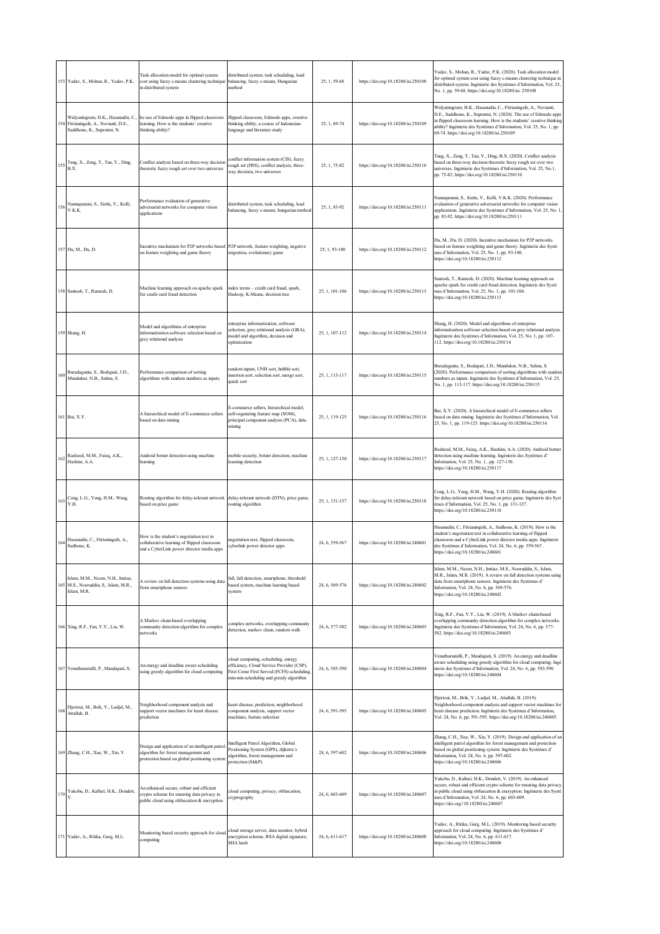|     | 153 Yadav, S., Mohan, R., Yadav, P.K.                                                                      | Task allocation model for optimal system<br>cost using fuzzy c-means clustering technique<br>in distributed system                      | distributed system, task scheduling, load<br>balancing, fuzzy c-means, Hungarian<br>method                                                                                | 25, 1, 59-68   | https://doi.org/10.18280/isi.250108 | Yadav, S., Mohan, R., Yadav, P.K. (2020). Task allocation model<br>for optimal system cost using fuzzy c-means clustering technique in<br>distributed system. Ingénierie des Systèmes d'Information, Vol. 25,<br>No. 1, pp. 59-68. https://doi.org/10.18280/isi. 250108                                                          |
|-----|------------------------------------------------------------------------------------------------------------|-----------------------------------------------------------------------------------------------------------------------------------------|---------------------------------------------------------------------------------------------------------------------------------------------------------------------------|----------------|-------------------------------------|----------------------------------------------------------------------------------------------------------------------------------------------------------------------------------------------------------------------------------------------------------------------------------------------------------------------------------|
|     | Widyaningrum, H.K., Hasanudin, C.,<br>154 Fitrianingsih, A., Novianti, D.E.,<br>Saddhono, K., Supratmi, N. | he use of Edmodo apps in flipped classroom<br>learning. How is the students' creative<br>thinking ability?                              | flipped classroom, Edmodo apps, creative<br>thinking ability, a course of Indonesian<br>language and literature study                                                     | 25, 1, 69-74   | https://doi.org/10.18280/isi.250109 | Widyaningrum, H.K., Hasanudin, C., Fitrianingsih, A., Novianti,<br>D.E., Saddhono, K., Supratmi, N. (2020). The use of Edmodo apps<br>in flipped classroom learning. How is the students' creative thinking<br>ability? Ingénierie des Systèmes d'Information, Vol. 25, No. 1, pp.<br>69-74. https://doi.org/10.18280/isi.250109 |
| 155 | Tang, X., Zeng, T., Tan, Y., Ding,<br>B.X.                                                                 | Conflict analysis based on three-way decision<br>theoretic fuzzy rough set over two universes                                           | conflict information system (CIS), fuzzy<br>ough set (FRS), conflict analysis, three-<br>way decision, two universes                                                      | 25, 1, 75-82   | https://doi.org/10.18280/isi.250110 | Tang, X., Zeng, T., Tan, Y., Ding, B.X. (2020). Conflict analysis<br>based on three-way decision theoretic fuzzy rough set over two<br>universes. Ingénierie des Systèmes d'Information, Vol. 25, No.1,<br>pp. 75-82. https://doi.org/10.18280/isi.250110                                                                        |
| 156 | Nannapaneni, S., Sistla, V., Kolli,<br>V.K.K.                                                              | Performance evaluation of generative<br>adversarial networks for computer vision<br>applications                                        | distributed system, task scheduling, load<br>balancing, fuzzy c-means, hungarian method                                                                                   | 25, 1, 83-92   | https://doi.org/10.18280/isi.250111 | Nannapaneni, S., Sistla, V., Kolli, V.K.K. (2020). Performance<br>evaluation of generative adversarial networks for computer vision<br>applications. Ingénierie des Systèmes d'Information, Vol. 25, No. 1.<br>pp. 83-92. https://doi.org/10.18280/isi.250111                                                                    |
|     | 157 Du, M., Du, D.                                                                                         | Incentive mechanism for P2P networks based<br>on feature weighting and game theory                                                      | P2P network, feature weighting, negative<br>migration, evolutionary game                                                                                                  | 25, 1, 93-100  | https://doi.org/10.18280/isi.250112 | Du, M., Du, D. (2020). Incentive mechanism for P2P networks<br>based on feature weighting and game theory. Ingénierie des Systè<br>mes d'Information, Vol. 25, No. 1, pp. 93-100.<br>https://doi.org/10.18280/isi.250112                                                                                                         |
|     | 158 Santosh, T., Ramesh, D.                                                                                | Machine learning approach on apache spark<br>for credit card fraud detection                                                            | index terms - credit card fraud, spark,<br>Hadoop, K-Means, decision tree                                                                                                 | 25, 1, 101-106 | https://doi.org/10.18280/isi.250113 | Santosh, T., Ramesh, D. (2020). Machine learning approach on<br>apache spark for credit card fraud detection. Ingénierie des Systè<br>mes d'Information, Vol. 25, No. 1, pp. 101-106.<br>https://doi.org/10.18280/isi.250113                                                                                                     |
|     | 159 Shang, H.                                                                                              | Model and algorithms of enterprise<br>informatization software selection based on<br>grey relational analysis                           | enterprise informatization, software<br>selection, grey relational analysis (GRA),<br>model and algorithm, decision and<br>optimization                                   | 25, 1, 107-112 | https://doi.org/10.18280/isi.250114 | Shang, H. (2020). Model and algorithms of enterprise<br>informatization software selection based on grey relational analysis.<br>Ingénierie des Systèmes d'Information, Vol. 25, No. 1, pp. 107-<br>112. https://doi.org/10.18280/isi.250114                                                                                     |
| 160 | Buradagunta, S., Bodapati, J.D.,<br>Mundukur, N.B., Salma, S.                                              | Performance comparison of sorting<br>algorithms with random numbers as inputs                                                           | random inputs, UNH sort, bubble sort,<br>nsertion sort, selection sort, merge sort,<br>quick sort                                                                         | 25, 1, 113-117 | https://doi.org/10.18280/isi.250115 | Buradagunta, S., Bodapati, J.D., Mundukur, N.B., Salma, S.<br>(2020). Performance comparison of sorting algorithms with random<br>numbers as inputs. Ingénierie des Systèmes d'Information, Vol. 25,<br>No. 1, pp. 113-117. https://doi.org/10.18280/isi.250115                                                                  |
|     | 161 Bai, X.Y.                                                                                              | A hierarchical model of E-commerce sellers<br>based on data mining                                                                      | E-commerce sellers, hierarchical model,<br>self-organizing feature map (SOM),<br>principal component analysis (PCA), data<br>mining                                       | 25, 1, 119-125 | https://doi.org/10.18280/isi.250116 | Bai, X.Y. (2020). A hierarchical model of E-commerce sellers<br>based on data mining. Ingénierie des Systèmes d'Information, Vol.<br>25, No. 1, pp. 119-125. https://doi.org/10.18280/isi.250116                                                                                                                                 |
| 162 | Rasheed, M.M., Faieq, A.K.,<br>Hashim, A.A.                                                                | Android botnet detection using machine<br>learning                                                                                      | mobile security, botnet detection, machine<br>learning detection                                                                                                          | 25, 1, 127-130 | https://doi.org/10.18280/isi.250117 | Rasheed, M.M., Faieq, A.K., Hashim, A.A. (2020). Android botnet<br>detection using machine learning. Ingénierie des Systèmes d'<br>Information, Vol. 25, No. 1, .pp. 127-130.<br>https://doi.org/10.18280/isi.250117                                                                                                             |
|     | Cong, L.G., Yang, H.M., Wang,<br>$163\ensuremath{\overline{\mathstrut_{\text{Y.H.}}}}$                     | Routing algorithm for delay-tolerant network<br>based on price game                                                                     | delay-tolerant network (DTN), price game,<br>routing algorithm                                                                                                            | 25, 1, 131-137 | https://doi.org/10.18280/isi.250118 | Cong, L.G., Yang, H.M., Wang, Y.H. (2020). Routing algorithm<br>for delay-tolerant network based on price game. Ingénierie des Syst<br>èmes d'Information, Vol. 25, No. 1, pp. 131-137.<br>https://doi.org/10.18280/isi.250118                                                                                                   |
| 164 | Hasanudin, C., Fitrianingsih, A.,<br>Sadhono, K.                                                           | How is the student's negotiation text in<br>collaborative learning of flipped classroom<br>and a CyberLink power director media apps    | negotiation text, flipped classroom,<br>cyberlink power director apps                                                                                                     | 24, 6, 559-567 | https://doi.org/10.18280/isi.240601 | Hasanudin, C., Fitrianingsih, A., Sadhono, K. (2019). How is the<br>student's negotiation text in collaborative learning of flipped<br>classroom and a CyberLink power director media apps. Ingénierie<br>des Systèmes d'Information, Vol. 24, No. 6, pp. 559-567.<br>https://doi.org/10.18280/isi.240601                        |
|     | Islam, M.M., Neom, N.H., Imtiaz,<br>165 M.S., Nooruddin, S., Islam, M.R.,<br>Islam, M.R.                   | A review on fall detection systems using data<br>from smartphone sensors                                                                | fall, fall detection, smartphone, threshold<br>based system, machine learning based<br>system                                                                             | 24, 6, 569-576 | https://doi.org/10.18280/isi.240602 | Islam, M.M., Neom, N.H., Imtiaz, M.S., Nooruddin, S., Islam,<br>M.R., Islam, M.R. (2019). A review on fall detection systems using<br>data from smartphone sensors. Ingénierie des Systèmes d'<br>Information, Vol. 24, No. 6, pp. 569-576.<br>https://doi.org/10.18280/isi.240602                                               |
|     | 166 Xing, R.F., Fan, Y.Y., Liu, W.                                                                         | A Markov chain-based overlapping<br>community detection algorithm for complex<br>networks                                               | complex networks, overlapping community<br>detection, markov chain, random walk                                                                                           | 24, 6, 577-582 | https://doi.org/10.18280/isi.240603 | Xing, R.F., Fan, Y.Y., Liu, W. (2019). A Markov chain-based<br>overlapping community detection algorithm for complex networks.<br>Ingénierie des Systèmes d'Information, Vol. 24, No. 6, pp. 577-<br>582. https://doi.org/10.18280/isi.240603                                                                                    |
|     | 167 Venuthurumilli, P., Mandapati, S.                                                                      | An energy and deadline aware scheduling<br>using greedy algorithm for cloud computing                                                   | cloud computing, scheduling, energy<br>efficiency, Cloud Service Provider (CSP),<br>First Come First Served (FCFS) scheduling,<br>min-min scheduling and greedy algorithm | 24, 6, 583-590 | https://doi.org/10.18280/isi.240604 | Venuthurumilli, P., Mandapati, S. (2019). An energy and deadline<br>aware scheduling using greedy algorithm for cloud computing. Ingé<br>nierie des Systèmes d'Information, Vol. 24, No. 6, pp. 583-590.<br>https://doi.org/10.18280/isi.240604                                                                                  |
| 168 | Djerioui, M., Brik, Y., Ladjal, M.,<br>Attallah, B.                                                        | Neighborhood component analysis and<br>support vector machines for heart disease<br>prediction                                          | heart disease, prediction, neighborhood<br>component analysis, support vector<br>machines, feature selection                                                              | 24, 6, 591-595 | https://doi.org/10.18280/isi.240605 | Djerioui, M., Brik, Y., Ladjal, M., Attallah, B. (2019).<br>Neighborhood component analysis and support vector machines for<br>heart disease prediction. Ingénierie des Systèmes d'Information,<br>Vol. 24, No. 6, pp. 591-595. https://doi.org/10.18280/isi.240605                                                              |
|     | 169 Zhang, C.H., Xue, W., Xin, Y.                                                                          | Design and application of an intelligent patrol<br>algorithm for forest management and<br>protection based on global positioning system | Intelligent Patrol Algorithm, Global<br>Positioning System (GPS), dijkstra's<br>algorithm, forest management and<br>protection (M&P)                                      | 24, 6, 597-602 | https://doi.org/10.18280/isi.240606 | Zhang, C.H., Xue, W., Xin, Y. (2019). Design and application of an<br>intelligent patrol algorithm for forest management and protection<br>based on global positioning system. Ingénierie des Systèmes d'<br>Information, Vol. 24, No. 6, pp. 597-602.<br>https://doi.org/10.18280/isi.240606                                    |
| 170 | Yakobu, D., Kalluri, H.K., Dondeti,                                                                        | An enhanced secure, robust and efficient<br>crypto scheme for ensuring data privacy in<br>public cloud using obfuscation & encryption   | cloud computing, privacy, obfuscation,<br>cryptography                                                                                                                    | 24, 6, 603-609 | https://doi.org/10.18280/isi.240607 | Yakobu, D., Kalluri, H.K., Dondeti, V. (2019). An enhanced<br>secure, robust and efficient crypto scheme for ensuring data privacy<br>in public cloud using obfuscation & encryption. Ingénierie des Systè<br>mes d'Information, Vol. 24, No. 6, pp. 603-609.<br>https://doi.org//10.18280/isi.240607                            |
|     | 171 Yadav, A., Ritika, Garg, M.L.                                                                          | Monitoring based security approach for cloud<br>computing                                                                               | cloud storage server, data monitor, hybrid<br>encryption scheme, RSA digital signature,<br>SHA hash                                                                       | 24, 6, 611-617 | https://doi.org/10.18280/isi.240608 | Yadav, A., Ritika, Garg, M.L. (2019). Monitoring based security<br>approach for cloud computing. Ingénierie des Systèmes d'<br>Information, Vol. 24, No. 6, pp. 611-617.<br>https://doi.org/10.18280/isi.240608                                                                                                                  |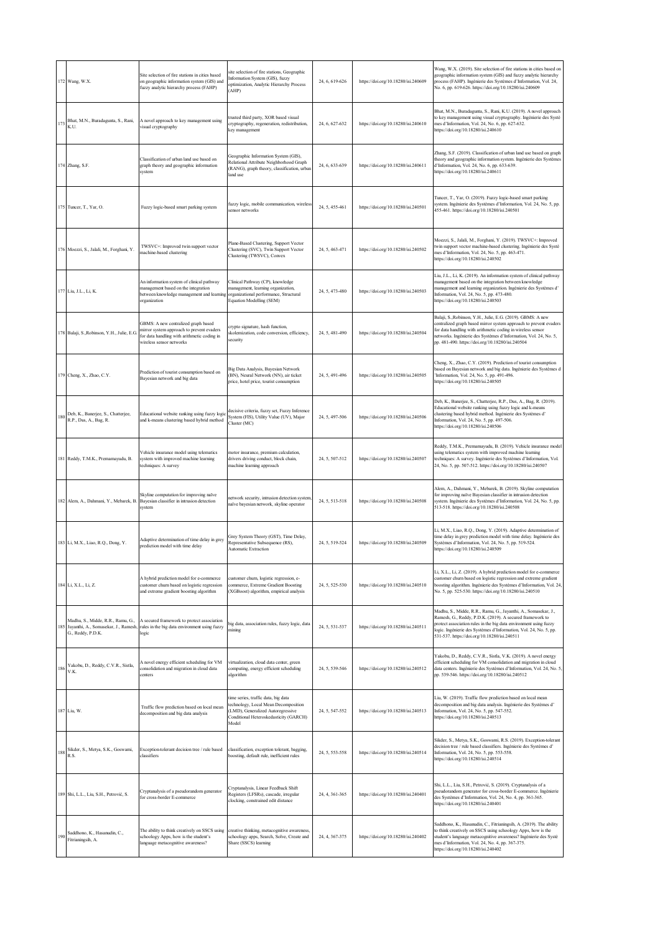|         | 172 Wang, W.X.                                                                                 | Site selection of fire stations in cities based<br>on geographic information system (GIS) and<br>fuzzy analytic hierarchy process (FAHP)                    | site selection of fire stations, Geographic<br>Information System (GIS), fuzzy<br>optimization, Analytic Hierarchy Process<br>(AHP)                                | 24, 6, 619-626 | https://doi.org/10.18280/isi.240609 | Wang, W.X. (2019). Site selection of fire stations in cities based on<br>geographic information system (GIS) and fuzzy analytic hierarchy<br>process (FAHP). Ingénierie des Systèmes d'Information, Vol. 24,<br>No. 6, pp. 619-626. https://doi.org/10.18280/isi.240609                                                 |
|---------|------------------------------------------------------------------------------------------------|-------------------------------------------------------------------------------------------------------------------------------------------------------------|--------------------------------------------------------------------------------------------------------------------------------------------------------------------|----------------|-------------------------------------|-------------------------------------------------------------------------------------------------------------------------------------------------------------------------------------------------------------------------------------------------------------------------------------------------------------------------|
|         | 173 Bhat, M.N., Buradagunta, S., Rani,<br>K.U.                                                 | A novel approach to key management using<br>visual cryptography                                                                                             | trusted third party, XOR based visual<br>cryptography, regeneration, redistribution,<br>key management                                                             | 24, 6, 627-632 | https://doi.org/10.18280/isi.240610 | Bhat, M.N., Buradagunta, S., Rani, K.U. (2019). A novel approach<br>to key management using visual cryptography. Ingénierie des Systè<br>mes d'Information, Vol. 24, No. 6, pp. 627-632.<br>https://doi.org/10.18280/isi.240610                                                                                         |
|         | 174 Zhang, S.F.                                                                                | Classification of urban land use based on<br>graph theory and geographic information<br>system                                                              | Geographic Information System (GIS),<br>Relational Attribute Neighborhood Graph<br>(RANG), graph theory, classification, urban<br>land use                         | 24, 6, 633-639 | https://doi.org/10.18280/isi.240611 | Zhang, S.F. (2019). Classification of urban land use based on graph<br>theory and geographic information system. Ingénierie des Systèmes<br>d'Information, Vol. 24, No. 6, pp. 633-639.<br>https://doi.org/10.18280/isi.240611                                                                                          |
|         | 175 Tuncer, T., Yar, O.                                                                        | Fuzzy logic-based smart parking system                                                                                                                      | fuzzy logic, mobile communication, wireless<br>sensor networks                                                                                                     | 24, 5, 455-461 | https://doi.org/10.18280/isi.240501 | Tuncer, T., Yar, O. (2019). Fuzzy logic-based smart parking<br>system. Ingénierie des Systèmes d'Information, Vol. 24, No. 5, pp.<br>455-461. https://doi.org/10.18280/isi.240501                                                                                                                                       |
|         | 176 Moezzi, S., Jalali, M., Forghani, Y.                                                       | TWSVC+: Improved twin support vector<br>machine-based clustering                                                                                            | Plane-Based Clustering, Support Vector<br>Clustering (SVC), Twin Support Vector<br>Clustering (TWSVC), Convex                                                      | 24, 5, 463-471 | https://doi.org/10.18280/isi.240502 | Moezzi, S., Jalali, M., Forghani, Y. (2019). TWSVC+: Improved<br>twin support vector machine-based clustering. Ingénierie des Systè<br>mes d'Information, Vol. 24, No. 5, pp. 463-471.<br>https://doi.org/10.18280/isi.240502                                                                                           |
|         | 177 Liu, J.L., Li, K.                                                                          | An information system of clinical pathway<br>management based on the integration<br>between knowledge management and learning<br>organization               | Clinical Pathway (CP), knowledge<br>management, learning organization,<br>organizational performance, Structural<br>Equation Modelling (SEM)                       | 24, 5, 473-480 | https://doi.org/10.18280/isi.240503 | Liu, J.L., Li, K. (2019). An information system of clinical pathway<br>management based on the integration between knowledge<br>management and learning organization. Ingénierie des Systèmes d'<br>Information, Vol. 24, No. 5, pp. 473-480.<br>https://doi.org/10.18280/isi.240503                                    |
|         | 178 Balaji, S., Robinson, Y.H., Julie, E.G.                                                    | GBMS: A new centralized graph based<br>mirror system approach to prevent evaders<br>for data handling with arithmetic coding in<br>wireless sensor networks | crypto signature, hash function.<br>skolemization, code conversion, efficiency,<br>security                                                                        | 24, 5, 481-490 | https://doi.org/10.18280/isi.240504 | Balaji, S., Robinson, Y.H., Julie, E.G. (2019). GBMS: A new<br>centralized graph based mirror system approach to prevent evaders<br>for data handling with arithmetic coding in wireless sensor<br>networks. Ingénierie des Systèmes d'Information, Vol. 24, No. 5,<br>pp. 481-490. https://doi.org/10.18280/isi.240504 |
|         | 179 Cheng, X., Zhao, C.Y.                                                                      | Prediction of tourist consumption based on<br>Bayesian network and big data                                                                                 | Big Data Analysis, Bayesian Network<br>(BN), Neural Network (NN), air ticket<br>price, hotel price, tourist consumption                                            | 24, 5, 491-496 | https://doi.org/10.18280/isi.240505 | Cheng, X., Zhao, C.Y. (2019). Prediction of tourist consumption<br>based on Bayesian network and big data. Ingénierie des Systèmes d<br>'Information, Vol. 24, No. 5, pp. 491-496.<br>https://doi.org/10.18280/isi.240505                                                                                               |
| $1\,80$ | Deb, K., Banerjee, S., Chatterjee,<br>R.P., Das, A., Bag, R.                                   | Educational website ranking using fuzzy logic<br>and k-means clustering based hybrid method                                                                 | decisive criteria, fuzzy set, Fuzzy Inference<br>System (FIS), Utility Value (UV), Major<br>Cluster (MC)                                                           | 24, 5, 497-506 | https://doi.org/10.18280/isi.240506 | Deb, K., Banerjee, S., Chatterjee, R.P., Das, A., Bag, R. (2019).<br>Educational website ranking using fuzzy logic and k-means<br>clustering based hybrid method. Ingénierie des Systèmes d'<br>Information, Vol. 24, No. 5, pp. 497-506.<br>https://doi.org/10.18280/isi.240506                                        |
|         | 181 Reddy, T.M.K., Premamayudu, B.                                                             | Vehicle insurance model using telematics<br>system with improved machine learning<br>techniques: A survey                                                   | motor insurance, premium calculation,<br>drivers driving conduct, block chain,<br>machine learning approach                                                        | 24, 5, 507-512 | https://doi.org/10.18280/isi.240507 | Reddy, T.M.K., Premamayudu, B. (2019). Vehicle insurance model<br>using telematics system with improved machine learning<br>techniques: A survey. Ingénierie des Systèmes d'Information, Vol.<br>24, No. 5, pp. 507-512. https://doi.org/10.18280/isi.240507                                                            |
|         | 182 Alem, A., Dahmani, Y., Mebarek, B.                                                         | Skyline computation for improving naïve<br>Bayesian classifier in intrusion detection<br>system                                                             | network security, intrusion detection system.<br>naïve bayesian network, skyline operator                                                                          | 24, 5, 513-518 | https://doi.org/10.18280/isi.240508 | Alem, A., Dahmani, Y., Mebarek, B. (2019). Skyline computation<br>for improving naïve Bayesian classifier in intrusion detection<br>system. Ingénierie des Systèmes d'Information, Vol. 24, No. 5, pp.<br>513-518. https://doi.org/10.18280/isi.240508                                                                  |
|         | 183 Li, M.X., Liao, R.Q., Dong, Y.                                                             | Adaptive determination of time delay in grey<br>prediction model with time delay                                                                            | Grey System Theory (GST), Time Delay,<br>Representative Subsequence (RS),<br>Automatic Extraction                                                                  | 24, 5, 519-524 | https://doi.org/10.18280/isi.240509 | Li, M.X., Liao, R.Q., Dong, Y. (2019). Adaptive determination of<br>time delay in grey prediction model with time delay. Ingénierie des<br>Systèmes d'Information, Vol. 24, No. 5, pp. 519-524.<br>https://doi.org/10.18280/isi.240509                                                                                  |
|         | 184 Li, X.L., Li, Z.                                                                           | A hybrid prediction model for e-commerce<br>customer churn based on logistic regression<br>and extreme gradient boosting algorithm                          | customer churn, logistic regression, e-<br>commerce, Extreme Gradient Boosting<br>(XGBoost) algorithm, empirical analysis                                          | 24, 5, 525-530 | https://doi.org/10.18280/isi.240510 | Li, X.L., Li, Z. (2019). A hybrid prediction model for e-commerce<br>customer churn based on logistic regression and extreme gradient<br>boosting algorithm. Ingénierie des Systèmes d'Information, Vol. 24,<br>No. 5, pp. 525-530. https://doi.org/10.18280/isi.240510                                                 |
| 185     | Madhu, S., Midde, R.R., Ramu, G.,<br>Jayanthi, A., Somasekar, J., Ramesh,<br>G., Reddy, P.D.K. | A secured framework to protect association<br>rules in the big data environment using fuzzy<br>logic                                                        | big data, association rules, fuzzy logic, data<br>mining                                                                                                           | 24, 5, 531-537 | https://doi.org/10.18280/isi.240511 | Madhu, S., Midde, R.R., Ramu, G., Jayanthi, A., Somasekar, J.,<br>Ramesh, G., Reddy, P.D.K. (2019). A secured framework to<br>protect association rules in the big data environment using fuzzy<br>logic. Ingénierie des Systèmes d'Information, Vol. 24, No. 5, pp.<br>531-537. https://doi.org/10.18280/isi.240511    |
| 186     | Yakobu, D., Reddy, C.V.R., Sistla,<br>V.K.                                                     | A novel energy efficient scheduling for VM<br>consolidation and migration in cloud data<br>centers                                                          | virtualization, cloud data center, green<br>computing, energy efficient scheduling<br>algorithm                                                                    | 24, 5, 539-546 | https://doi.org/10.18280/isi.240512 | Yakobu, D., Reddy, C.V.R., Sistla, V.K. (2019). A novel energy<br>efficient scheduling for VM consolidation and migration in cloud<br>data centers. Ingénierie des Systèmes d'Information, Vol. 24, No. 5,<br>pp. 539-546. https://doi.org/10.18280/isi.240512                                                          |
|         | 187 Liu, W.                                                                                    | Traffic flow prediction based on local mean<br>decomposition and big data analysis                                                                          | time series, traffic data, big data<br>technology, Local Mean Decomposition<br>LMD), Generalized Autoregressive<br>Conditional Heteroskedasticity (GARCH)<br>Model | 24, 5, 547-552 | https://doi.org/10.18280/isi.240513 | Liu, W. (2019). Traffic flow prediction based on local mean<br>decomposition and big data analysis. Ingénierie des Systèmes d'<br>Information, Vol. 24, No. 5, pp. 547-552.<br>https://doi.org/10.18280/isi.240513                                                                                                      |
| 188     | Sikder, S., Metya, S.K., Goswami,<br>R.S.                                                      | Exception-tolerant decision tree / rule based<br>classifiers                                                                                                | classification, exception tolerant, bagging,<br>boosting, default rule, inefficient rules                                                                          | 24, 5, 553-558 | https://doi.org/10.18280/isi.240514 | Sikder, S., Metya, S.K., Goswami, R.S. (2019). Exception-tolerant<br>decision tree / rule based classifiers. Ingénierie des Systèmes d'<br>Information, Vol. 24, No. 5, pp. 553-558.<br>https://doi.org/10.18280/isi.240514                                                                                             |
|         | 189 Shi, L.L., Liu, S.H., Petrović, S.                                                         | Cryptanalysis of a pseudorandom generator<br>for cross-border E-commerce                                                                                    | Cryptanalysis, Linear Feedback Shift<br>Registers (LFSRs), cascade, irregular<br>clocking, constrained edit distance                                               | 24, 4, 361-365 | https://doi.org/10.18280/isi.240401 | Shi, L.L., Liu, S.H., Petrović, S. (2019). Cryptanalysis of a<br>pseudorandom generator for cross-border E-commerce. Ingénierie<br>des Systèmes d'Information, Vol. 24, No. 4, pp. 361-365.<br>https://doi.org/10.18280/isi.240401                                                                                      |
| 190     | Saddhono, K., Hasanudin, C.,<br>Fitrianingsih, A.                                              | The ability to think creatively on SSCS using<br>schoology Apps, how is the student's<br>language metacognitive awareness?                                  | creative thinking, metacognitive awareness,<br>schoology apps, Search, Solve, Create and<br>Share (SSCS) learning                                                  | 24, 4, 367-375 | https://doi.org/10.18280/isi.240402 | Saddhono, K., Hasanudin, C., Fitrianingsih, A. (2019). The ability<br>to think creatively on SSCS using schoology Apps, how is the<br>student's language metacognitive awareness? Ingénierie des Systè<br>mes d'Information, Vol. 24, No. 4, pp. 367-375.<br>https://doi.org/10.18280/isi.240402                        |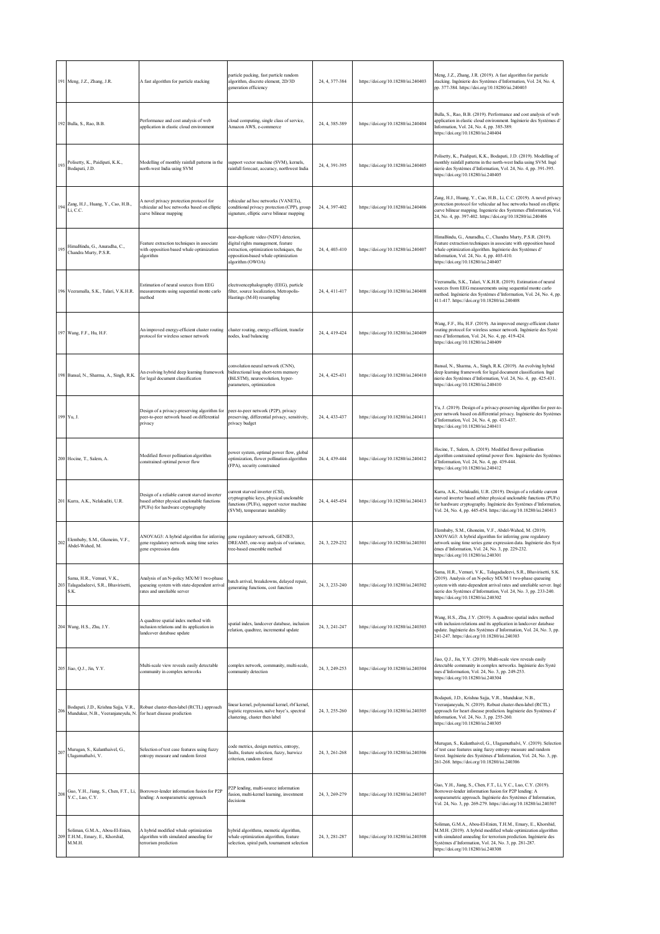|     | 191 Meng, J.Z., Zhang, J.R.                                                                             | A fast algorithm for particle stacking                                                                                           | particle packing, fast particle random<br>algorithm, discrete element, 2D/3D<br>generation efficiency                                                                             | 24, 4, 377-384 | https://doi.org/10.18280/isi.240403 | Meng, J.Z., Zhang, J.R. (2019). A fast algorithm for particle<br>stacking. Ingénierie des Systèmes d'Information, Vol. 24, No. 4,<br>pp. 377-384. https://doi.org/10.18280/isi.240403                                                                                                                             |
|-----|---------------------------------------------------------------------------------------------------------|----------------------------------------------------------------------------------------------------------------------------------|-----------------------------------------------------------------------------------------------------------------------------------------------------------------------------------|----------------|-------------------------------------|-------------------------------------------------------------------------------------------------------------------------------------------------------------------------------------------------------------------------------------------------------------------------------------------------------------------|
|     | 192 Bulla, S., Rao, B.B.                                                                                | Performance and cost analysis of web<br>application in elastic cloud environment                                                 | cloud computing, single class of service,<br>Amazon AWS, e-commerce                                                                                                               | 24, 4, 385-389 | https://doi.org/10.18280/isi.240404 | Bulla, S., Rao, B.B. (2019). Performance and cost analysis of web<br>application in elastic cloud environment. Ingénierie des Systèmes d'<br>Information, Vol. 24, No. 4, pp. 385-389.<br>https://doi.org/10.18280/isi.240404                                                                                     |
| 193 | Polisetty, K., Paidipati, K.K.,<br>Bodapati, J.D.                                                       | Modelling of monthly rainfall patterns in the<br>north-west India using SVM                                                      | support vector machine (SVM), kernels,<br>rainfall forecast, accuracy, northwest India                                                                                            | 24, 4, 391-395 | https://doi.org/10.18280/isi.240405 | Polisetty, K., Paidipati, K.K., Bodapati, J.D. (2019). Modelling of<br>monthly rainfall patterns in the north-west India using SVM. Ingé<br>nierie des Systèmes d'Information, Vol. 24, No. 4, pp. 391-395.<br>https://doi.org/10.18280/isi.240405                                                                |
| 194 | Zang, H.J., Huang, Y., Cao, H.B.,<br>Li, C.C.                                                           | A novel privacy protection protocol for<br>vehicular ad hoc networks based on elliptic<br>curve bilinear mapping                 | vehicular ad hoc networks (VANETs),<br>conditional privacy protection (CPP), group<br>signature, elliptic curve bilinear mapping                                                  | 24, 4, 397-402 | https://doi.org/10.18280/isi.240406 | Zang, H.J., Huang, Y., Cao, H.B., Li, C.C. (2019). A novel privacy<br>protection protocol for vehicular ad hoc networks based on elliptic<br>curve bilinear mapping. Ingenierie des Systemes d'Information, Vol<br>24, No. 4, pp. 397-402. https://doi.org/10.18280/isi.240406                                    |
| 195 | HimaBindu, G., Anuradha, C.,<br>Chandra Murty, P.S.R.                                                   | Feature extraction techniques in associate<br>with opposition based whale optimization<br>algorithm                              | near-duplicate video (NDV) detection,<br>ligital rights management, feature<br>extraction, optimization techniques, the<br>pposition-based whale optimization<br>algorithm (OWOA) | 24, 4, 403-410 | https://doi.org/10.18280/isi.240407 | HimaBindu, G., Anuradha, C., Chandra Murty, P.S.R. (2019).<br>Feature extraction techniques in associate with opposition based<br>whale optimization algorithm. Ingénierie des Systèmes d'<br>Information, Vol. 24, No. 4, pp. 403-410.<br>https://doi.org/10.18280/isi.240407                                    |
|     | 196 Veeramalla, S.K., Talari, V.K.H.R.                                                                  | Estimation of neural sources from EEG<br>measurements using sequential monte carlo<br>method                                     | electroencephalography (EEG), particle<br>filter, source localization, Metropolis-<br>Hastings (M-H) resampling                                                                   | 24, 4, 411-417 | https://doi.org/10.18280/isi.240408 | Veeramalla, S.K., Talari, V.K.H.R. (2019). Estimation of neural<br>sources from EEG measurements using sequential monte carlo<br>method. Ingénierie des Systèmes d'Information, Vol. 24, No. 4, pp.<br>411-417. https://doi.org/10.18280/isi.240408                                                               |
|     | 197 Wang, F.F., Hu, H.F.                                                                                | An improved energy-efficient cluster routing<br>protocol for wireless sensor network                                             | cluster routing, energy-efficient, transfer<br>nodes, load balancing                                                                                                              | 24, 4, 419-424 | https://doi.org/10.18280/isi.240409 | Wang, F.F., Hu, H.F. (2019). An improved energy-efficient cluster<br>routing protocol for wireless sensor network. Ingénierie des Systè<br>mes d'Information, Vol. 24, No. 4, pp. 419-424.<br>https://doi.org/10.18280/isi.240409                                                                                 |
|     | 198 Bansal, N., Sharma, A., Singh, R.K.                                                                 | An evolving hybrid deep learning framework<br>for legal document classification                                                  | onvolution neural network (CNN),<br>bidirectional long short-term memory<br>BiLSTM), neuroevolution, hyper-<br>parameters, optimization                                           | 24, 4, 425-431 | https://doi.org/10.18280/isi.240410 | Bansal, N., Sharma, A., Singh, R.K. (2019). An evolving hybrid<br>deep learning framework for legal document classification. Ingé<br>nierie des Systèmes d'Information, Vol. 24, No. 4, pp. 425-431.<br>https://doi.org/10.18280/isi.240410                                                                       |
|     | 199 Yu, J.                                                                                              | Design of a privacy-preserving algorithm for<br>peer-to-peer network based on differential<br>privacy                            | peer-to-peer network (P2P), privacy<br>preserving, differential privacy, sensitivity,<br>privacy budget                                                                           | 24, 4, 433-437 | https://doi.org/10.18280/isi.240411 | Yu, J. (2019). Design of a privacy-preserving algorithm for peer-to-<br>peer network based on differential privacy. Ingénierie des Systèmes<br>d'Information, Vol. 24, No. 4, pp. 433-437.<br>https://doi.org/10.18280/isi.240411                                                                                 |
|     | 200 Hocine, T., Salem, A.                                                                               | Modified flower pollination algorithm<br>constrained optimal power flow                                                          | bower system, optimal power flow, global<br>ptimization, flower pollination algorithm<br>(FPA), security constrained                                                              | 24, 4, 439-444 | https://doi.org/10.18280/isi.240412 | Hocine, T., Salem, A. (2019). Modified flower pollination<br>algorithm constrained optimal power flow. Ingénierie des Systèmes<br>d'Information, Vol. 24, No. 4, pp. 439-444.<br>https://doi.org/10.18280/isi.240412                                                                                              |
|     | 201 Kurra, A.K., Nelakuditi, U.R.                                                                       | Design of a reliable current starved inverter<br>based arbiter physical unclonable functions<br>(PUFs) for hardware cryptography | current starved inverter (CSI),<br>cryptographic keys, physical unclonable<br>functions (PUFs), support vector machine<br>(SVM), temperature instability                          | 24, 4, 445-454 | https://doi.org/10.18280/isi.240413 | Kurra, A.K., Nelakuditi, U.R. (2019). Design of a reliable current<br>starved inverter based arbiter physical unclonable functions (PUFs)<br>for hardware cryptography. Ingénierie des Systèmes d'Information,<br>Vol. 24, No. 4, pp. 445-454. https://doi.org/10.18280/isi.240413                                |
| 202 | Elembaby, S.M., Ghoneim, V.F.,<br>Abdel-Wahed, M.                                                       | ANOVAG3: A hybrid algorithm for inferring<br>gene regulatory network using time series<br>gene expression data                   | gene regulatory network, GENIE3,<br>DREAM5, one-way analysis of variance,<br>tree-based ensemble method                                                                           | 24, 3, 229-232 | https://doi.org/10.18280/isi.240301 | Elembaby, S.M., Ghoneim, V.F., Abdel-Wahed, M. (2019).<br>ANOVAG3: A hybrid algorithm for inferring gene regulatory<br>network using time series gene expression data. Ingénierie des Syst<br>èmes d'Information, Vol. 24, No. 3, pp. 229-232.<br>https://doi.org/10.18280/isi.240301                             |
|     | Sama, H.R., Vemuri, V.K.,<br>203 Talagadadeevi, S.R., Bhavirisetti,<br>S.K.                             | Analysis of an N-policy MX/M/1 two-phase<br>queueing system with state-dependent arrival<br>rates and unreliable server          | batch arrival, breakdowns, delayed repair,<br>generating functions, cost function                                                                                                 | 24, 3, 233-240 | https://doi.org/10.18280/isi.240302 | Sama, H.R., Vemuri, V.K., Talagadadeevi, S.R., Bhavirisetti, S.K.<br>(2019). Analysis of an N-policy MX/M/1 two-phase queueing<br>system with state-dependent arrival rates and unreliable server. Ingé<br>nierie des Systèmes d'Information, Vol. 24, No. 3, pp. 233-240.<br>https://doi.org/10.18280/isi.240302 |
|     | 204 Wang, H.S., Zhu, J.Y.                                                                               | A quadtree spatial index method with<br>inclusion relations and its application in<br>landcover database update                  | spatial index, landcover database, inclusion<br>relation, quadtree, incremental update                                                                                            | 24, 3, 241-247 | https://doi.org/10.18280/isi.240303 | Wang, H.S., Zhu, J.Y. (2019). A quadtree spatial index method<br>with inclusion relations and its application in landcover database<br>update. Ingénierie des Systèmes d'Information, Vol. 24, No. 3, pp.<br>241-247. https://doi.org/10.18280/isi.240303                                                         |
|     | 205 Jiao, Q.J., Jin, Y.Y.                                                                               | Multi-scale view reveals easily detectable<br>community in complex networks                                                      | omplex network, community, multi-scale,<br>community detection                                                                                                                    | 24, 3, 249-253 | https://doi.org/10.18280/isi.240304 | Jiao, Q.J., Jin, Y.Y. (2019). Multi-scale view reveals easily<br>detectable community in complex networks. Ingénierie des Systè<br>mes d'Information, Vol. 24, No. 3, pp. 249-253.<br>https://doi.org/10.18280/isi.240304                                                                                         |
| 206 | Bodapati, J.D., Krishna Sajja, V.R.,<br>Mundukur, N.B., Veeranjaneyulu, N. for heart disease prediction | Robust cluster-then-label (RCTL) approach                                                                                        | inear kernel, polynomial kernel, rbf kernel,<br>logistic regression, naïve baye's, spectral<br>clustering, cluster then label                                                     | 24, 3, 255-260 | https://doi.org/10.18280/isi.240305 | Bodapati, J.D., Krishna Sajja, V.R., Mundukur, N.B.,<br>Veeranjaneyulu, N. (2019). Robust cluster-then-label (RCTL)<br>approach for heart disease prediction. Ingénierie des Systèmes d'<br>Information, Vol. 24, No. 3, pp. 255-260.<br>https://doi.org/10.18280/isi.240305                                      |
| 207 | Murugan, S., Kulanthaivel, G.,<br>Ulagamuthalvi, V.                                                     | Selection of test case features using fuzzy<br>entropy measure and random forest                                                 | code metrics, design metrics, entropy,<br>faults, feature selection, fuzzy, hurwicz<br>criterion, random forest                                                                   | 24, 3, 261-268 | https://doi.org/10.18280/isi.240306 | Murugan, S., Kulanthaivel, G., Ulagamuthalvi, V. (2019). Selection<br>of test case features using fuzzy entropy measure and random<br>forest. Ingénierie des Systèmes d'Information, Vol. 24, No. 3, pp.<br>261-268. https://doi.org/10.18280/isi.240306                                                          |
|     | Guo, Y.H., Jiang, S., Chen, F.T., Li,<br>$208$ Y.C., Luo, C.Y.                                          | Borrower-lender information fusion for P2P<br>lending: A nonparametric approach                                                  | P2P lending, multi-source information<br>fusion, multi-kernel learning, investment<br>decisions                                                                                   | 24, 3, 269-279 | https://doi.org/10.18280/isi.240307 | Guo, Y.H., Jiang, S., Chen, F.T., Li, Y.C., Luo, C.Y. (2019).<br>Borrower-lender information fusion for P2P lending: A<br>nonparametric approach. Ingénierie des Systèmes d'Information,<br>Vol. 24, No. 3, pp. 269-279. https://doi.org/10.18280/isi.240307                                                      |
|     | Soliman, G.M.A., Abou-El-Enien,<br>209 T.H.M., Emary, E., Khorshid,<br>M.M.H.                           | A hybrid modified whale optimization<br>algorithm with simulated annealing for<br>terrorism prediction                           | hybrid algorithms, memetic algorithm,<br>whale optimization algorithm, feature<br>selection, spiral path, tournament selection                                                    | 24, 3, 281-287 | https://doi.org/10.18280/isi.240308 | Soliman, G.M.A., Abou-El-Enien, T.H.M., Emary, E., Khorshid,<br>M.M.H. (2019). A hybrid modified whale optimization algorithm<br>with simulated annealing for terrorism prediction. Ingénierie des<br>Systèmes d'Information, Vol. 24, No. 3, pp. 281-287.<br>https://doi.org/10.18280/isi.240308                 |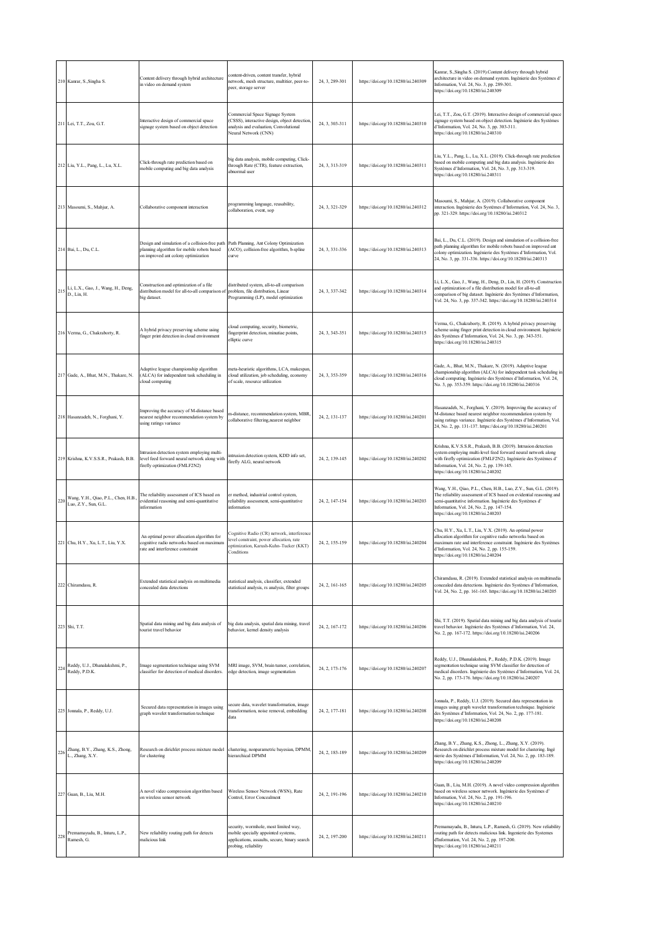|     | 210 Kanrar, S., Singha S.                             | Content delivery through hybrid architecture<br>in video on demand system                                                           | content-driven, content transfer, hybrid<br>network, mesh structure, multitier, peer-to-<br>peer, storage server                                      | 24, 3, 289-301 | https://doi.org/10.18280/isi.240309 | Kanrar, S., Singha S. (2019). Content delivery through hybrid<br>architecture in video on demand system. Ingénierie des Systèmes d<br>Information, Vol. 24, No. 3, pp. 289-301.<br>https://doi.org/10.18280/isi.240309                                                                   |
|-----|-------------------------------------------------------|-------------------------------------------------------------------------------------------------------------------------------------|-------------------------------------------------------------------------------------------------------------------------------------------------------|----------------|-------------------------------------|------------------------------------------------------------------------------------------------------------------------------------------------------------------------------------------------------------------------------------------------------------------------------------------|
|     | 211 Lei, T.T., Zou, G.T.                              | Interactive design of commercial space<br>signage system based on object detection                                                  | Commercial Space Signage System<br>(CSSS), interactive design, object detection,<br>analysis and evaluation, Convolutional<br>Neural Network (CNN)    | 24, 3, 303-311 | https://doi.org/10.18280/isi.240310 | Lei, T.T., Zou, G.T. (2019). Interactive design of commercial space<br>signage system based on object detection. Ingénierie des Systèmes<br>d'Information, Vol. 24, No. 3, pp. 303-311.<br>https://doi.org/10.18280/isi.240310                                                           |
|     | 212 Liu, Y.L., Pang, L., Lu, X.L.                     | Click-through rate prediction based on<br>mobile computing and big data analysis                                                    | big data analysis, mobile computing, Click-<br>through Rate (CTR), feature extraction,<br>abnormal user                                               | 24, 3, 313-319 | https://doi.org/10.18280/isi.240311 | Liu, Y.L., Pang, L., Lu, X.L. (2019). Click-through rate prediction<br>based on mobile computing and big data analysis. Ingénierie des<br>Systèmes d'Information, Vol. 24, No. 3, pp. 313-319.<br>https://doi.org/10.18280/isi.240311                                                    |
|     | 213 Masoumi, S., Mahjur, A.                           | Collaborative component interaction                                                                                                 | programming language, reusability,<br>collaboration, event, sop                                                                                       | 24, 3, 321-329 | https://doi.org/10.18280/isi.240312 | Masoumi, S., Mahjur, A. (2019). Collaborative component<br>interaction. Ingénierie des Systèmes d'Information, Vol. 24, No. 3,<br>pp. 321-329. https://doi.org/10.18280/isi.240312                                                                                                       |
|     | 214 Bai, L., Du, C.L.                                 | Design and simulation of a collision-free path<br>planning algorithm for mobile robots based<br>on improved ant colony optimization | Path Planning, Ant Colony Optimization<br>(ACO), collision-free algorithm, b-spline<br>curve                                                          | 24, 3, 331-336 | https://doi.org/10.18280/isi.240313 | Bai, L., Du, C.L. (2019). Design and simulation of a collision-free<br>path planning algorithm for mobile robots based on improved ant<br>colony optimization. Ingénierie des Systèmes d'Information, Vol.<br>24, No. 3, pp. 331-336. https://doi.org/10.18280/isi.240313                |
|     | 215 Li, L.X., Gao, J., Wang, H., Deng,<br>D., Lin, H. | Construction and optimization of a file<br>distribution model for all-to-all comparison of<br>big dataset.                          | distributed system, all-to-all comparison<br>problem, file distribution, Linear<br>Programming (LP), model optimization                               | 24, 3, 337-342 | https://doi.org/10.18280/isi.240314 | Li, L.X., Gao, J., Wang, H., Deng, D., Lin, H. (2019). Construction<br>and optimization of a file distribution model for all-to-all<br>comparison of big dataset. Ingénierie des Systèmes d'Information,<br>Vol. 24, No. 3, pp. 337-342. https://doi.org/10.18280/isi.240314             |
|     | 216 Verma, G., Chakraborty, R.                        | A hybrid privacy preserving scheme using<br>finger print detection in cloud environment                                             | cloud computing, security, biometric,<br>fingerprint detection, minutiae points,<br>elliptic curve                                                    | 24.3.343-351   | https://doi.org/10.18280/isi.240315 | Verma, G., Chakraborty, R. (2019). A hybrid privacy preserving<br>scheme using finger print detection in cloud environment. Ingénierie<br>des Systèmes d'Information, Vol. 24, No. 3, pp. 343-351.<br>https://doi.org/10.18280/isi.240315                                                |
|     | 217 Gade, A., Bhat, M.N., Thakare, N.                 | Adaptive league championship algorithm<br>(ALCA) for independent task scheduling in<br>cloud computing                              | meta-heuristic algorithms, LCA, makespan,<br>cloud utilization, job scheduling, economy<br>of scale, resource utilization                             | 24, 3, 353-359 | https://doi.org/10.18280/isi.240316 | Gade, A., Bhat, M.N., Thakare, N. (2019). Adaptive league<br>championship algorithm (ALCA) for independent task scheduling in<br>cloud computing. Ingénierie des Systèmes d'Information, Vol. 24,<br>No. 3, pp. 353-359. https://doi.org/10.18280/isi.240316                             |
|     | 218 Hasanzadeh, N., Forghani, Y.                      | Improving the accuracy of M-distance based<br>nearest neighbor recommendation system by<br>using ratings variance                   | m-distance, recommendation system, MBR,<br>collaborative filtering, nearest neighbor                                                                  | 24, 2, 131-137 | https://doi.org/10.18280/isi.240201 | Hasanzadeh, N., Forghani, Y. (2019). Improving the accuracy of<br>M-distance based nearest neighbor recommendation system by<br>using ratings variance. Ingénierie des Systèmes d'Information, Vol.<br>24, No. 2, pp. 131-137. https://doi.org/10.18280/isi.240201                       |
|     | 219 Krishna, K.V.S.S.R., Prakash, B.B.                | intrusion detection system employing multi-<br>evel feed forward neural network along with<br>firefly optimization (FMLF2N2)        | intrusion detection system, KDD info set,<br>firefly ALG, neural network                                                                              | 24, 2, 139-145 | https://doi.org/10.18280/isi.240202 | Krishna, K.V.S.S.R., Prakash, B.B. (2019). Intrusion detection<br>system employing multi-level feed forward neural network along<br>with firefly optimization (FMLF2N2). Ingénierie des Systèmes d'<br>Information, Vol. 24, No. 2, pp. 139-145.<br>https://doi.org/10.18280/isi.240202  |
|     | Wang, Y.H., Qiao, P.L., Chen, H.B.                    | The reliability assessment of ICS based on<br>evidential reasoning and semi-quantitative<br>information                             | er method, industrial control system,<br>reliability assessment, semi-quantitative<br>information                                                     | 24, 2, 147-154 | https://doi.org/10.18280/isi.240203 | Wang, Y.H., Qiao, P.L., Chen, H.B., Luo, Z.Y., Sun, G.L. (2019).<br>The reliability assessment of ICS based on evidential reasoning and<br>semi-quantitative information. Ingénierie des Systèmes d'<br>Information, Vol. 24, No. 2, pp. 147-154.<br>https://doi.org/10.18280/isi.240203 |
|     | 221 Chu, H.Y., Xu, L.T., Liu, Y.X.                    | An optimal power allocation algorithm for<br>cognitive radio networks based on maximum<br>rate and interference constraint          | Cognitive Radio (CR) network, interference<br>level constraint, power allocation, rate<br>optimization, Karush-Kuhn-Tucker (KKT)<br>Conditions        | 24, 2, 155-159 | https://doi.org/10.18280/isi.240204 | Chu, H.Y., Xu, L.T., Liu, Y.X. (2019). An optimal power<br>allocation algorithm for cognitive radio networks based on<br>maximum rate and interference constraint. Ingénierie des Systèmes<br>d'Information, Vol. 24, No. 2, pp. 155-159.<br>https://doi.org/10.18280/isi.240204         |
|     | 222 Chiramdasu, R.                                    | Extended statistical analysis on multimedia<br>concealed data detections                                                            | statistical analysis, classifier, extended<br>statistical analysis, rs analysis, filter groups                                                        | 24, 2, 161-165 | https://doi.org/10.18280/isi.240205 | Chiramdasu, R. (2019). Extended statistical analysis on multimedia<br>concealed data detections. Ingénierie des Systèmes d'Information,<br>Vol. 24, No. 2, pp. 161-165. https://doi.org/10.18280/isi.240205                                                                              |
|     | 223 Shi, T.T.                                         | Spatial data mining and big data analysis of<br>tourist travel behavior                                                             | big data analysis, spatial data mining, travel<br>behavior, kernel density analysis                                                                   | 24, 2, 167-172 | https://doi.org/10.18280/isi.240206 | Shi, T.T. (2019). Spatial data mining and big data analysis of tourist<br>travel behavior. Ingénierie des Systèmes d'Information, Vol. 24,<br>No. 2, pp. 167-172. https://doi.org/10.18280/isi.240206                                                                                    |
|     | 224 Reddy, U.J., Dhanalakshmi, P.,<br>Reddy, P.D.K.   | Image segmentation technique using SVM<br>classifier for detection of medical disorders.                                            | MRI image, SVM, brain tumor, correlation,<br>edge detection, image segmentation                                                                       | 24, 2, 173-176 | https://doi.org/10.18280/isi.240207 | Reddy, U.J., Dhanalakshmi, P., Reddy, P.D.K. (2019). Image<br>segmentation technique using SVM classifier for detection of<br>medical disorders. Ingénierie des Systèmes d'Information, Vol. 24,<br>No. 2, pp. 173-176. https://doi.org/10.18280/isi.240207                              |
|     | 225 Jonnala, P., Reddy, U.J.                          | Secured data representation in images using<br>graph wavelet transformation technique                                               | secure data, wavelet transformation, image<br>transformation, noise removal, embedding<br>data                                                        | 24, 2, 177-181 | https://doi.org/10.18280/isi.240208 | Jonnala, P., Reddy, U.J. (2019). Secured data representation in<br>images using graph wavelet transformation technique. Ingénierie<br>des Systèmes d'Information, Vol. 24, No. 2, pp. 177-181.<br>https://doi.org/10.18280/isi.240208                                                    |
| 226 | Zhang, B.Y., Zhang, K.S., Zhong,<br>L., Zhang, X.Y.   | Research on dirichlet process mixture model<br>for clustering                                                                       | clustering, nonparametric bayesian, DPMM,<br>hierarchical DPMM                                                                                        | 24, 2, 183-189 | https://doi.org/10.18280/isi.240209 | Zhang, B.Y., Zhang, K.S., Zhong, L., Zhang, X.Y. (2019).<br>Research on dirichlet process mixture model for clustering. Ingé<br>nierie des Systèmes d'Information, Vol. 24, No. 2, pp. 183-189.<br>https://doi.org/10.18280/isi.240209                                                   |
|     | 227 Guan, B., Liu, M.H.                               | A novel video compression algorithm based<br>on wireless sensor network                                                             | Wireless Sensor Network (WSN), Rate<br>Control. Error Concealment                                                                                     | 24, 2, 191-196 | https://doi.org/10.18280/isi.240210 | Guan, B., Liu, M.H. (2019). A novel video compression algorithm<br>based on wireless sensor network. Ingénierie des Systèmes d'<br>Information, Vol. 24, No. 2, pp. 191-196.<br>https://doi.org/10.18280/isi.240210                                                                      |
| 228 | Premamayudu, B., Inturu, L.P.,<br>Ramesh, G.          | New reliability routing path for detects<br>malicious link                                                                          | security, wormhole, most limited way,<br>mobile specially appointed systems,<br>applications, assaults, secure, binary search<br>probing, reliability | 24, 2, 197-200 | https://doi.org/10.18280/isi.240211 | Premamayudu, B., Inturu, L.P., Ramesh, G. (2019). New reliability<br>routing path for detects malicious link. Ingenierie des Systemes<br>d'Information, Vol. 24, No. 2, pp. 197-200.<br>https://doi.org/10.18280/isi.240211                                                              |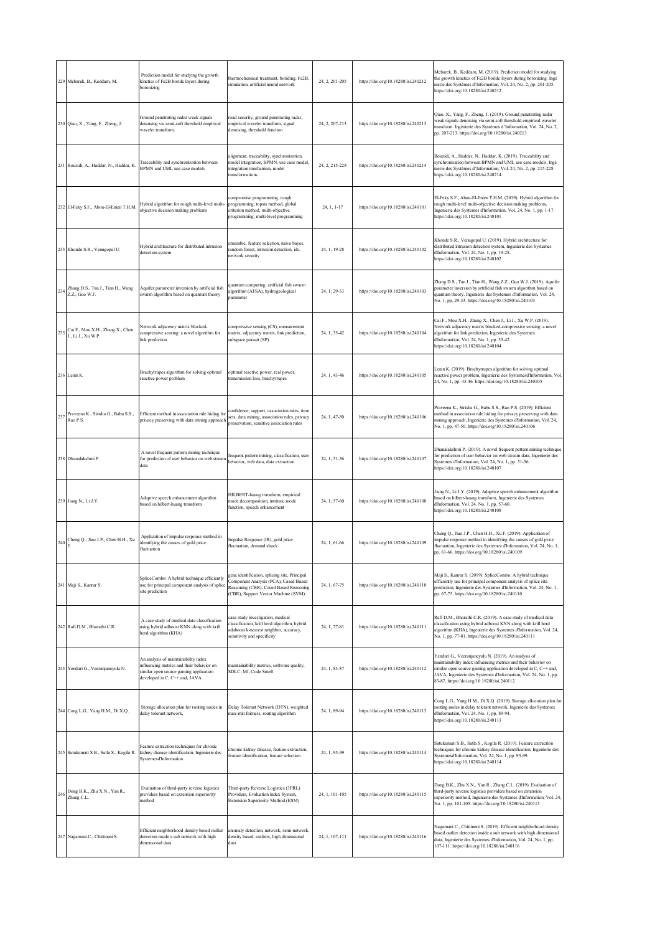|     | 229 Mebarek, B., Keddam, M.                                                               | Prediction model for studying the growth<br>kinetics of Fe2B boride layers during<br>boronizing                                                              | thermochemical treatment, boriding, Fe2B,<br>simulation, artificial neural network                                                                                     | 24, 2, 201-205 | https://doi.org/10.18280/isi.240212 | Mebarek, B., Keddam, M. (2019). Prediction model for studying<br>the growth kinetics of Fe2B boride layers during boronizing. Ingé<br>nierie des Systèmes d'Information, Vol. 24, No. 2, pp. 201-205.<br>https://doi.org/10.18280/isi.240212                                                                 |
|-----|-------------------------------------------------------------------------------------------|--------------------------------------------------------------------------------------------------------------------------------------------------------------|------------------------------------------------------------------------------------------------------------------------------------------------------------------------|----------------|-------------------------------------|--------------------------------------------------------------------------------------------------------------------------------------------------------------------------------------------------------------------------------------------------------------------------------------------------------------|
|     | 230 Qiao, X., Yang, F., Zheng, J.                                                         | Ground penetrating radar weak signals<br>denoising via semi-soft threshold empirical<br>wavelet transform.                                                   | oad security, ground penetrating radar,<br>empirical wavelet transform, signal<br>denoising, threshold function                                                        | 24, 2, 207-213 | https://doi.org/10.18280/isi.240213 | Qiao, X., Yang, F., Zheng, J. (2019). Ground penetrating radar<br>weak signals denoising via semi-soft threshold empirical wavelet<br>transform. Ingénierie des Systèmes d'Information, Vol. 24, No. 2,<br>pp. 207-213. https://doi.org/10.18280/isi.240213                                                  |
|     | 231 Bouzidi, A., Haddar, N., Haddar, K.                                                   | Traceability and synchronization between<br>BPMN and UML use case models                                                                                     | ilignment, traceability, synchronization,<br>nodel integration, BPMN, use case model,<br>integration mechanism, model<br>transformations                               | 24, 2, 215-228 | https://doi.org/10.18280/isi.240214 | Bouzidi, A., Haddar, N., Haddar, K. (2019). Traceability and<br>synchronization between BPMN and UML use case models. Ingé<br>nierie des Systèmes d'Information, Vol. 24, No. 2, pp. 215-228.<br>https://doi.org/10.18280/isi.240214                                                                         |
|     | 232 El-Feky S.F., Abou-El-Enien T.H.M.                                                    | Hybrid algorithm for rough multi-level multi-<br>objective decision making problems                                                                          | compromise programming, rough<br>programming, topsis method, global<br>criterion method, multi-objective<br>programming, multi-level programming                       | 24, 1, 1-17    | https://doi.org/10.18280/isi.240101 | El-Feky S.F., Abou-El-Enien T.H.M. (2019). Hybrid algorithm for<br>rough multi-level multi-objective decision making problems,<br>Ingenierie des Systemes d'Information, Vol. 24, No. 1, pp. 1-17.<br>https://doi.org/10.18280/isi.240101                                                                    |
|     | 233 Khonde S.R., Venugopal U.                                                             | Hybrid architecture for distributed intrusion<br>detection system                                                                                            | ensemble, feature selection, naïve bayes,<br>random forest, intrusion detection, ids,<br>network security                                                              | 24, 1, 19-28   | https://doi.org/10.18280/isi.240102 | Khonde S.R., Venugopal U. (2019). Hybrid architecture for<br>distributed intrusion detection system, Ingenierie des Systemes<br>d'Information, Vol. 24, No. 1, pp. 19-28.<br>https://doi.org/10.18280/isi.240102                                                                                             |
| 234 | Zhang D.S., Tan J., Tian H., Wang<br>Z.Z., Guo W.J.                                       | Aquifer parameter inversion by artificial fish<br>swarm algorithm based on quantum theory                                                                    | uantum computing, artificial fish swarm<br>dgorithm (AFSA), hydrogeological<br>parameter                                                                               | 24, 1, 29-33   | https://doi.org/10.18280/isi.240103 | Zhang D.S., Tan J., Tian H., Wang Z.Z., Guo W.J. (2019). Aquifer<br>parameter inversion by artificial fish swarm algorithm based on<br>quantum theory, Ingenierie des Systemes d'Information, Vol. 24,<br>No. 1, pp. 29-33. https://doi.org/10.18280/isi.240103                                              |
| 235 | Cai F., Mou X.H., Zhang X., Chen<br>J., Li J., Xu W.P.                                    | Network adjacency matrix blocked-<br>compressive sensing: a novel algorithm for<br>link prediction                                                           | ompressive sensing (CS), measurement<br>matrix, adjacency matrix, link prediction,<br>subspace pursuit (SP)                                                            | 24.1.35-42     | https://doi.org/10.18280/isi.240104 | Cai F., Mou X.H., Zhang X., Chen J., Li J., Xu W.P. (2019).<br>Network adjacency matrix blocked-compressive sensing: a novel<br>algorithm for link prediction, Ingenierie des Systemes<br>d'Information, Vol. 24, No. 1, pp. 35-42.<br>https://doi.org/10.18280/isi.240104                                   |
|     | 236 Lenin K.                                                                              | Brachytrupes algorithm for solving optimal<br>reactive power problem                                                                                         | optimal reactive power, real power,<br>ransmission loss, brachytrupes                                                                                                  | 24, 1, 43-46   | https://doi.org/10.18280/isi.240105 | Lenin K. (2019). Brachytrupes algorithm for solving optimal<br>reactive power problem, Ingenierie des Systemesd'Information, Vol.<br>24, No. 1, pp. 43-46. https://doi.org/10.18280/isi.240105                                                                                                               |
| 237 | Praveena K., Sirisha G., Babu S.S.,<br>Rao P.S.                                           | Efficient method in association rule hiding for<br>privacy preserving with data mining approach                                                              | confidence, support, association rules, item<br>sets, data mining, association rules, privacy<br>preservation, sensitive association rules                             | 24, 1, 47-50   | https://doi.org/10.18280/isi.240106 | Praveena K., Sirisha G., Babu S.S., Rao P.S. (2019). Efficient<br>method in association rule hiding for privacy preserving with data<br>mining approach, Ingenierie des Systemes d'Information, Vol. 24,<br>No. 1, pp. 47-50. https://doi.org/10.18280/isi.240106                                            |
|     | 238 Dhanalakshmi P.                                                                       | A novel frequent pattern mining technique<br>for prediction of user behavior on web stream<br>data                                                           | requent pattern mining, classification, user<br>behavior, web data, data extraction                                                                                    | 24, 1, 51-56   | https://doi.org/10.18280/isi.240107 | Dhanalakshmi P. (2019). A novel frequent pattern mining technique<br>for prediction of user behavior on web stream data, Ingenierie des<br>Systemes d'Information, Vol. 24, No. 1, pp. 51-56.<br>https://doi.org/10.18280/isi.240107                                                                         |
|     | 239 Jiang N., Li J.Y.                                                                     | Adaptive speech enhancement algorithm<br>based on hilbert-huang transform                                                                                    | HILBERT-huang transform, empirical<br>mode decomposition, intrinsic mode<br>function, speech enhancement                                                               | 24, 1, 57-60   | https://doi.org/10.18280/isi.240108 | Jiang N., Li J.Y. (2019). Adaptive speech enhancement algorithm<br>based on hilbert-huang transform, Ingenierie des Systemes<br>d'Information, Vol. 24, No. 1, pp. 57-60.<br>https://doi.org/10.18280/isi.240108                                                                                             |
| 240 | Cheng Q., Jiao J.P., Chen H.H., Xu                                                        | Application of impulse response method in<br>identifying the causes of gold price<br>fluctuation                                                             | mpulse Response (IR), gold price<br>fluctuation, demand shock                                                                                                          | 24, 1, 61-66   | https://doi.org/10.18280/isi.240109 | Cheng Q., Jiao J.P., Chen H.H., Xu F. (2019). Application of<br>impulse response method in identifying the causes of gold price<br>fluctuation, Ingenierie des Systemes d'Information, Vol. 24, No. 1,<br>pp. 61-66. https://doi.org/10.18280/isi.240109                                                     |
|     | 241 Maji S., Kanrar S.                                                                    | SpliceCombo: A hybrid technique efficiently<br>use for principal component analysis of splice<br>site prediction                                             | ene identification, splicing site, Principal<br>Component Analysis (PCA), Cased Based<br>Reasoning (CBR), Cased Based Reasoning<br>(CBR), Support Vector Machine (SVM) | 24, 1, 67-75   | https://doi.org/10.18280/isi.240110 | Maji S., Kanrar S. (2019). SpliceCombo: A hybrid technique<br>efficiently use for principal component analysis of splice site<br>prediction, Ingenierie des Systemes d'Information, Vol. 24, No. 1,<br>pp. 67-75. https://doi.org/10.18280/isi.240110                                                        |
|     | 242 Rafi D.M., Bharathi C.R.                                                              | A case study of medical data classification<br>using hybrid adboost KNN along with krill<br>herd algorithm (KHA)                                             | case study investigation, medical<br>classification, krill herd algorithm, hybrid<br>adaboost k-nearest neighbor, accuracy,<br>sensitivity and specificity             | 24, 1, 77-81   | https://doi.org/10.18280/isi.240111 | Rafi D.M., Bharathi C.R. (2019). A case study of medical data<br>classification using hybrid adboost KNN along with krill herd<br>algorithm (KHA), Ingenierie des Systemes d'Information, Vol. 24,<br>No. 1, pp. 77-81. https://doi.org/10.18280/isi.240111                                                  |
|     | 243 Yenduri G., Veeranjaneyulu N.                                                         | An analysis of maintainability index<br>influencing metrics and their behavior on<br>similar open source gaming application<br>developed in C, C++ and, JAVA | naintainability metrics, software quality,<br>SDLC, MI, Code Smell                                                                                                     | 24, 1, 83-87   | https://doi.org/10.18280/isi.240112 | Yenduri G., Veeranjaneyulu N. (2019). An analysis of<br>maintainability index influencing metrics and their behavior on<br>similar open source gaming application developed in C, C++ and,<br>JAVA, Ingenierie des Systemes d'Information, Vol. 24, No. 1, pp.<br>83-87. https://doi.org/10.18280/isi.240112 |
|     | 244 Cong L.G., Yang H.M., Di X.Q.                                                         | Storage allocation plan for routing nodes in<br>delay tolerant network,                                                                                      | Delay Tolerant Network (DTN), weighted<br>max-min fairness, routing algorithm                                                                                          | 24, 1, 89-94   | https://doi.org/10.18280/isi.240113 | Cong L.G., Yang H.M., Di X.Q. (2019). Storage allocation plan for<br>routing nodes in delay tolerant network, Ingenierie des Systemes<br>d'Information, Vol. 24, No. 1, pp. 89-94.<br>https://doi.org/10.18280/isi.240113                                                                                    |
|     | 245 Satukumati S.B., Satla S., Kogila R.                                                  | Feature extraction techniques for chronic<br>kidney disease identification, Ingenierie des<br>Systemesd'Information                                          | chronic kidney disease, feature extraction,<br>feature identification, feature selection                                                                               | 24, 1, 95-99   | https://doi.org/10.18280/isi.240114 | Satukumati S.B., Satla S., Kogila R. (2019). Feature extraction<br>techniques for chronic kidney disease identification, Ingenierie des<br>Systemesd'Information, Vol. 24, No. 1, pp. 95-99.<br>https://doi.org/10.18280/isi.240114                                                                          |
|     | $246\begin{array}{l} \text{Dong B.K., Zhu X.N., Yan R.,}\\ \text{Zhang C.L.} \end{array}$ | Evaluation of third-party reverse logistics<br>providers based on extension superiority<br>method                                                            | Third-party Reverse Logistics (3PRL)<br>Providers, Evaluation Index System,<br>Extension Superiority Method (ESM)                                                      | 24, 1, 101-105 | https://doi.org/10.18280/isi.240115 | Dong B.K., Zhu X.N., Yan R., Zhang C.L. (2019). Evaluation of<br>third-party reverse logistics providers based on extension<br>superiority method, Ingenierie des Systemes d'Information, Vol. 24,<br>No. 1, pp. 101-105. https://doi.org/10.18280/isi.240115                                                |
|     | 247 Nagamani C., Chittineni S.                                                            | Efficient neighborhood density based outlier<br>detection inside a sub network with high<br>dimensional data                                                 | anomaly detection, network, semi-network,<br>density based, outliers, high dimensional<br>data                                                                         | 24, 1, 107-111 | https://doi.org/10.18280/isi.240116 | Nagamani C., Chittineni S. (2019). Efficient neighborhood density<br>based outlier detection inside a sub network with high dimensional<br>data, Ingenierie des Systemes d'Information, Vol. 24, No. 1, pp.<br>107-111. https://doi.org/10.18280/isi.240116                                                  |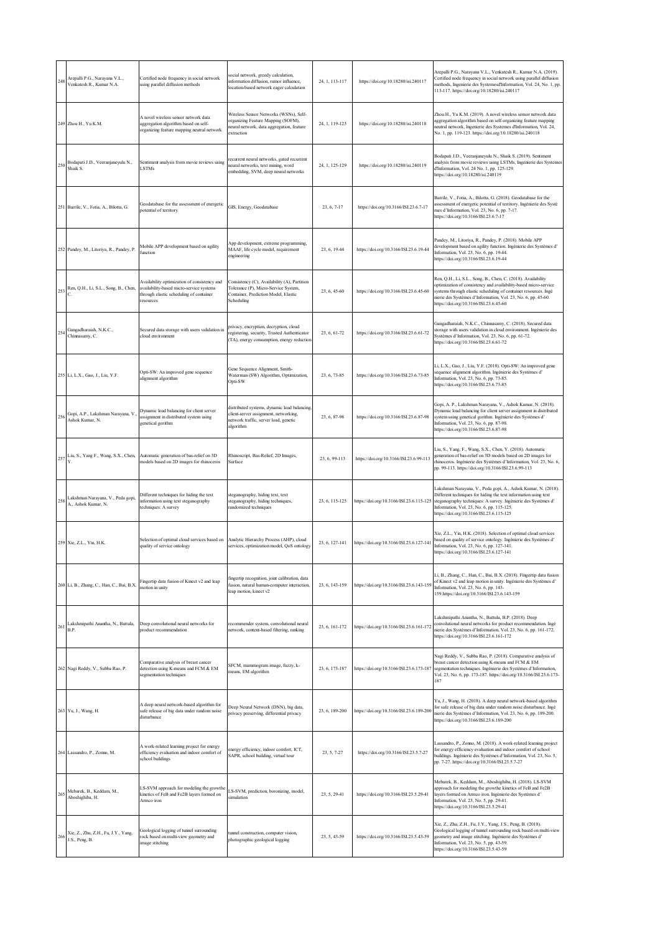| 248 | Arepalli P.G., Narayana V.L.,<br>Venkatesh R., Kumar N.A. | Certified node frequency in social network<br>using parallel diffusion methods                                                                   | ocial network, greedy calculation,<br>information diffusion, rumor influence.<br>location-based network eager calculation                   | 24, 1, 113-117 | https://doi.org/10.18280/isi.240117      | Arepalli P.G., Narayana V.L., Venkatesh R., Kumar N.A. (2019).<br>Certified node frequency in social network using parallel diffusion<br>methods, Ingenierie des Systemesd'Information, Vol. 24, No. 1, pp.<br>113-117. https://doi.org/10.18280/isi.240117                                                    |
|-----|-----------------------------------------------------------|--------------------------------------------------------------------------------------------------------------------------------------------------|---------------------------------------------------------------------------------------------------------------------------------------------|----------------|------------------------------------------|----------------------------------------------------------------------------------------------------------------------------------------------------------------------------------------------------------------------------------------------------------------------------------------------------------------|
|     | 249 Zhou H., Yu K.M.                                      | A novel wireless sensor network data<br>aggregation algorithm based on self-<br>organizing feature mapping neutral network                       | Wireless Sensor Networks (WSNs), Self-<br>organizing Feature Mapping (SOFM),<br>neural network, data aggregation, feature<br>extraction     | 24, 1, 119-123 | https://doi.org/10.18280/isi.240118      | Zhou H., Yu K.M. (2019). A novel wireless sensor network data<br>aggregation algorithm based on self-organizing feature mapping<br>neutral network, Ingenierie des Systemes d'Information, Vol. 24,<br>No. 1, pp. 119-123. https://doi.org/10.18280/isi.240118                                                 |
| 250 | Bodapati J.D., Veeranjaneyulu N.,<br>Shaik S.             | Sentiment analysis from movie reviews using<br><b>LSTMs</b>                                                                                      | recurrent neural networks, gated recurrent<br>reural networks, text mining, word<br>embedding, SVM, deep neural networks                    | 24, 1, 125-129 | https://doi.org/10.18280/isi.240119      | Bodapati J.D., Veeranjaneyulu N., Shaik S. (2019). Sentiment<br>analysis from movie reviews using LSTMs, Ingenierie des Systemes<br>d'Information, Vol. 24 No. 1, pp. 125-129.<br>https://doi.org/10.18280/isi.240119                                                                                          |
|     | 251 Barrile, V., Fotia, A., Bilotta, G.                   | Geodatabase for the assessment of energetic<br>potential of territory                                                                            | GIS, Energy, Geodatabase                                                                                                                    | 23, 6, 7-17    | https://doi.org/10.3166/ISI.23.6.7-17    | Barrile, V., Fotia, A., Bilotta, G. (2018). Geodatabase for the<br>assessment of energetic potential of territory. Ingénierie des Systè<br>mes d'Information, Vol. 23, No. 6, pp. 7-17.<br>https://doi.org/10.3166/ISI.23.6.7-17                                                                               |
|     | 252 Pandey, M., Litoriya, R., Pandey, P.                  | Mobile APP development based on agility<br>function                                                                                              | App development, extreme programming,<br>MAAF, life cycle model, requirement<br>engineering                                                 | 23, 6, 19-44   | https://doi.org/10.3166/ISI.23.6.19-44   | Pandey, M., Litoriya, R., Pandey, P. (2018). Mobile APP<br>development based on agility function. Ingénierie des Systèmes d'<br>Information, Vol. 23, No. 6, pp. 19-44.<br>https://doi.org/10.3166/ISI.23.6.19-44                                                                                              |
| 253 | Ren, Q.H., Li, S.L., Song, B., Chen,                      | Availability optimization of consistency and<br>availability-based micro-service systems<br>through elastic scheduling of container<br>resources | Consistency (C), Availability (A), Partition<br>Tolerance (P), Micro-Service System,<br>Container, Prediction Model, Elastic<br>Scheduling  | 23, 6, 45-60   | https://doi.org/10.3166/ISI.23.6.45-60   | Ren, Q.H., Li, S.L., Song, B., Chen, C. (2018). Availability<br>optimization of consistency and availability-based micro-service<br>systems through elastic scheduling of container resources. Ingé<br>nierie des Systèmes d'Information, Vol. 23, No. 6, pp. 45-60.<br>https://doi.org/10.3166/ISI.23.6.45-60 |
| 254 | Gangadharaiah, N.K.C.,<br>Chinnasamy, C.                  | Secured data storage with users validation in<br>cloud environment                                                                               | privacy, encryption, decryption, cloud<br>egistering, security, Trusted Authenticator<br>(TA), energy consumption, energy reduction         | 23, 6, 61-72   | https://doi.org/10.3166/ISI.23.6.61-72   | Gangadharaiah, N.K.C., Chinnasamy, C. (2018). Secured data<br>storage with users validation in cloud environment. Ingénierie des<br>Systèmes d'Information, Vol. 23, No. 6, pp. 61-72.<br>https://doi.org/10.3166/ISI.23.6.61-72                                                                               |
|     | 255 Li, L.X., Gao, J., Liu, Y.F.                          | Opti-SW: An improved gene sequence<br>alignment algorithm                                                                                        | Gene Sequence Alignment, Smith-<br>Waterman (SW) Algorithm, Optimization,<br>Opti-SW                                                        | 23, 6, 73-85   | https://doi.org/10.3166/ISI.23.6.73-85   | Li, L.X., Gao, J., Liu, Y.F. (2018). Opti-SW: An improved gene<br>sequence alignment algorithm. Ingénierie des Systèmes d'<br>Information, Vol. 23, No. 6, pp. 73-85.<br>https://doi.org/10.3166/ISI.23.6.73-85                                                                                                |
| 256 | Gopi, A.P., Lakshman Narayana, V.,<br>Ashok Kumar, N.     | Dynamic load balancing for client server<br>assignment in distributed system using<br>genetical gorithm                                          | distributed systems, dynamic load balancing.<br>client-server assignment, networking,<br>network traffic, server load, genetic<br>algorithm | 23, 6, 87-98   | https://doi.org/10.3166/ISI.23.6.87-98   | Gopi, A. P., Lakshman Narayana, V., Ashok Kumar, N. (2018).<br>Dynamic load balancing for client server assignment in distributed<br>system using genetical gorithm. Ingénierie des Systèmes d'<br>Information, Vol. 23, No. 6, pp. 87-98.<br>https://doi.org/10.3166/ISI.23.6.87-98                           |
| 257 | Liu, S., Yang F., Wang, S.X., Chen,                       | Automatic generation of bas-relief on 3D<br>models based on 2D images for rhinoceros                                                             | Rhinoscript, Bas-Relief, 2D Images,<br>Surface                                                                                              | 23, 6, 99-113  | https://doi.org/10.3166/ISI.23.6.99-113  | Liu, S., Yang, F., Wang, S.X., Chen, Y. (2018). Automatic<br>generation of bas-relief on 3D models based on 2D images for<br>rhinoceros. Ingénierie des Systèmes d'Information, Vol. 23, No. 6,<br>pp. 99-113. https://doi.org/10.3166/ISI.23.6.99-113                                                         |
| 258 | Lakshman Narayana, V., Peda gopi,<br>A., Ashok Kumar, N.  | Different techniques for hiding the text<br>information using text steganography<br>techniques: A survey                                         | steganography, hiding text, text<br>steganography, hiding techniques,<br>randomized techniques                                              | 23, 6, 115-125 | https://doi.org/10.3166/ISI.23.6.115-125 | Lakshman Narayana, V., Peda gopi, A., Ashok Kumar, N. (2018).<br>Different techniques for hiding the text information using text<br>steganography techniques: A survey. Ingénierie des Systèmes d'<br>Information, Vol. 23, No. 6, pp. 115-125.<br>https://doi.org/10.3166/ISI.23.6.115-125                    |
|     | 259 Xie, Z.L., Yin, H.K.                                  | Selection of optimal cloud services based on<br>quality of service ontology                                                                      | Analytic Hierarchy Process (AHP), cloud<br>services, optimization model, QoS ontology                                                       | 23, 6, 127-141 | https://doi.org/10.3166/ISI.23.6.127-141 | Xie, Z.L., Yin, H.K. (2018). Selection of optimal cloud services<br>based on quality of service ontology. Ingénierie des Systèmes d'<br>Information, Vol. 23, No. 6, pp. 127-141.<br>https://doi.org/10.3166/ISI.23.6.127-141                                                                                  |
|     | 260 Li, B., Zhang, C., Han, C., Bai, B.X.                 | Fingertip data fusion of Kinect v2 and leap<br>notion in unity                                                                                   | fingertip recognition, joint calibration, data<br>fusion, natural human-computer interaction,<br>eap motion, kinect v2                      | 23, 6, 143-159 | https://doi.org/10.3166/ISI.23.6.143-159 | Li, B., Zhang, C., Han, C., Bai, B.X. (2018). Fingertip data fusion<br>of Kinect v2 and leap motion in unity. Ingénierie des Systèmes d'<br>Information, Vol. 23, No. 6, pp. 143-<br>159.https://doi.org/10.3166/ISI.23.6.143-159                                                                              |
| 261 | Lakshmipathi Anantha, N., Battula,<br>B.P.                | Deep convolutional neural networks for<br>product recommendation                                                                                 | recommender system, convolutional neural<br>network, content-based filtering, ranking                                                       | 23, 6, 161-172 | https://doi.org/10.3166/ISI.23.6.161-172 | Lakshmipathi Anantha, N., Battula, B.P. (2018). Deep<br>convolutional neural networks for product recommendation. Ingé<br>nierie des Systèmes d'Information, Vol. 23, No. 6, pp. 161-172.<br>https://doi.org/10.3166/ISI.23.6.161-172                                                                          |
|     | 262 Nagi Reddy, V., Subba Rao, P.                         | Comparative analysis of breast cancer<br>detection using K-means and FCM & EM<br>segmentation techniques                                         | SFCM, mammogram image, fuzzy, k-<br>means, EM algorithm                                                                                     | 23, 6, 173-187 | https://doi.org/10.3166/ISI.23.6.173-187 | Nagi Reddy, V., Subba Rao, P. (2018). Comparative analysis of<br>breast cancer detection using K-means and FCM & EM<br>segmentation techniques. Ingénierie des Systèmes d'Information,<br>Vol. 23, No. 6, pp. 173-187. https://doi.org/10.3166/ISI.23.6.173-<br>187                                            |
|     | 263 Yu, J., Wang, H.                                      | A deep neural network-based algorithm for<br>safe release of big data under random noise<br>disturbance                                          | Deep Neural Network (DNN), big data,<br>privacy preserving, differential privacy                                                            | 23, 6, 189-200 | https://doi.org/10.3166/ISI.23.6.189-200 | Yu, J., Wang, H. (2018). A deep neural network-based algorithm<br>for safe release of big data under random noise disturbance. Ingé<br>nierie des Systèmes d'Information, Vol. 23, No. 6, pp. 189-200.<br>https://doi.org/10.3166/ISI.23.6.189-200                                                             |
|     | 264 Lassandro, P., Zonno, M.                              | A work-related learning project for energy<br>efficiency evaluation and indoor comfort of<br>school buildings                                    | energy efficiency, indoor comfort, ICT,<br>SAPR, school building, virtual tour                                                              | 23, 5, 7-27    | https://doi.org/10.3166/ISI.23.5.7-27    | Lassandro, P., Zonno, M. (2018). A work-related learning project<br>for energy efficiency evaluation and indoor comfort of school<br>buildings. Ingénierie des Systèmes d'Information, Vol. 23, No. 5,<br>pp. 7-27. https://doi.org/10.3166/ISI.23.5.7-27                                                      |
| 265 | Mebarek, B., Keddam, M.,<br>Aboshighiba, H.               | LS-SVM approach for modeling the growthe<br>kinetics of FeB and Fe2B layers formed on<br>Armco iron                                              | .S-SVM, prediction, boronizing, model,<br>simulation                                                                                        | 23, 5, 29-41   | https://doi.org/10.3166/ISI.23.5.29-41   | Mebarek, B., Keddam, M., Aboshighiba, H. (2018). LS-SVM<br>approach for modeling the growthe kinetics of FeB and Fe2B<br>layers formed on Armco iron. Ingénierie des Systèmes d'<br>Information, Vol. 23, No. 5, pp. 29-41.<br>https://doi.org/10.3166/ISI.23.5.29-41                                          |
| 266 | Xie, Z., Zhu, Z.H., Fu, J.Y., Yang,<br>J.S., Peng, B.     | Geological logging of tunnel surrounding<br>rock based on multi-view geometry and<br>image stitching                                             | tunnel construction, computer vision,<br>photographic geological logging                                                                    | 23, 5, 43-59   | https://doi.org/10.3166/ISI.23.5.43-59   | Xie, Z., Zhu, Z.H., Fu, J.Y., Yang, J.S., Peng, B. (2018).<br>Geological logging of tunnel surrounding rock based on multi-view<br>geometry and image stitching. Ingénierie des Systèmes d'<br>Information, Vol. 23, No. 5, pp. 43-59.<br>https://doi.org/10.3166/ISI.23.5.43-59                               |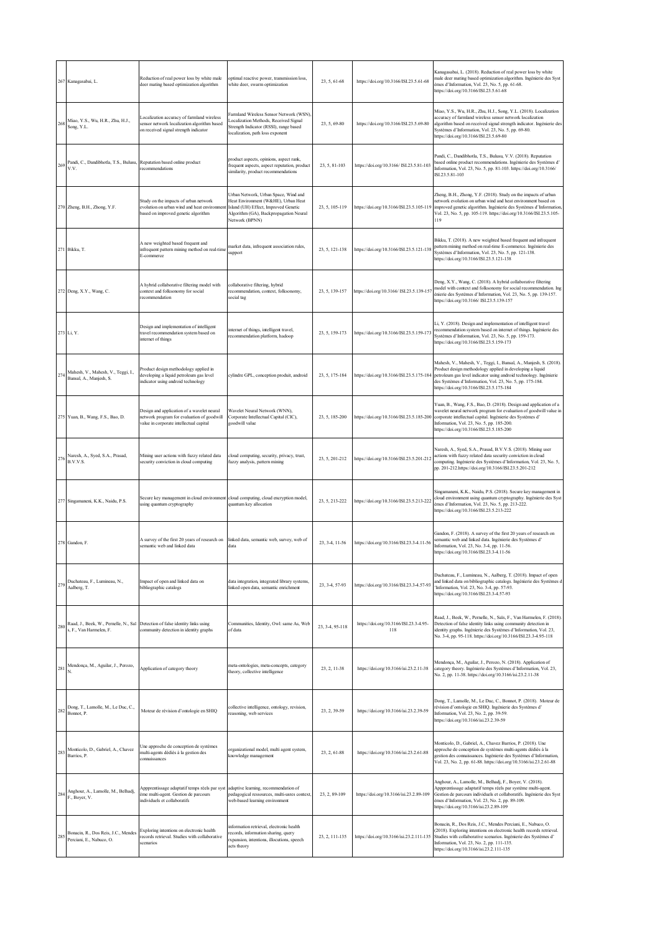|     | 267 Kanagasabai, L.                                                           | Reduction of real power loss by white male<br>deer mating based optimization algorithm                                              | optimal reactive power, transmission loss,<br>white deer, swarm optimization                                                                                                    | 23, 5, 61-68    | https://doi.org/10.3166/ISI.23.5.61-68        | Kanagasabai, L. (2018). Reduction of real power loss by white<br>male deer mating based optimization algorithm. Ingénierie des Syst<br>èmes d'Information, Vol. 23, No. 5, pp. 61-68.<br>https://doi.org/10.3166/ISI.23.5.61-68                                                                               |
|-----|-------------------------------------------------------------------------------|-------------------------------------------------------------------------------------------------------------------------------------|---------------------------------------------------------------------------------------------------------------------------------------------------------------------------------|-----------------|-----------------------------------------------|---------------------------------------------------------------------------------------------------------------------------------------------------------------------------------------------------------------------------------------------------------------------------------------------------------------|
| 268 | Miao, Y.S., Wu, H.R., Zhu, H.J.,<br>Song, Y.L.                                | Localization accuracy of farmland wireless<br>sensor network localization algorithm based<br>on received signal strength indicator  | Farmland Wireless Sensor Network (WSN),<br>Localization Methods, Received Signal<br>Strength Indicator (RSSI), range based<br>localization, path loss exponent                  | 23, 5, 69-80    | https://doi.org/10.3166/ISI.23.5.69-80        | Miao, Y.S., Wu, H.R., Zhu, H.J., Song, Y.L. (2018). Localization<br>accuracy of farmland wireless sensor network localization<br>algorithm based on received signal strength indicator. Ingénierie des<br>Systèmes d'Information, Vol. 23, No. 5, pp. 69-80.<br>https://doi.org/10.3166/ISI.23.5.69-80        |
| 269 | Pandi, C., Dandibhotla, T.S., Bulusu, Reputation based online product<br>V.V. | recommendations                                                                                                                     | product aspects, opinions, aspect rank,<br>frequent aspects, aspect reputation, product<br>similarity, product recommendations                                                  | 23, 5, 81-103   | https://doi.org/10.3166/ ISI.23.5.81-103      | Pandi, C., Dandibhotla, T.S., Bulusu, V.V. (2018). Reputation<br>based online product recommendations. Ingénierie des Systèmes d'<br>Information, Vol. 23, No. 5, pp. 81-103. https://doi.org/10.3166/<br>ISL23.5.81-103                                                                                      |
|     | 270 Zheng, B.H., Zhong, Y.F.                                                  | Study on the impacts of urban network<br>evolution on urban wind and heat environment<br>based on improved genetic algorithm        | Urban Network, Urban Space, Wind and<br>Heat Environment (W&HE), Urban Heat<br>Island (UH) Effect, Improved Genetic<br>Algorithm (GA), Backpropagation Neural<br>Network (BPNN) | 23, 5, 105-119  | https://doi.org/10.3166/ISI.23.5.105-119      | Zheng, B.H., Zhong, Y.F. (2018). Study on the impacts of urban<br>network evolution on urban wind and heat environment based on<br>improved genetic algorithm. Ingénierie des Systèmes d'Information,<br>Vol. 23, No. 5, pp. 105-119. https://doi.org/10.3166/ISI.23.5.105-<br>119                            |
|     | 271 Bikku, T.                                                                 | A new weighted based frequent and<br>infrequent pattern mining method on real-time<br>E-commerce                                    | market data, infrequent association rules,<br>support                                                                                                                           | 23, 5, 121-138  | https://doi.org/10.3166/ISI.23.5.121-138      | Bikku, T. (2018). A new weighted based frequent and infrequent<br>pattern mining method on real-time E-commerce. Ingénierie des<br>Systèmes d'Information, Vol. 23, No. 5, pp. 121-138.<br>https://doi.org/10.3166/ISI.23.5.121-138                                                                           |
|     | 272 Deng, X.Y., Wang, C.                                                      | A hybrid collaborative filtering model with<br>context and folksonomy for social<br>recommendation                                  | collaborative filtering, hybrid<br>recommendation, context, folksonomy,<br>social tag                                                                                           | 23, 5, 139-157  | https://doi.org/10.3166/ ISI.23.5.139-157     | Deng, X.Y., Wang, C. (2018). A hybrid collaborative filtering<br>model with context and folksonomy for social recommendation. Ing<br>énierie des Systèmes d'Information, Vol. 23, No. 5, pp. 139-157.<br>https://doi.org/10.3166/ ISI.23.5.139-157                                                            |
|     | 273 Li, Y.                                                                    | Design and implementation of intelligent<br>travel recommendation system based on<br>internet of things                             | internet of things, intelligent travel,<br>recommendation platform, hadoop                                                                                                      | 23, 5, 159-173  | https://doi.org/10.3166/ISI.23.5.159-173      | Li, Y. (2018). Design and implementation of intelligent travel<br>recommendation system based on internet of things. Ingénierie des<br>Systèmes d'Information, Vol. 23, No. 5, pp. 159-173.<br>https://doi.org/10.3166/ISI.23.5.159-173                                                                       |
| 274 | Mahesh, V., Mahesh, V., Teggi, I.,<br>Bansal, A., Manjesh, S.                 | Product design methodology applied in<br>developing a liquid petroleum gas level<br>indicator using android technology              | cylindre GPL, conception produit, android                                                                                                                                       | 23, 5, 175-184  | https://doi.org/10.3166/ISI.23.5.175-184      | Mahesh, V., Mahesh, V., Teggi, I., Bansal, A., Manjesh, S. (2018).<br>Product design methodology applied in developing a liquid<br>petroleum gas level indicator using android technology. Ingénierie<br>des Systèmes d'Information, Vol. 23, No. 5, pp. 175-184.<br>https://doi.org/10.3166/ISI.23.5.175-184 |
|     | 275 Yuan, B., Wang, F.S., Bao, D.                                             | Design and application of a wavelet neural<br>network program for evaluation of goodwill<br>value in corporate intellectual capital | Wavelet Neural Network (WNN),<br>Corporate Intellectual Capital (CIC),<br>goodwill value                                                                                        | 23, 5, 185-200  | https://doi.org/10.3166/ISI.23.5.185-200      | Yuan, B., Wang, F.S., Bao, D. (2018). Design and application of a<br>wavelet neural network program for evaluation of goodwill value in<br>corporate intellectual capital. Ingénierie des Systèmes d'<br>Information, Vol. 23, No. 5, pp. 185-200.<br>https://doi.org/10.3166/ISI.23.5.185-200                |
| 276 | Naresh, A., Syed, S.A., Prasad,<br>B.V.V.S.                                   | Mining user actions with fuzzy related data<br>security conviction in cloud computing                                               | cloud computing, security, privacy, trust,<br>fuzzy analysis, pattern mining                                                                                                    | 23, 5, 201-212  | https://doi.org/10.3166/ISI.23.5.201-212      | Naresh, A., Syed, S.A., Prasad, B.V.V.S. (2018). Mining user<br>actions with fuzzy related data security conviction in cloud<br>computing. Ingénierie des Systèmes d'Information, Vol. 23, No. 5,<br>pp. 201-212.https://doi.org/10.3166/ISI.23.5.201-212                                                     |
|     | 277 Singamaneni, K.K., Naidu, P.S.                                            | Secure key management in cloud environment cloud computing, cloud encryption model,<br>using quantum cryptography                   | quantum key allocation                                                                                                                                                          | 23, 5, 213-222  | https://doi.org/10.3166/ISI.23.5.213-222      | Singamaneni, K.K., Naidu, P.S. (2018). Secure key management in<br>cloud environment using quantum cryptography. Ingénierie des Syst<br>èmes d'Information, Vol. 23, No. 5, pp. 213-222.<br>https://doi.org/10.3166/ISI.23.5.213-222                                                                          |
|     | 278 Gandon, F.                                                                | A survey of the first 20 years of research on<br>semantic web and linked data                                                       | linked data, semantic web, survey, web of<br>data                                                                                                                               | 23, 3-4, 11-56  | https://doi.org/10.3166/ISI.23.3-4.11-56      | Gandon, F. (2018). A survey of the first 20 years of research on<br>semantic web and linked data. Ingénierie des Systèmes d'<br>Information, Vol. 23, No. 3-4, pp. 11-56.<br>https://doi.org/10.3166/ISI.23.3-4.11-56                                                                                         |
| 279 | Duchateau, F., Lumineau, N.,<br>Aalberg, T.                                   | Impact of open and linked data on<br>bibliographic catalogs                                                                         | data integration, integrated library systems,<br>linked open data, semantic enrichment                                                                                          | 23, 3-4, 57-93  | https://doi.org/10.3166/ISI.23.3-4.57-93      | Duchateau, F., Lumineau, N., Aalberg, T. (2018). Impact of open<br>and linked data on bibliographic catalogs. Ingénierie des Systèmes d<br>'Information, Vol. 23, No. 3-4, pp. 57-93.<br>https://doi.org/10.3166/ISI.23.3-4.57-93                                                                             |
| 280 | s, F., Van Harmelen, F.                                                       | Raad, J., Beek, W., Pernelle, N., Saï Detection of false identity links using<br>community detection in identity graphs             | Communities, Identity, Owl: same As, Web<br>of data                                                                                                                             | 23, 3-4, 95-118 | https://doi.org/10.3166/ISI.23.3-4.95-<br>118 | Raad, J., Beek, W., Pernelle, N., Saïs, F., Van Harmelen, F. (2018).<br>Detection of false identity links using community detection in<br>identity graphs. Ingénierie des Systèmes d'Information, Vol. 23,<br>No. 3-4, pp. 95-118. https://doi.org/10.3166/ISI.23.3-4.95-118                                  |
| 281 | Mendonça, M., Aguilar, J., Perozo,<br>N.                                      | Application of category theory                                                                                                      | meta-ontologies, meta-concepts, category<br>theory, collective intelligence                                                                                                     | 23, 2, 11-38    | https://doi.org/10.3166/isi.23.2.11-38        | Mendonça, M., Aguilar, J., Perozo, N. (2018). Application of<br>category theory. Ingénierie des Systèmes d'Information, Vol. 23,<br>No. 2, pp. 11-38. https://doi.org/10.3166/isi.23.2.11-38                                                                                                                  |
| 282 | Dong, T., Lamolle, M., Le Duc, C.,<br>Bonnot, P.                              | Moteur de révision d'ontologie en SHIQ                                                                                              | collective intelligence, ontology, revision,<br>reasoning, web services                                                                                                         | 23, 2, 39-59    | https://doi.org/10.3166/isi.23.2.39-59        | Dong, T., Lamolle, M., Le Duc, C., Bonnot, P. (2018). Moteur de<br>révision d'ontologie en SHIQ. Ingénierie des Systèmes d'<br>Information, Vol. 23, No. 2, pp. 39-59.<br>https://doi.org/10.3166/isi.23.2.39-59                                                                                              |
| 283 | Monticolo, D., Gabriel, A., Chavez<br>Barrios, P.                             | Une approche de conception de systèmes<br>multi-agents dédiés à la gestion des<br>connaissances                                     | organizational model, multi agent system,<br>knowledge management                                                                                                               | 23, 2, 61-88    | https://doi.org/10.3166/isi.23.2.61-88        | Monticolo, D., Gabriel, A., Chavez Barrios, P. (2018). Une<br>approche de conception de systèmes multi-agents dédiés à la<br>gestion des connaissances. Ingénierie des Systèmes d'Information,<br>Vol. 23, No. 2, pp. 61-88. https://doi.org/10.3166/isi.23.2.61-88                                           |
| 284 | Anghour, A., Lamolle, M., Belhadj,<br>F., Boyer, V.                           | Appprentissage adaptatif temps réels par syst<br>ème multi-agent. Gestion de parcours<br>individuels et collaboratifs               | adaptive learning, recommendation of<br>pedagogical ressources, multi-usres context,<br>web-based learning environment                                                          | 23, 2, 89-109   | https://doi.org/10.3166/isi.23.2.89-109       | Anghour, A., Lamolle, M., Belhadj, F., Boyer, V. (2018).<br>Appprentissage adaptatif temps réels par système multi-agent.<br>Gestion de parcours individuels et collaboratifs. Ingénierie des Syst<br>èmes d'Information, Vol. 23, No. 2, pp. 89-109.<br>https://doi.org/10.3166/isi.23.2.89-109              |
| 285 | Bonacin, R., Dos Reis, J.C., Mendes<br>Perciani, E., Nabuco, O.               | Exploring intentions on electronic health<br>records retrieval. Studies with collaborative<br>scenarios                             | information retrieval, electronic health<br>records, information sharing, query<br>rxpansion, intentions, illocutions, speech<br>acts theory                                    | 23, 2, 111-135  | https://doi.org/10.3166/isi.23.2.111-135      | Bonacin, R., Dos Reis, J.C., Mendes Perciani, E., Nabuco, O.<br>(2018). Exploring intentions on electronic health records retrieval.<br>Studies with collaborative scenarios. Ingénierie des Systèmes d'<br>Information, Vol. 23, No. 2, pp. 111-135.<br>https://doi.org/10.3166/isi.23.2.111-135             |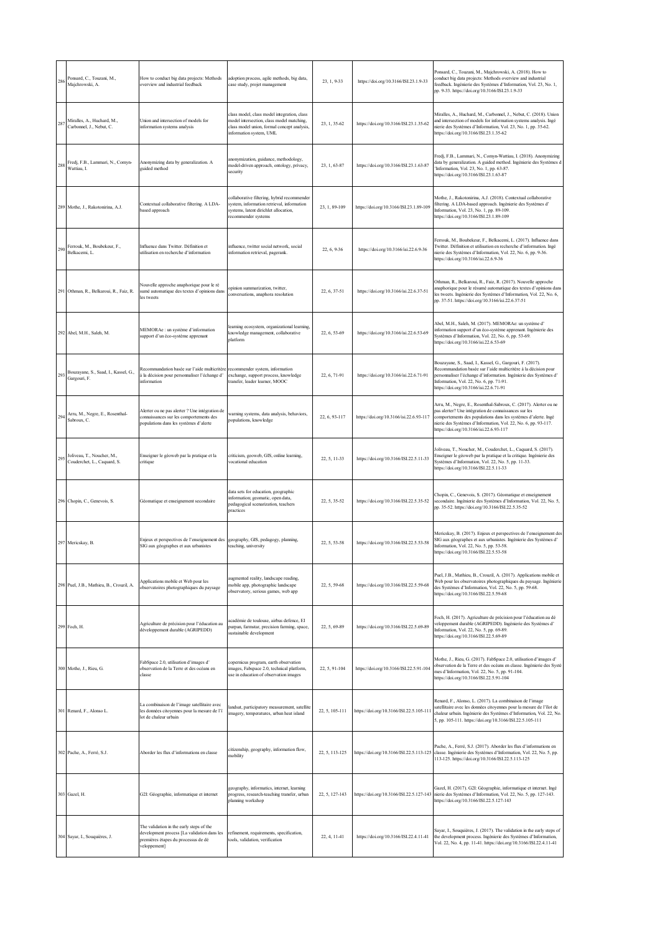| 286 | Ponsard, C., Touzani, M.,<br>Majchrowski, A.              | How to conduct big data projects: Methods<br>overview and industrial feedback                                                                  | adoption process, agile methods, big data,<br>case study, projet management                                                                                        | 23, 1, 9-33    | https://doi.org/10.3166/ISI.23.1.9-33    | Ponsard, C., Touzani, M., Majchrowski, A. (2018). How to<br>conduct big data projects: Methods overview and industrial<br>feedback. Ingénierie des Systèmes d'Information, Vol. 23, No. 1,<br>pp. 9-33. https://doi.org/10.3166/ISI.23.1.9-33                                                            |
|-----|-----------------------------------------------------------|------------------------------------------------------------------------------------------------------------------------------------------------|--------------------------------------------------------------------------------------------------------------------------------------------------------------------|----------------|------------------------------------------|----------------------------------------------------------------------------------------------------------------------------------------------------------------------------------------------------------------------------------------------------------------------------------------------------------|
| 287 | Miralles, A., Huchard, M.,<br>Carbonnel, J., Nebut, C.    | Union and intersection of models for<br>information systems analysis                                                                           | class model, class model integration, class<br>model intersection, class model matching,<br>class model union, formal concept analysis,<br>information system, UML | 23, 1, 35-62   | https://doi.org/10.3166/ISI.23.1.35-62   | Miralles, A., Huchard, M., Carbonnel, J., Nebut, C. (2018). Union<br>and intersection of models for information systems analysis. Ingé<br>nierie des Systèmes d'Information, Vol. 23, No. 1, pp. 35-62.<br>https://doi.org/10.3166/ISI.23.1.35-62                                                        |
| 288 | Fredj, F.B., Lammari, N., Comyn-<br>Wattiau, I.           | Anonymizing data by generalization. A<br>guided method                                                                                         | monymization, guidance, methodology,<br>model-driven approach, ontology, privacy,<br>security                                                                      | 23, 1, 63-87   | https://doi.org/10.3166/ISI.23.1.63-87   | Fredj, F.B., Lammari, N., Comyn-Wattiau, I. (2018). Anonymizing<br>data by generalization. A guided method. Ingénierie des Systèmes d<br>'Information, Vol. 23, No. 1, pp. 63-87.<br>https://doi.org/10.3166/ISI.23.1.63-87                                                                              |
|     | 289 Mothe, J., Rakotonirina, A.J.                         | Contextual collaborative filtering. A LDA-<br>based approach                                                                                   | collaborative filtering, hybrid recommender<br>system, information retrieval, information<br>systems, latent dirichlet allocation,<br>recommender systems          | 23, 1, 89-109  | https://doi.org/10.3166/ISI.23.1.89-109  | Mothe, J., Rakotonirina, A.J. (2018). Contextual collaborative<br>filtering. A LDA-based approach. Ingénierie des Systèmes d'<br>Information, Vol. 23, No. 1, pp. 89-109.<br>https://doi.org/10.3166/ISI.23.1.89-109                                                                                     |
| 290 | Ferrouk, M., Boubekeur, F.,<br>Belkacemi, L.              | Influence dans Twitter. Définition et<br>utilisation en recherche d'information                                                                | influence, twitter social network, social<br>information retrieval, pagerank.                                                                                      | 22, 6, 9-36    | https://doi.org/10.3166/isi.22.6.9-36    | Ferrouk, M., Boubekeur, F., Belkacemi, L. (2017). Influence dans<br>Twitter. Définition et utilisation en recherche d'information. Ingé<br>nierie des Systèmes d'Information, Vol. 22, No. 6, pp. 9-36.<br>https://doi.org/10.3166/isi.22.6.9-36                                                         |
|     | 291 Othman, R., Belkaroui, R., Faiz, R.                   | Nouvelle approche anaphorique pour le ré<br>sumé automatique des textes d'opinions dans<br>les tweets                                          | opinion summarization, twitter,<br>conversations, anaphora resolution                                                                                              | 22, 6, 37-51   | https://doi.org/10.3166/isi.22.6.37-51   | Othman, R., Belkaroui, R., Faiz, R. (2017). Nouvelle approche<br>anaphorique pour le résumé automatique des textes d'opinions dans<br>les tweets. Ingénierie des Systèmes d'Information, Vol. 22, No. 6,<br>pp. 37-51. https://doi.org/10.3166/isi.22.6.37-51                                            |
|     | 292 Abel, M.H., Saleh, M.                                 | MEMORAe : un système d'information<br>support d'un éco-système apprenant                                                                       | earning ecosystem, organizational learning,<br>knowledge management, collaborative<br>platform                                                                     | 22, 6, 53-69   | https://doi.org/10.3166/isi.22.6.53-69   | Abel, M.H., Saleh, M. (2017). MEMORAe: un système d'<br>information support d'un éco-système apprenant. Ingénierie des<br>Systèmes d'Information, Vol. 22, No. 6, pp. 53-69.<br>https://doi.org/10.3166/isi.22.6.53-69                                                                                   |
| 293 | Bouzayane, S., Saad, I., Kassel, G.,<br>Gargouri, F.      | Recommandation basée sur l'aide multicritère<br>à la décision pour personnaliser l'échange d'<br>information                                   | ecommender system, information<br>exchange, support process, knowledge<br>transfer, leader learner, MOOC                                                           | 22, 6, 71-91   | https://doi.org/10.3166/isi.22.6.71-91   | Bouzayane, S., Saad, I., Kassel, G., Gargouri, F. (2017).<br>Recommandation basée sur l'aide multicritère à la décision pour<br>personnaliser l'échange d'information. Ingénierie des Systèmes d'<br>Information, Vol. 22, No. 6, pp. 71-91.<br>https://doi.org/10.3166/isi.22.6.71-91                   |
| 294 | Arru, M., Negre, E., Rosenthal-<br>Sabroux, C.            | Alerter ou ne pas alerter ? Une intégration de<br>connaissances sur les comportements des<br>populations dans les systèmes d'alerte            | varning systems, data analysis, behaviors,<br>populations, knowledge                                                                                               | 22, 6, 93-117  | https://doi.org/10.3166/isi.22.6.93-117  | Arru, M., Negre, E., Rosenthal-Sabroux, C. (2017). Alerter ou ne<br>pas alerter? Une intégration de connaissances sur les<br>comportements des populations dans les systèmes d'alerte. Ingé<br>nierie des Systèmes d'Information, Vol. 22, No. 6, pp. 93-117.<br>https://doi.org/10.3166/isi.22.6.93-117 |
| 295 | Joliveau, T., Noucher, M.,<br>Couderchet, L., Caquard, S. | Enseigner le géoweb par la pratique et la<br>critique                                                                                          | criticism, geoweb, GIS, online learning,<br>ocational education                                                                                                    | 22, 5, 11-33   | https://doi.org/10.3166/ISI.22.5.11-33   | Joliveau, T., Noucher, M., Couderchet, L., Caquard, S. (2017).<br>Enseigner le géoweb par la pratique et la critique. Ingénierie des<br>Systèmes d'Information, Vol. 22, No. 5, pp. 11-33.<br>https://doi.org/10.3166/ISI.22.5.11-33                                                                     |
|     | 296 Chopin, C., Genevois, S.                              | Géomatique et enseignement secondaire                                                                                                          | data sets for education, geographic<br>information: geomatic, open data.<br>pedagogical scenarization, teachers<br>practices                                       | 22, 5, 35-52   | https://doi.org/10.3166/ISI.22.5.35-52   | Chopin, C., Genevois, S. (2017). Géomatique et enseignement<br>secondaire. Ingénierie des Systèmes d'Information, Vol. 22, No. 5,<br>pp. 35-52. https://doi.org/10.3166/ISI.22.5.35-52                                                                                                                   |
|     | 297 Mericskay, B.                                         | Enjeux et perspectives de l'enseignement des<br>SIG aux géographes et aux urbanistes                                                           | geography, GIS, pedagogy, planning,<br>teaching, university                                                                                                        | 22, 5, 53-58   | https://doi.org/10.3166/ISI.22.5.53-58   | Mericskay, B. (2017). Enjeux et perspectives de l'enseignement des<br>SIG aux géographes et aux urbanistes. Ingénierie des Systèmes d'<br>Information, Vol. 22, No. 5, pp. 53-58.<br>https://doi.org/10.3166/ISI.22.5.53-58                                                                              |
|     | 298 Puel, J.B., Mathieu, B., Crouzil, A.                  | Applications mobile et Web pour les<br>observatoires photographiques du paysage                                                                | ugmented reality, landscape reading,<br>nobile app, photographic landscape<br>observatory, serious games, web app                                                  | 22, 5, 59-68   | https://doi.org/10.3166/ISI.22.5.59-68   | Puel, J.B., Mathieu, B., Crouzil, A. (2017). Applications mobile et<br>Web pour les observatoires photographiques du paysage. Ingénierie<br>des Systèmes d'Information, Vol. 22, No. 5, pp. 59-68.<br>https://doi.org/10.3166/ISI.22.5.59-68                                                             |
|     | 299 Foch, H.                                              | Agriculture de précision pour l'éducation au<br>développement durable (AGRIPEDD)                                                               | académie de toulouse, airbus defence, EI<br>purpan, farmstar, precision farming, space,<br>sustainable development                                                 | 22, 5, 69-89   | https://doi.org/10.3166/ISI.22.5.69-89   | Foch, H. (2017). Agriculture de précision pour l'éducation au dé<br>veloppement durable (AGRIPEDD). Ingénierie des Systèmes d'<br>Information, Vol. 22, No. 5, pp. 69-89.<br>https://doi.org/10.3166/ISI.22.5.69-89                                                                                      |
|     | 300 Mothe, J., Rieu, G.                                   | FabSpace 2.0, utilisation d'images d'<br>observation de la Terre et des océans en<br>classe                                                    | copernicus program, earth observation<br>images, Fabspace 2.0, technical platform,<br>ise in education of observation images                                       | 22, 5, 91-104  | https://doi.org/10.3166/ISI.22.5.91-104  | Mothe, J., Rieu, G. (2017). FabSpace 2.0, utilisation d'images d'<br>observation de la Terre et des océans en classe. Ingénierie des Systè<br>mes d'Information, Vol. 22, No. 5, pp. 91-104.<br>https://doi.org/10.3166/ISI.22.5.91-104                                                                  |
|     | 301 Renard, F., Alonso L.                                 | La combinaison de l'image satellitaire avec<br>les données citoyennes pour la mesure de l'î<br>lot de chaleur urbain                           | landsat, participatory measurement, satellite<br>imagery, temperatures, urban heat island                                                                          | 22, 5, 105-111 | https://doi.org/10.3166/ISI.22.5.105-11  | Renard, F., Alonso, L. (2017). La combinaison de l'image<br>satellitaire avec les données citoyennes pour la mesure de l'îlot de<br>chaleur urbain. Ingénierie des Systèmes d'Information, Vol. 22, No.<br>5, pp. 105-111. https://doi.org/10.3166/ISI.22.5.105-111                                      |
|     | 302 Pache, A., Ferré, S.J.                                | Aborder les flux d'informations en classe                                                                                                      | citizenship, geography, information flow,<br>mobility                                                                                                              | 22, 5, 113-125 | https://doi.org/10.3166/ISI.22.5.113-125 | Pache, A., Ferré, S.J. (2017). Aborder les flux d'informations en<br>classe. Ingénierie des Systèmes d'Information, Vol. 22, No. 5, pp.<br>113-125. https://doi.org/10.3166/ISI.22.5.113-125                                                                                                             |
|     | 303 Gazel, H.                                             | G2I: Géographie, informatique et internet                                                                                                      | geography, informatics, internet, learning<br>rogress, research-teaching transfer, urban<br>planning workshop                                                      | 22, 5, 127-143 | https://doi.org/10.3166/ISI.22.5.127-143 | Gazel, H. (2017). G2I: Géographie, informatique et internet. Ingé<br>nierie des Systèmes d'Information, Vol. 22, No. 5, pp. 127-143.<br>https://doi.org/10.3166/ISI.22.5.127-143                                                                                                                         |
|     | 304 Sayar, I., Souquières, J.                             | The validation in the early steps of the<br>development process [La validation dans les<br>premières étapes du processus de dé<br>veloppement] | refinement, requirements, specification,<br>tools, validation, verification                                                                                        | 22, 4, 11-41   | https://doi.org/10.3166/ISI.22.4.11-41   | Sayar, I., Souquières, J. (2017). The validation in the early steps of<br>the development process. Ingénierie des Systèmes d'Information,<br>Vol. 22, No. 4, pp. 11-41. https://doi.org/10.3166/ISI.22.4.11-41                                                                                           |